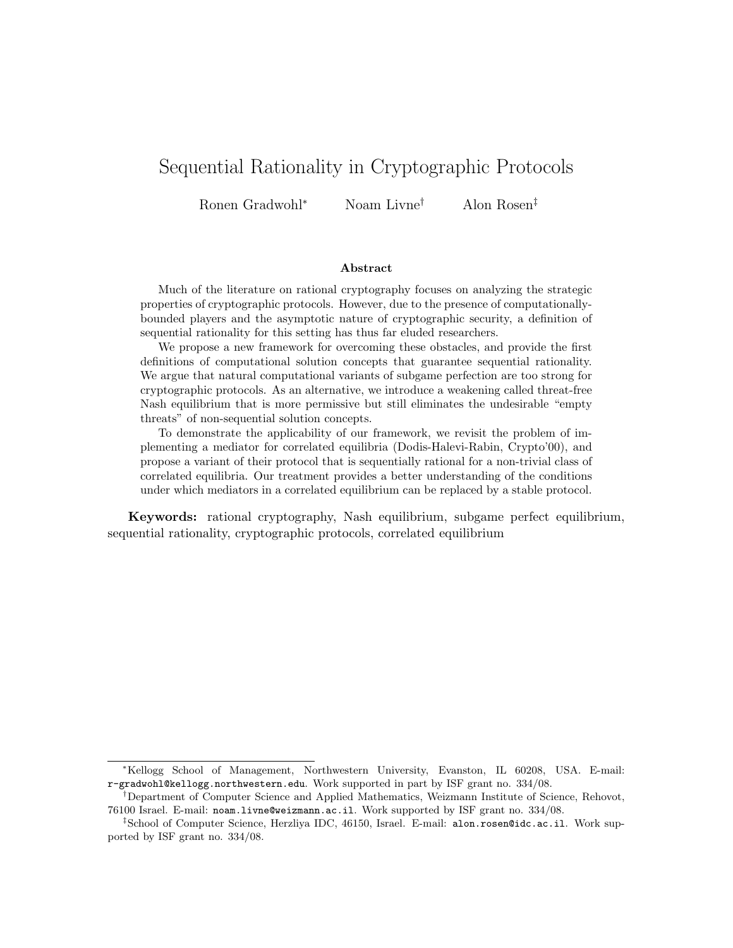# Sequential Rationality in Cryptographic Protocols

Ronen Gradwohl<sup>∗</sup> Noam Livne† Alon Rosen‡

#### Abstract

Much of the literature on rational cryptography focuses on analyzing the strategic properties of cryptographic protocols. However, due to the presence of computationallybounded players and the asymptotic nature of cryptographic security, a definition of sequential rationality for this setting has thus far eluded researchers.

We propose a new framework for overcoming these obstacles, and provide the first definitions of computational solution concepts that guarantee sequential rationality. We argue that natural computational variants of subgame perfection are too strong for cryptographic protocols. As an alternative, we introduce a weakening called threat-free Nash equilibrium that is more permissive but still eliminates the undesirable "empty threats" of non-sequential solution concepts.

To demonstrate the applicability of our framework, we revisit the problem of implementing a mediator for correlated equilibria (Dodis-Halevi-Rabin, Crypto'00), and propose a variant of their protocol that is sequentially rational for a non-trivial class of correlated equilibria. Our treatment provides a better understanding of the conditions under which mediators in a correlated equilibrium can be replaced by a stable protocol.

Keywords: rational cryptography, Nash equilibrium, subgame perfect equilibrium, sequential rationality, cryptographic protocols, correlated equilibrium

<sup>∗</sup>Kellogg School of Management, Northwestern University, Evanston, IL 60208, USA. E-mail: r-gradwohl@kellogg.northwestern.edu. Work supported in part by ISF grant no. 334/08.

<sup>†</sup>Department of Computer Science and Applied Mathematics, Weizmann Institute of Science, Rehovot, 76100 Israel. E-mail: noam.livne@weizmann.ac.il. Work supported by ISF grant no. 334/08.

<sup>‡</sup>School of Computer Science, Herzliya IDC, 46150, Israel. E-mail: alon.rosen@idc.ac.il. Work supported by ISF grant no. 334/08.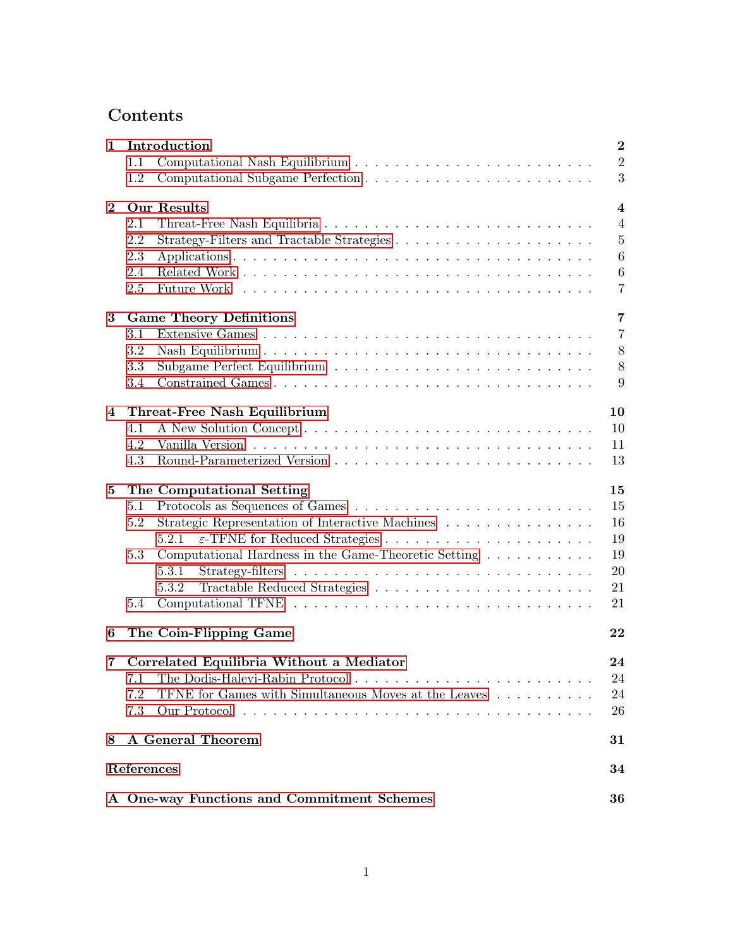# Contents

| $\mathbf 1$ | Introduction                                                                    | $\boldsymbol{2}$        |
|-------------|---------------------------------------------------------------------------------|-------------------------|
|             | 1.1                                                                             | $\sqrt{2}$              |
|             | 1.2                                                                             | 3                       |
| $\bf{2}$    | <b>Our Results</b>                                                              | $\overline{\mathbf{4}}$ |
|             | Threat-Free Nash Equilibria<br>2.1                                              | $\overline{4}$          |
|             | 2.2                                                                             | $\bf 5$                 |
|             | 2.3                                                                             | 6                       |
|             | 2.4                                                                             | $\,6$                   |
|             | 2.5                                                                             | $\overline{7}$          |
| 3           | <b>Game Theory Definitions</b>                                                  | $\overline{7}$          |
|             | 3.1                                                                             | $\overline{7}$          |
|             | 3.2                                                                             | 8                       |
|             | 3.3                                                                             | 8                       |
|             | Constrained Games<br>3.4                                                        | 9                       |
| 4           | Threat-Free Nash Equilibrium                                                    | 10                      |
|             | 4.1                                                                             | 10                      |
|             | 4.2                                                                             | 11                      |
|             | 4.3                                                                             | 13                      |
| $\bf{5}$    | The Computational Setting                                                       | 15                      |
|             | 5.1                                                                             | 15                      |
|             | Strategic Representation of Interactive Machines<br>5.2                         | 16                      |
|             | 5.2.1                                                                           | 19                      |
|             | Computational Hardness in the Game-Theoretic Setting<br>5.3                     | 19                      |
|             | 5.3.1                                                                           | 20                      |
|             | 5.3.2                                                                           | 21                      |
|             | 5.4                                                                             | 21                      |
| 6           | The Coin-Flipping Game                                                          | 22                      |
| 7           | Correlated Equilibria Without a Mediator                                        | 24                      |
|             | 7.1                                                                             | 24                      |
|             | TFNE for Games with Simultaneous Moves at the Leaves $\dots \dots \dots$<br>7.2 | 24                      |
|             | 7.3                                                                             | 26                      |
| 8           | A General Theorem                                                               | 31                      |
| References  |                                                                                 |                         |
|             |                                                                                 | 34                      |
|             | A One-way Functions and Commitment Schemes                                      | 36                      |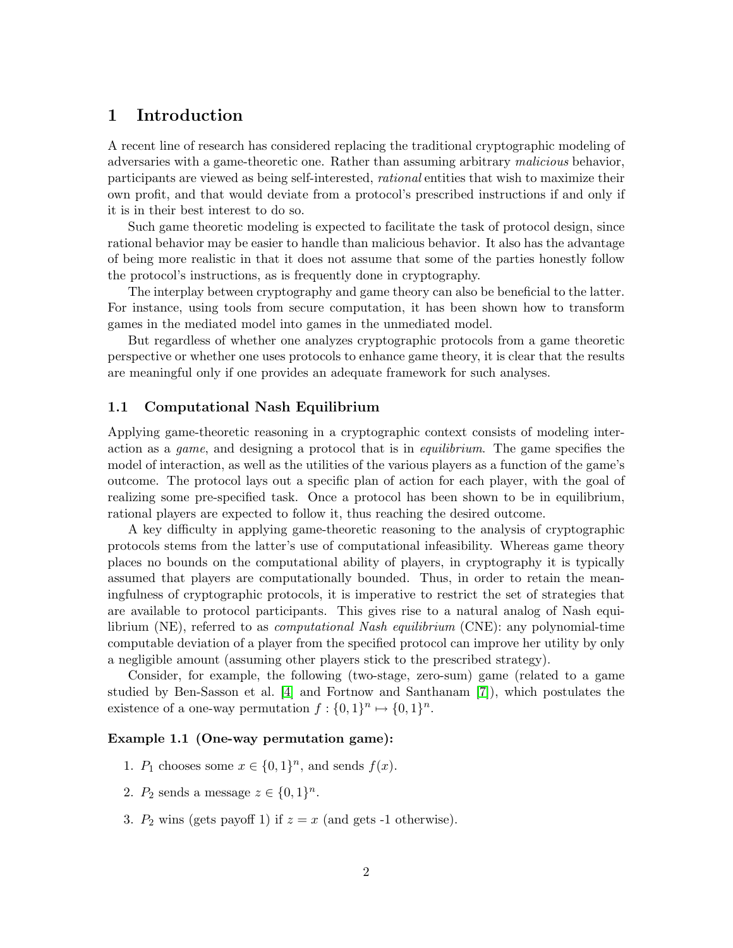# <span id="page-2-0"></span>1 Introduction

A recent line of research has considered replacing the traditional cryptographic modeling of adversaries with a game-theoretic one. Rather than assuming arbitrary malicious behavior, participants are viewed as being self-interested, rational entities that wish to maximize their own profit, and that would deviate from a protocol's prescribed instructions if and only if it is in their best interest to do so.

Such game theoretic modeling is expected to facilitate the task of protocol design, since rational behavior may be easier to handle than malicious behavior. It also has the advantage of being more realistic in that it does not assume that some of the parties honestly follow the protocol's instructions, as is frequently done in cryptography.

The interplay between cryptography and game theory can also be beneficial to the latter. For instance, using tools from secure computation, it has been shown how to transform games in the mediated model into games in the unmediated model.

But regardless of whether one analyzes cryptographic protocols from a game theoretic perspective or whether one uses protocols to enhance game theory, it is clear that the results are meaningful only if one provides an adequate framework for such analyses.

# <span id="page-2-1"></span>1.1 Computational Nash Equilibrium

Applying game-theoretic reasoning in a cryptographic context consists of modeling interaction as a game, and designing a protocol that is in equilibrium. The game specifies the model of interaction, as well as the utilities of the various players as a function of the game's outcome. The protocol lays out a specific plan of action for each player, with the goal of realizing some pre-specified task. Once a protocol has been shown to be in equilibrium, rational players are expected to follow it, thus reaching the desired outcome.

A key difficulty in applying game-theoretic reasoning to the analysis of cryptographic protocols stems from the latter's use of computational infeasibility. Whereas game theory places no bounds on the computational ability of players, in cryptography it is typically assumed that players are computationally bounded. Thus, in order to retain the meaningfulness of cryptographic protocols, it is imperative to restrict the set of strategies that are available to protocol participants. This gives rise to a natural analog of Nash equilibrium (NE), referred to as *computational Nash equilibrium* (CNE): any polynomial-time computable deviation of a player from the specified protocol can improve her utility by only a negligible amount (assuming other players stick to the prescribed strategy).

Consider, for example, the following (two-stage, zero-sum) game (related to a game studied by Ben-Sasson et al. [\[4\]](#page-35-0) and Fortnow and Santhanam [\[7\]](#page-35-1)), which postulates the existence of a one-way permutation  $f: \{0,1\}^n \mapsto \{0,1\}^n$ .

#### <span id="page-2-2"></span>Example 1.1 (One-way permutation game):

- 1.  $P_1$  chooses some  $x \in \{0,1\}^n$ , and sends  $f(x)$ .
- 2.  $P_2$  sends a message  $z \in \{0,1\}^n$ .
- 3.  $P_2$  wins (gets payoff 1) if  $z = x$  (and gets -1 otherwise).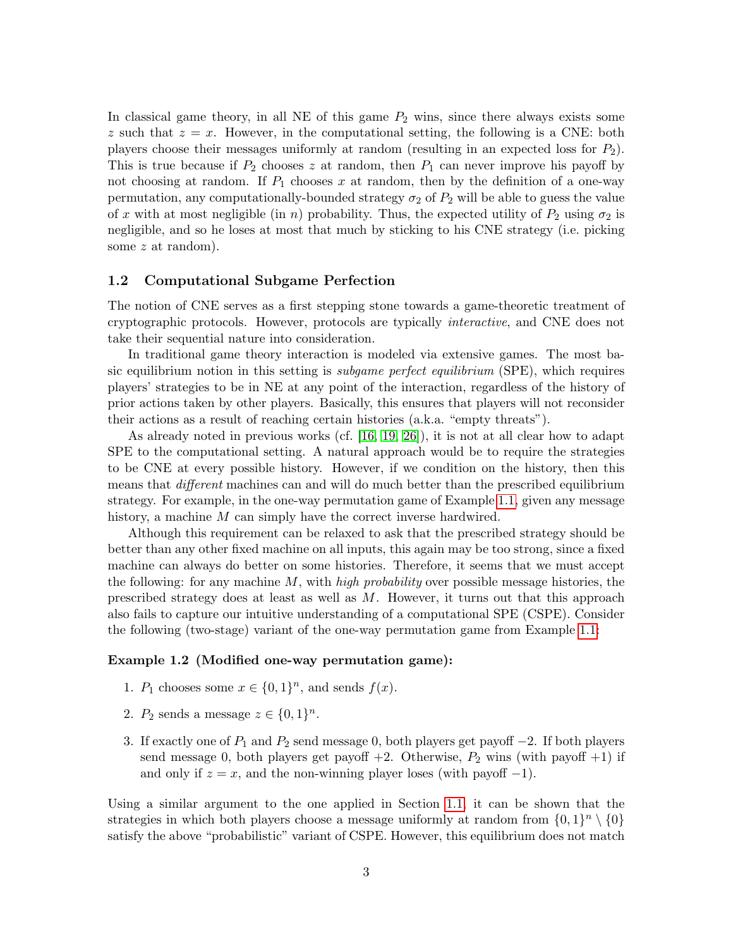In classical game theory, in all NE of this game  $P_2$  wins, since there always exists some z such that  $z = x$ . However, in the computational setting, the following is a CNE: both players choose their messages uniformly at random (resulting in an expected loss for  $P_2$ ). This is true because if  $P_2$  chooses z at random, then  $P_1$  can never improve his payoff by not choosing at random. If  $P_1$  chooses x at random, then by the definition of a one-way permutation, any computationally-bounded strategy  $\sigma_2$  of  $P_2$  will be able to guess the value of x with at most negligible (in n) probability. Thus, the expected utility of  $P_2$  using  $\sigma_2$  is negligible, and so he loses at most that much by sticking to his CNE strategy (i.e. picking some z at random).

#### <span id="page-3-0"></span>1.2 Computational Subgame Perfection

The notion of CNE serves as a first stepping stone towards a game-theoretic treatment of cryptographic protocols. However, protocols are typically interactive, and CNE does not take their sequential nature into consideration.

In traditional game theory interaction is modeled via extensive games. The most basic equilibrium notion in this setting is *subgame perfect equilibrium* (SPE), which requires players' strategies to be in NE at any point of the interaction, regardless of the history of prior actions taken by other players. Basically, this ensures that players will not reconsider their actions as a result of reaching certain histories (a.k.a. "empty threats").

As already noted in previous works (cf. [\[16,](#page-35-2) [19,](#page-36-1) [26\]](#page-36-2)), it is not at all clear how to adapt SPE to the computational setting. A natural approach would be to require the strategies to be CNE at every possible history. However, if we condition on the history, then this means that *different* machines can and will do much better than the prescribed equilibrium strategy. For example, in the one-way permutation game of Example [1.1,](#page-2-2) given any message history, a machine M can simply have the correct inverse hardwired.

Although this requirement can be relaxed to ask that the prescribed strategy should be better than any other fixed machine on all inputs, this again may be too strong, since a fixed machine can always do better on some histories. Therefore, it seems that we must accept the following: for any machine  $M$ , with high probability over possible message histories, the prescribed strategy does at least as well as M. However, it turns out that this approach also fails to capture our intuitive understanding of a computational SPE (CSPE). Consider the following (two-stage) variant of the one-way permutation game from Example [1.1:](#page-2-2)

#### <span id="page-3-1"></span>Example 1.2 (Modified one-way permutation game):

- 1.  $P_1$  chooses some  $x \in \{0,1\}^n$ , and sends  $f(x)$ .
- 2.  $P_2$  sends a message  $z \in \{0,1\}^n$ .
- 3. If exactly one of  $P_1$  and  $P_2$  send message 0, both players get payoff  $-2$ . If both players send message 0, both players get payoff  $+2$ . Otherwise,  $P_2$  wins (with payoff  $+1$ ) if and only if  $z = x$ , and the non-winning player loses (with payoff  $-1$ ).

Using a similar argument to the one applied in Section [1.1,](#page-2-1) it can be shown that the strategies in which both players choose a message uniformly at random from  $\{0,1\}^n \setminus \{0\}$ satisfy the above "probabilistic" variant of CSPE. However, this equilibrium does not match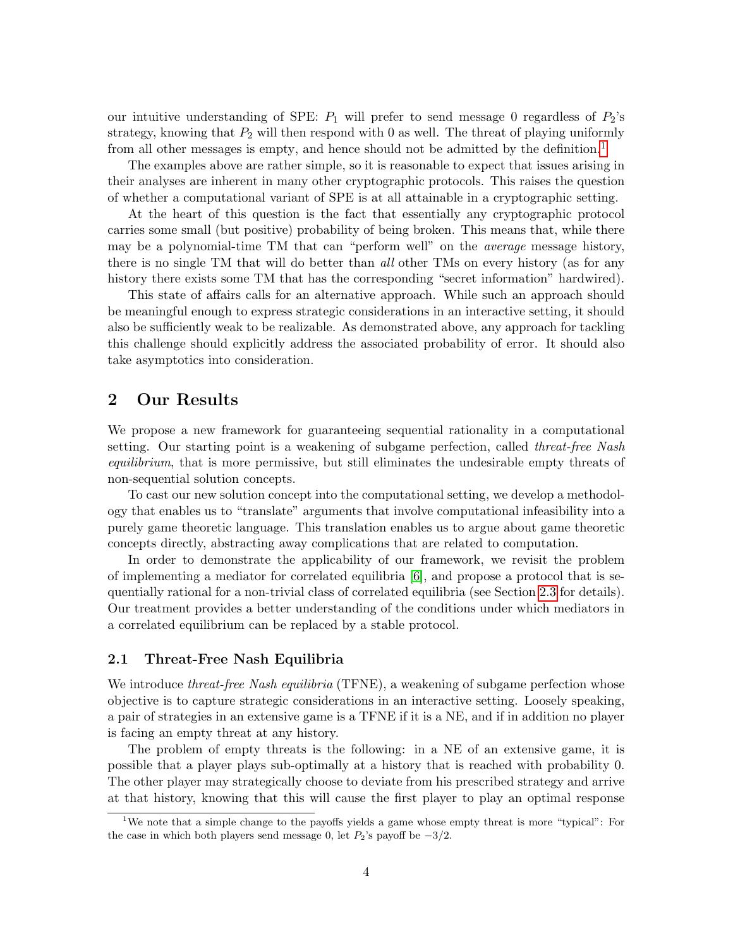our intuitive understanding of SPE:  $P_1$  will prefer to send message 0 regardless of  $P_2$ 's strategy, knowing that  $P_2$  will then respond with 0 as well. The threat of playing uniformly from all other messages is empty, and hence should not be admitted by the definition.<sup>[1](#page-4-2)</sup>

The examples above are rather simple, so it is reasonable to expect that issues arising in their analyses are inherent in many other cryptographic protocols. This raises the question of whether a computational variant of SPE is at all attainable in a cryptographic setting.

At the heart of this question is the fact that essentially any cryptographic protocol carries some small (but positive) probability of being broken. This means that, while there may be a polynomial-time TM that can "perform well" on the *average* message history, there is no single TM that will do better than all other TMs on every history (as for any history there exists some TM that has the corresponding "secret information" hardwired).

This state of affairs calls for an alternative approach. While such an approach should be meaningful enough to express strategic considerations in an interactive setting, it should also be sufficiently weak to be realizable. As demonstrated above, any approach for tackling this challenge should explicitly address the associated probability of error. It should also take asymptotics into consideration.

# <span id="page-4-0"></span>2 Our Results

We propose a new framework for guaranteeing sequential rationality in a computational setting. Our starting point is a weakening of subgame perfection, called *threat-free Nash* equilibrium, that is more permissive, but still eliminates the undesirable empty threats of non-sequential solution concepts.

To cast our new solution concept into the computational setting, we develop a methodology that enables us to "translate" arguments that involve computational infeasibility into a purely game theoretic language. This translation enables us to argue about game theoretic concepts directly, abstracting away complications that are related to computation.

In order to demonstrate the applicability of our framework, we revisit the problem of implementing a mediator for correlated equilibria [\[6\]](#page-35-3), and propose a protocol that is sequentially rational for a non-trivial class of correlated equilibria (see Section [2.3](#page-6-0) for details). Our treatment provides a better understanding of the conditions under which mediators in a correlated equilibrium can be replaced by a stable protocol.

# <span id="page-4-1"></span>2.1 Threat-Free Nash Equilibria

We introduce *threat-free Nash equilibria* (TFNE), a weakening of subgame perfection whose objective is to capture strategic considerations in an interactive setting. Loosely speaking, a pair of strategies in an extensive game is a TFNE if it is a NE, and if in addition no player is facing an empty threat at any history.

The problem of empty threats is the following: in a NE of an extensive game, it is possible that a player plays sub-optimally at a history that is reached with probability 0. The other player may strategically choose to deviate from his prescribed strategy and arrive at that history, knowing that this will cause the first player to play an optimal response

<span id="page-4-2"></span><sup>&</sup>lt;sup>1</sup>We note that a simple change to the payoffs yields a game whose empty threat is more "typical": For the case in which both players send message 0, let  $P_2$ 's payoff be  $-3/2$ .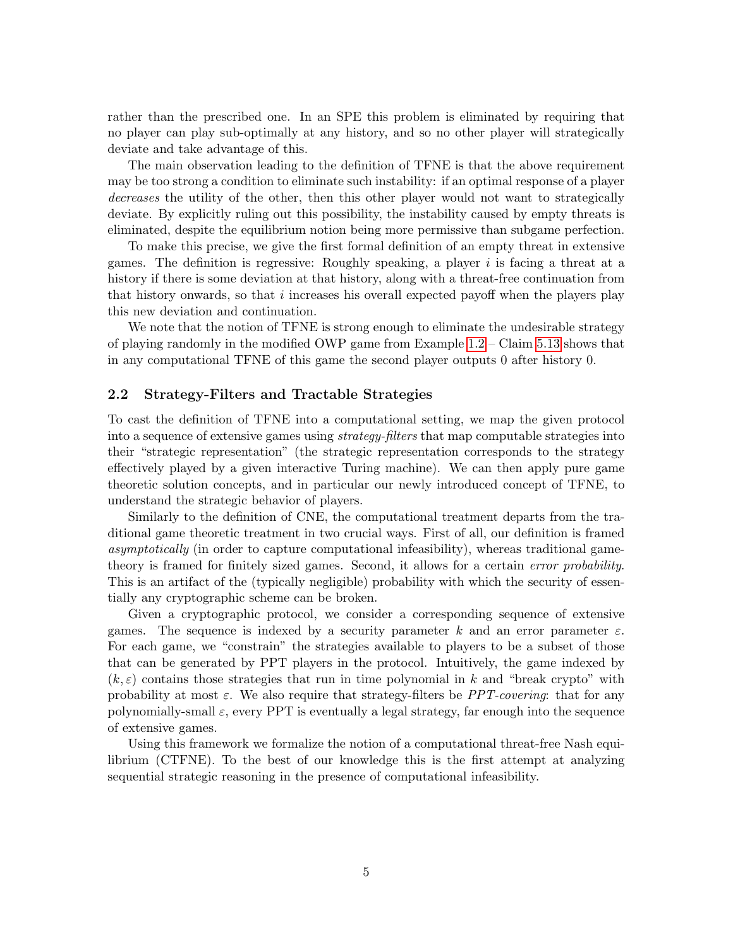rather than the prescribed one. In an SPE this problem is eliminated by requiring that no player can play sub-optimally at any history, and so no other player will strategically deviate and take advantage of this.

The main observation leading to the definition of TFNE is that the above requirement may be too strong a condition to eliminate such instability: if an optimal response of a player decreases the utility of the other, then this other player would not want to strategically deviate. By explicitly ruling out this possibility, the instability caused by empty threats is eliminated, despite the equilibrium notion being more permissive than subgame perfection.

To make this precise, we give the first formal definition of an empty threat in extensive games. The definition is regressive: Roughly speaking, a player  $i$  is facing a threat at a history if there is some deviation at that history, along with a threat-free continuation from that history onwards, so that  $i$  increases his overall expected payoff when the players play this new deviation and continuation.

We note that the notion of TFNE is strong enough to eliminate the undesirable strategy of playing randomly in the modified OWP game from Example [1.2](#page-3-1) – Claim [5.13](#page-21-2) shows that in any computational TFNE of this game the second player outputs 0 after history 0.

### <span id="page-5-0"></span>2.2 Strategy-Filters and Tractable Strategies

To cast the definition of TFNE into a computational setting, we map the given protocol into a sequence of extensive games using *strategy-filters* that map computable strategies into their "strategic representation" (the strategic representation corresponds to the strategy effectively played by a given interactive Turing machine). We can then apply pure game theoretic solution concepts, and in particular our newly introduced concept of TFNE, to understand the strategic behavior of players.

Similarly to the definition of CNE, the computational treatment departs from the traditional game theoretic treatment in two crucial ways. First of all, our definition is framed asymptotically (in order to capture computational infeasibility), whereas traditional gametheory is framed for finitely sized games. Second, it allows for a certain *error probability*. This is an artifact of the (typically negligible) probability with which the security of essentially any cryptographic scheme can be broken.

Given a cryptographic protocol, we consider a corresponding sequence of extensive games. The sequence is indexed by a security parameter k and an error parameter  $\varepsilon$ . For each game, we "constrain" the strategies available to players to be a subset of those that can be generated by PPT players in the protocol. Intuitively, the game indexed by  $(k, \varepsilon)$  contains those strategies that run in time polynomial in k and "break crypto" with probability at most  $\varepsilon$ . We also require that strategy-filters be *PPT-covering*: that for any polynomially-small  $\varepsilon$ , every PPT is eventually a legal strategy, far enough into the sequence of extensive games.

Using this framework we formalize the notion of a computational threat-free Nash equilibrium (CTFNE). To the best of our knowledge this is the first attempt at analyzing sequential strategic reasoning in the presence of computational infeasibility.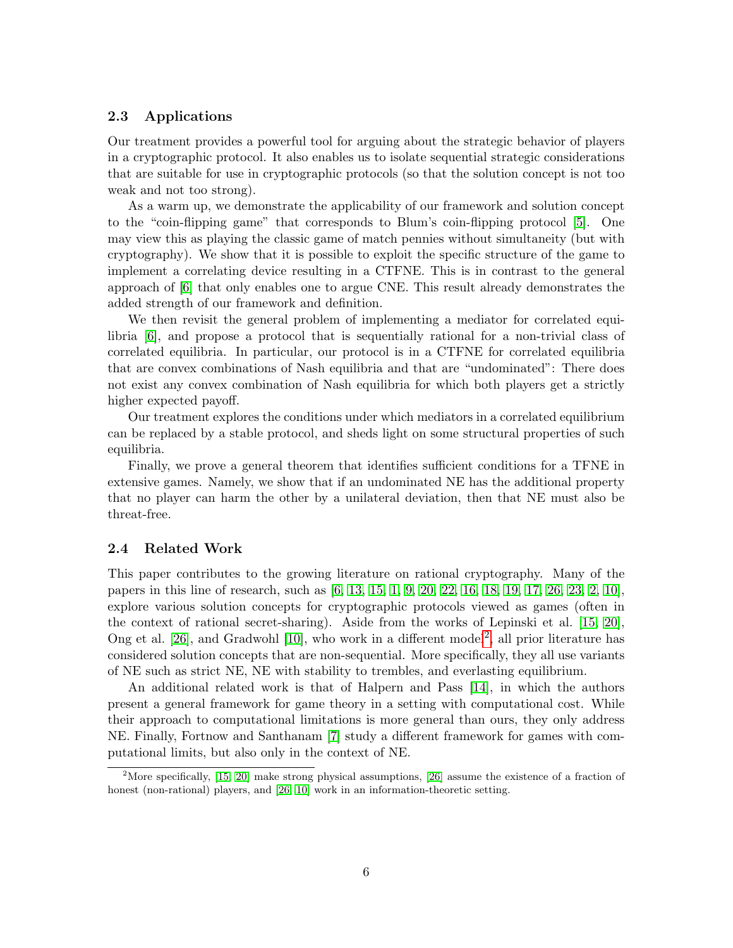# <span id="page-6-0"></span>2.3 Applications

Our treatment provides a powerful tool for arguing about the strategic behavior of players in a cryptographic protocol. It also enables us to isolate sequential strategic considerations that are suitable for use in cryptographic protocols (so that the solution concept is not too weak and not too strong).

As a warm up, we demonstrate the applicability of our framework and solution concept to the "coin-flipping game" that corresponds to Blum's coin-flipping protocol [\[5\]](#page-35-4). One may view this as playing the classic game of match pennies without simultaneity (but with cryptography). We show that it is possible to exploit the specific structure of the game to implement a correlating device resulting in a CTFNE. This is in contrast to the general approach of [\[6\]](#page-35-3) that only enables one to argue CNE. This result already demonstrates the added strength of our framework and definition.

We then revisit the general problem of implementing a mediator for correlated equilibria [\[6\]](#page-35-3), and propose a protocol that is sequentially rational for a non-trivial class of correlated equilibria. In particular, our protocol is in a CTFNE for correlated equilibria that are convex combinations of Nash equilibria and that are "undominated": There does not exist any convex combination of Nash equilibria for which both players get a strictly higher expected payoff.

Our treatment explores the conditions under which mediators in a correlated equilibrium can be replaced by a stable protocol, and sheds light on some structural properties of such equilibria.

Finally, we prove a general theorem that identifies sufficient conditions for a TFNE in extensive games. Namely, we show that if an undominated NE has the additional property that no player can harm the other by a unilateral deviation, then that NE must also be threat-free.

### <span id="page-6-1"></span>2.4 Related Work

This paper contributes to the growing literature on rational cryptography. Many of the papers in this line of research, such as [\[6,](#page-35-3) [13,](#page-35-5) [15,](#page-35-6) [1,](#page-34-1) [9,](#page-35-7) [20,](#page-36-3) [22,](#page-36-4) [16,](#page-35-2) [18,](#page-36-5) [19,](#page-36-1) [17,](#page-35-8) [26,](#page-36-2) [23,](#page-36-6) [2,](#page-35-9) [10\]](#page-35-10), explore various solution concepts for cryptographic protocols viewed as games (often in the context of rational secret-sharing). Aside from the works of Lepinski et al. [\[15,](#page-35-6) [20\]](#page-36-3), Ong et al.  $[26]$  $[26]$  $[26]$ , and Gradwohl  $[10]$ , who work in a different model<sup>2</sup>, all prior literature has considered solution concepts that are non-sequential. More specifically, they all use variants of NE such as strict NE, NE with stability to trembles, and everlasting equilibrium.

An additional related work is that of Halpern and Pass [\[14\]](#page-35-11), in which the authors present a general framework for game theory in a setting with computational cost. While their approach to computational limitations is more general than ours, they only address NE. Finally, Fortnow and Santhanam [\[7\]](#page-35-1) study a different framework for games with computational limits, but also only in the context of NE.

<span id="page-6-2"></span><sup>&</sup>lt;sup>2</sup>More specifically, [\[15,](#page-35-6) [20\]](#page-36-3) make strong physical assumptions, [\[26\]](#page-36-2) assume the existence of a fraction of honest (non-rational) players, and [\[26,](#page-36-2) [10\]](#page-35-10) work in an information-theoretic setting.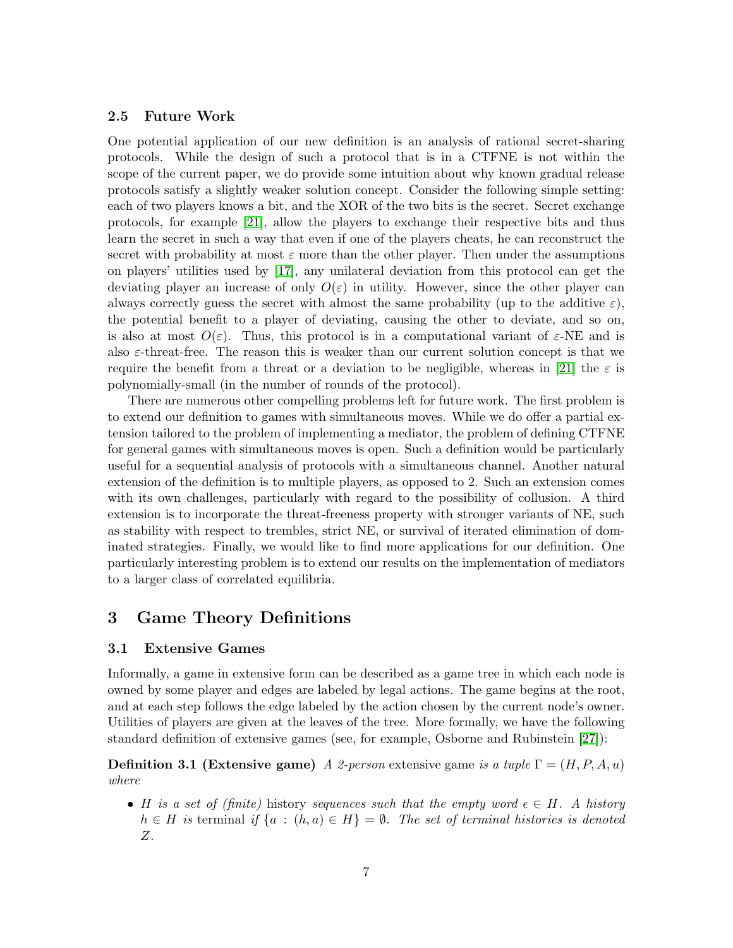### <span id="page-7-0"></span>2.5 Future Work

One potential application of our new definition is an analysis of rational secret-sharing protocols. While the design of such a protocol that is in a CTFNE is not within the scope of the current paper, we do provide some intuition about why known gradual release protocols satisfy a slightly weaker solution concept. Consider the following simple setting: each of two players knows a bit, and the XOR of the two bits is the secret. Secret exchange protocols, for example [\[21\]](#page-36-7), allow the players to exchange their respective bits and thus learn the secret in such a way that even if one of the players cheats, he can reconstruct the secret with probability at most  $\varepsilon$  more than the other player. Then under the assumptions on players' utilities used by [\[17\]](#page-35-8), any unilateral deviation from this protocol can get the deviating player an increase of only  $O(\varepsilon)$  in utility. However, since the other player can always correctly guess the secret with almost the same probability (up to the additive  $\varepsilon$ ), the potential benefit to a player of deviating, causing the other to deviate, and so on, is also at most  $O(\varepsilon)$ . Thus, this protocol is in a computational variant of  $\varepsilon$ -NE and is also  $\varepsilon$ -threat-free. The reason this is weaker than our current solution concept is that we require the benefit from a threat or a deviation to be negligible, whereas in [\[21\]](#page-36-7) the  $\varepsilon$  is polynomially-small (in the number of rounds of the protocol).

There are numerous other compelling problems left for future work. The first problem is to extend our definition to games with simultaneous moves. While we do offer a partial extension tailored to the problem of implementing a mediator, the problem of defining CTFNE for general games with simultaneous moves is open. Such a definition would be particularly useful for a sequential analysis of protocols with a simultaneous channel. Another natural extension of the definition is to multiple players, as opposed to 2. Such an extension comes with its own challenges, particularly with regard to the possibility of collusion. A third extension is to incorporate the threat-freeness property with stronger variants of NE, such as stability with respect to trembles, strict NE, or survival of iterated elimination of dominated strategies. Finally, we would like to find more applications for our definition. One particularly interesting problem is to extend our results on the implementation of mediators to a larger class of correlated equilibria.

# <span id="page-7-1"></span>3 Game Theory Definitions

#### <span id="page-7-2"></span>3.1 Extensive Games

Informally, a game in extensive form can be described as a game tree in which each node is owned by some player and edges are labeled by legal actions. The game begins at the root, and at each step follows the edge labeled by the action chosen by the current node's owner. Utilities of players are given at the leaves of the tree. More formally, we have the following standard definition of extensive games (see, for example, Osborne and Rubinstein [\[27\]](#page-36-8)):

**Definition 3.1 (Extensive game)** A 2-person extensive game is a tuple  $\Gamma = (H, P, A, u)$ where

• H is a set of (finite) history sequences such that the empty word  $\epsilon \in H$ . A history  $h \in H$  is terminal if  $\{a : (h,a) \in H\} = \emptyset$ . The set of terminal histories is denoted Z.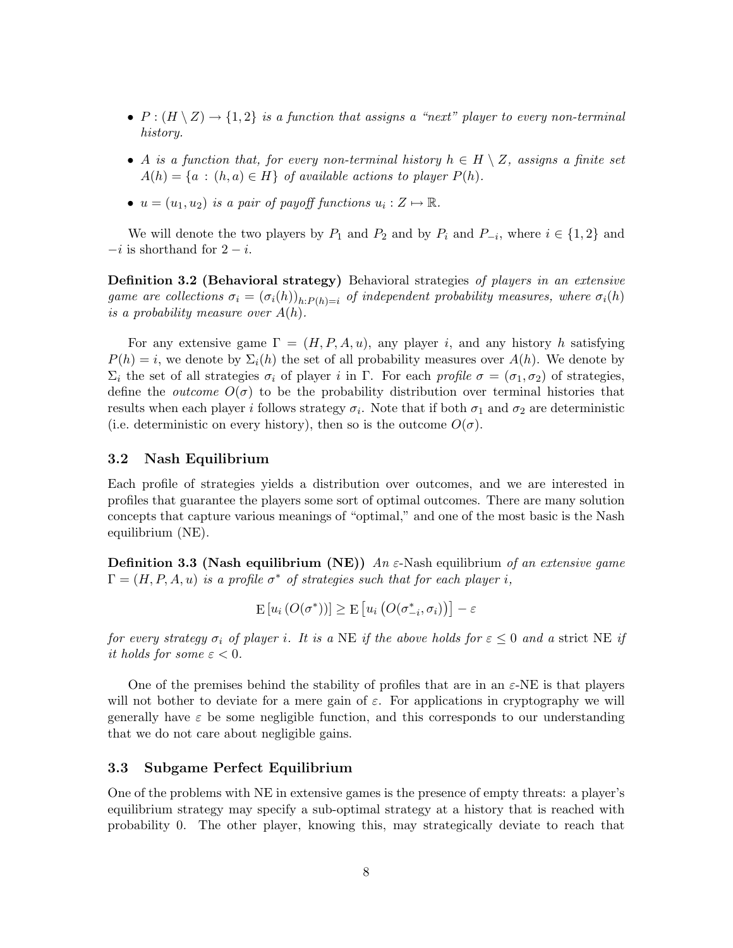- $P: (H \setminus Z) \to \{1,2\}$  is a function that assigns a "next" player to every non-terminal history.
- A is a function that, for every non-terminal history  $h \in H \setminus Z$ , assigns a finite set  $A(h) = \{a : (h, a) \in H\}$  of available actions to player  $P(h)$ .
- $u = (u_1, u_2)$  is a pair of payoff functions  $u_i : Z \mapsto \mathbb{R}$ .

We will denote the two players by  $P_1$  and  $P_2$  and by  $P_i$  and  $P_{-i}$ , where  $i \in \{1,2\}$  and  $-i$  is shorthand for  $2 - i$ .

**Definition 3.2 (Behavioral strategy)** Behavioral strategies of players in an extensive game are collections  $\sigma_i = (\sigma_i(h))_{h:P(h)=i}$  of independent probability measures, where  $\sigma_i(h)$ is a probability measure over  $A(h)$ .

For any extensive game  $\Gamma = (H, P, A, u)$ , any player i, and any history h satisfying  $P(h) = i$ , we denote by  $\Sigma_i(h)$  the set of all probability measures over  $A(h)$ . We denote by  $\Sigma_i$  the set of all strategies  $\sigma_i$  of player i in Γ. For each profile  $\sigma = (\sigma_1, \sigma_2)$  of strategies, define the *outcome*  $O(\sigma)$  to be the probability distribution over terminal histories that results when each player *i* follows strategy  $\sigma_i$ . Note that if both  $\sigma_1$  and  $\sigma_2$  are deterministic (i.e. deterministic on every history), then so is the outcome  $O(\sigma)$ .

#### <span id="page-8-0"></span>3.2 Nash Equilibrium

Each profile of strategies yields a distribution over outcomes, and we are interested in profiles that guarantee the players some sort of optimal outcomes. There are many solution concepts that capture various meanings of "optimal," and one of the most basic is the Nash equilibrium (NE).

**Definition 3.3 (Nash equilibrium (NE))** An  $\varepsilon$ -Nash equilibrium of an extensive game  $\Gamma = (H, P, A, u)$  is a profile  $\sigma^*$  of strategies such that for each player i,

$$
\mathrm{E}\left[u_i\left(O(\sigma^*)\right)\right] \geq \mathrm{E}\left[u_i\left(O(\sigma_{-i}^*, \sigma_i)\right)\right] - \varepsilon
$$

for every strategy  $\sigma_i$  of player i. It is a NE if the above holds for  $\varepsilon \leq 0$  and a strict NE if it holds for some  $\varepsilon < 0$ .

One of the premises behind the stability of profiles that are in an  $\varepsilon$ -NE is that players will not bother to deviate for a mere gain of  $\varepsilon$ . For applications in cryptography we will generally have  $\varepsilon$  be some negligible function, and this corresponds to our understanding that we do not care about negligible gains.

### <span id="page-8-1"></span>3.3 Subgame Perfect Equilibrium

One of the problems with NE in extensive games is the presence of empty threats: a player's equilibrium strategy may specify a sub-optimal strategy at a history that is reached with probability 0. The other player, knowing this, may strategically deviate to reach that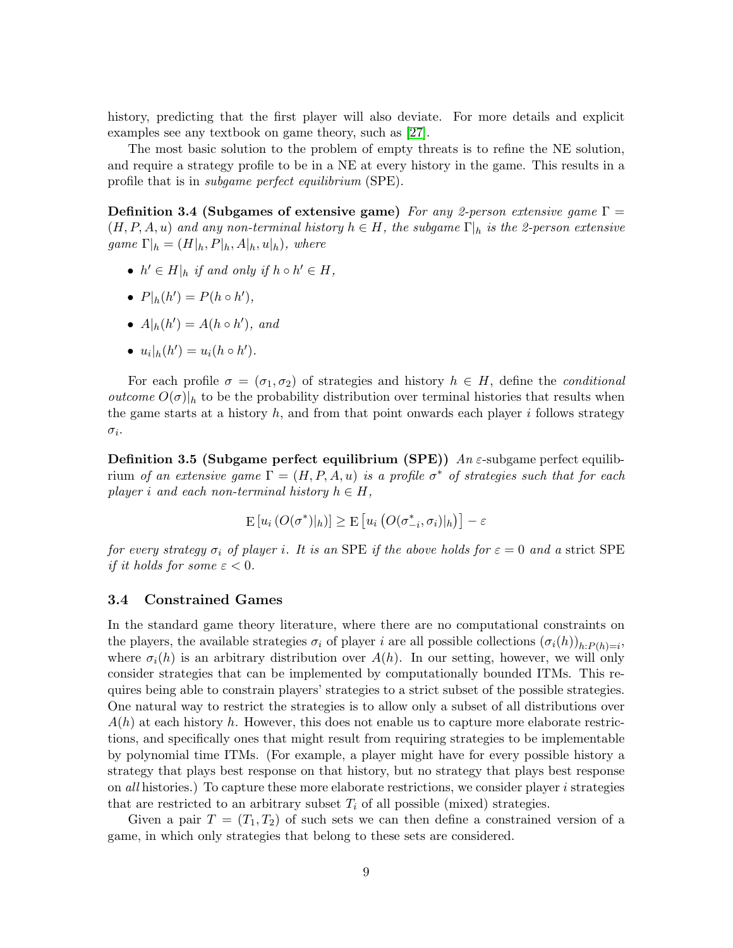history, predicting that the first player will also deviate. For more details and explicit examples see any textbook on game theory, such as [\[27\]](#page-36-8).

The most basic solution to the problem of empty threats is to refine the NE solution, and require a strategy profile to be in a NE at every history in the game. This results in a profile that is in subgame perfect equilibrium (SPE).

Definition 3.4 (Subgames of extensive game) For any 2-person extensive game  $\Gamma =$  $(H, P, A, u)$  and any non-terminal history  $h \in H$ , the subgame  $\Gamma |_{h}$  is the 2-person extensive game  $\Gamma|_h = (H|_h, P|_h, A|_h, u|_h)$ , where

- $h' \in H|_h$  if and only if  $h \circ h' \in H$ ,
- $P|_h(h') = P(h \circ h'),$
- $A|_h(h') = A(h \circ h'),$  and
- $u_i|_h(h') = u_i(h \circ h').$

For each profile  $\sigma = (\sigma_1, \sigma_2)$  of strategies and history  $h \in H$ , define the *conditional outcome*  $O(\sigma)|_h$  to be the probability distribution over terminal histories that results when the game starts at a history  $h$ , and from that point onwards each player i follows strategy  $\sigma_i$ .

Definition 3.5 (Subgame perfect equilibrium (SPE))  $An \varepsilon$ -subgame perfect equilibrium of an extensive game  $\Gamma = (H, P, A, u)$  is a profile  $\sigma^*$  of strategies such that for each player i and each non-terminal history  $h \in H$ ,

$$
\mathop{\mathrm{E}}\left[u_i\left(O(\sigma^*)|_h\right)\right] \geq \mathop{\mathrm{E}}\left[u_i\left(O(\sigma^*_{-i}, \sigma_i)|_h\right)\right] - \varepsilon
$$

for every strategy  $\sigma_i$  of player i. It is an SPE if the above holds for  $\varepsilon = 0$  and a strict SPE *if it holds for some*  $\varepsilon < 0$ .

#### <span id="page-9-0"></span>3.4 Constrained Games

In the standard game theory literature, where there are no computational constraints on the players, the available strategies  $\sigma_i$  of player i are all possible collections  $(\sigma_i(h))_{h:P(h)=i}$ , where  $\sigma_i(h)$  is an arbitrary distribution over  $A(h)$ . In our setting, however, we will only consider strategies that can be implemented by computationally bounded ITMs. This requires being able to constrain players' strategies to a strict subset of the possible strategies. One natural way to restrict the strategies is to allow only a subset of all distributions over  $A(h)$  at each history h. However, this does not enable us to capture more elaborate restrictions, and specifically ones that might result from requiring strategies to be implementable by polynomial time ITMs. (For example, a player might have for every possible history a strategy that plays best response on that history, but no strategy that plays best response on *all* histories.) To capture these more elaborate restrictions, we consider player  $i$  strategies that are restricted to an arbitrary subset  $T_i$  of all possible (mixed) strategies.

<span id="page-9-1"></span>Given a pair  $T = (T_1, T_2)$  of such sets we can then define a constrained version of a game, in which only strategies that belong to these sets are considered.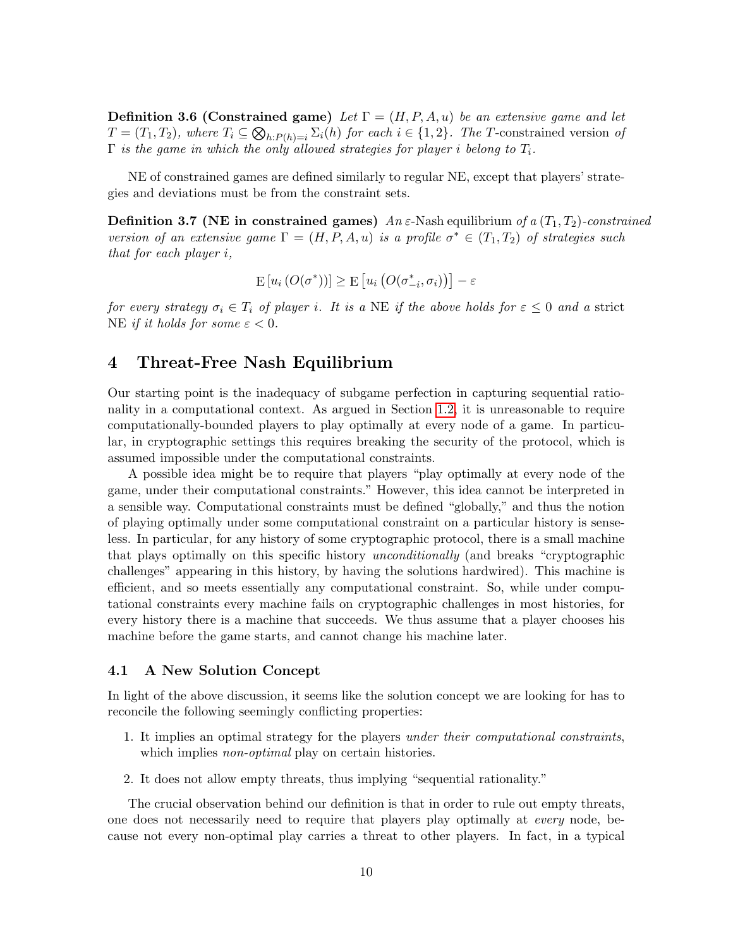**Definition 3.6 (Constrained game)** Let  $\Gamma = (H, P, A, u)$  be an extensive game and let  $T = (T_1, T_2)$ , where  $T_i \subseteq \bigotimes_{h:P(h)=i} \Sigma_i(h)$  for each  $i \in \{1,2\}$ . The T-constrained version of  $\Gamma$  is the game in which the only allowed strategies for player i belong to  $T_i$ .

NE of constrained games are defined similarly to regular NE, except that players' strategies and deviations must be from the constraint sets.

**Definition 3.7 (NE in constrained games)**  $An \in \mathbb{N}$ ash equilibrium of a  $(T_1, T_2)$ -constrained version of an extensive game  $\Gamma = (H, P, A, u)$  is a profile  $\sigma^* \in (T_1, T_2)$  of strategies such that for each player i,

$$
\mathrm{E}\left[u_i\left(O(\sigma^*)\right)\right] \geq \mathrm{E}\left[u_i\left(O(\sigma^*_{-i}, \sigma_i)\right)\right] - \varepsilon
$$

for every strategy  $\sigma_i \in T_i$  of player i. It is a NE if the above holds for  $\varepsilon \leq 0$  and a strict NE if it holds for some  $\varepsilon < 0$ .

# <span id="page-10-0"></span>4 Threat-Free Nash Equilibrium

Our starting point is the inadequacy of subgame perfection in capturing sequential rationality in a computational context. As argued in Section [1.2,](#page-3-0) it is unreasonable to require computationally-bounded players to play optimally at every node of a game. In particular, in cryptographic settings this requires breaking the security of the protocol, which is assumed impossible under the computational constraints.

A possible idea might be to require that players "play optimally at every node of the game, under their computational constraints." However, this idea cannot be interpreted in a sensible way. Computational constraints must be defined "globally," and thus the notion of playing optimally under some computational constraint on a particular history is senseless. In particular, for any history of some cryptographic protocol, there is a small machine that plays optimally on this specific history unconditionally (and breaks "cryptographic challenges" appearing in this history, by having the solutions hardwired). This machine is efficient, and so meets essentially any computational constraint. So, while under computational constraints every machine fails on cryptographic challenges in most histories, for every history there is a machine that succeeds. We thus assume that a player chooses his machine before the game starts, and cannot change his machine later.

## <span id="page-10-1"></span>4.1 A New Solution Concept

In light of the above discussion, it seems like the solution concept we are looking for has to reconcile the following seemingly conflicting properties:

- 1. It implies an optimal strategy for the players under their computational constraints, which implies *non-optimal* play on certain histories.
- 2. It does not allow empty threats, thus implying "sequential rationality."

The crucial observation behind our definition is that in order to rule out empty threats, one does not necessarily need to require that players play optimally at *every* node, because not every non-optimal play carries a threat to other players. In fact, in a typical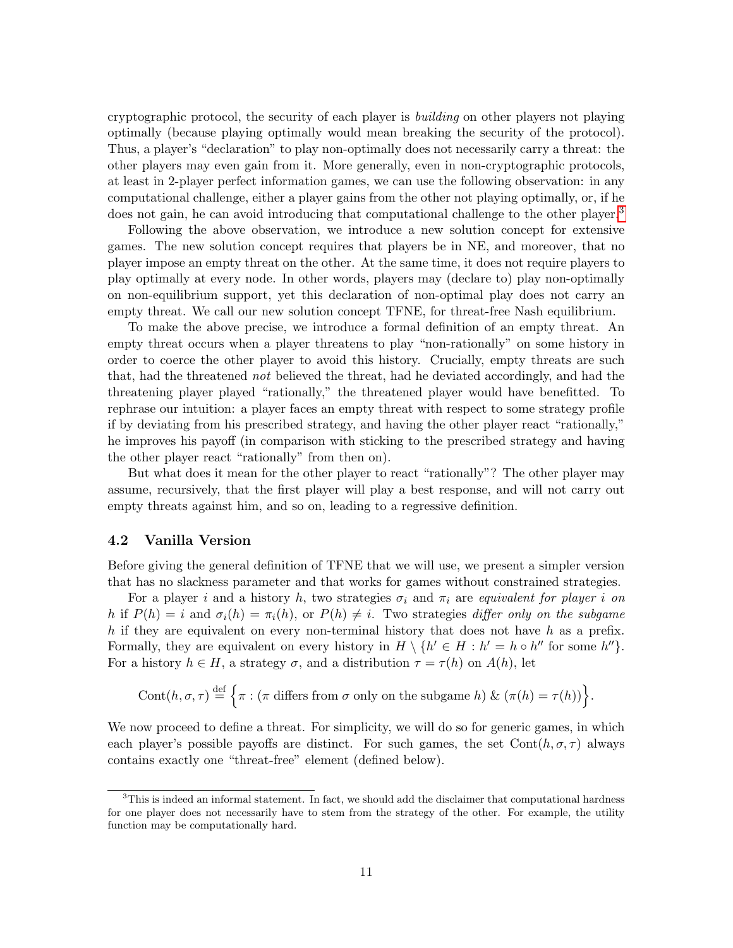cryptographic protocol, the security of each player is building on other players not playing optimally (because playing optimally would mean breaking the security of the protocol). Thus, a player's "declaration" to play non-optimally does not necessarily carry a threat: the other players may even gain from it. More generally, even in non-cryptographic protocols, at least in 2-player perfect information games, we can use the following observation: in any computational challenge, either a player gains from the other not playing optimally, or, if he does not gain, he can avoid introducing that computational challenge to the other player.<sup>[3](#page-11-1)</sup>

Following the above observation, we introduce a new solution concept for extensive games. The new solution concept requires that players be in NE, and moreover, that no player impose an empty threat on the other. At the same time, it does not require players to play optimally at every node. In other words, players may (declare to) play non-optimally on non-equilibrium support, yet this declaration of non-optimal play does not carry an empty threat. We call our new solution concept TFNE, for threat-free Nash equilibrium.

To make the above precise, we introduce a formal definition of an empty threat. An empty threat occurs when a player threatens to play "non-rationally" on some history in order to coerce the other player to avoid this history. Crucially, empty threats are such that, had the threatened not believed the threat, had he deviated accordingly, and had the threatening player played "rationally," the threatened player would have benefitted. To rephrase our intuition: a player faces an empty threat with respect to some strategy profile if by deviating from his prescribed strategy, and having the other player react "rationally," he improves his payoff (in comparison with sticking to the prescribed strategy and having the other player react "rationally" from then on).

But what does it mean for the other player to react "rationally"? The other player may assume, recursively, that the first player will play a best response, and will not carry out empty threats against him, and so on, leading to a regressive definition.

# <span id="page-11-0"></span>4.2 Vanilla Version

Before giving the general definition of TFNE that we will use, we present a simpler version that has no slackness parameter and that works for games without constrained strategies.

For a player i and a history h, two strategies  $\sigma_i$  and  $\pi_i$  are equivalent for player i on h if  $P(h) = i$  and  $\sigma_i(h) = \pi_i(h)$ , or  $P(h) \neq i$ . Two strategies differ only on the subgame h if they are equivalent on every non-terminal history that does not have h as a prefix. Formally, they are equivalent on every history in  $H \setminus \{h' \in H : h' = h \circ h'' \text{ for some } h''\}.$ For a history  $h \in H$ , a strategy  $\sigma$ , and a distribution  $\tau = \tau(h)$  on  $A(h)$ , let

Cont
$$
(h, \sigma, \tau)
$$
  $\stackrel{\text{def}}{=} \left\{ \pi : (\pi \text{ differs from } \sigma \text{ only on the subgame } h) \& (\pi(h) = \tau(h)) \right\}.$ 

We now proceed to define a threat. For simplicity, we will do so for generic games, in which each player's possible payoffs are distinct. For such games, the set Cont $(h, \sigma, \tau)$  always contains exactly one "threat-free" element (defined below).

<span id="page-11-2"></span><span id="page-11-1"></span> $3$ This is indeed an informal statement. In fact, we should add the disclaimer that computational hardness for one player does not necessarily have to stem from the strategy of the other. For example, the utility function may be computationally hard.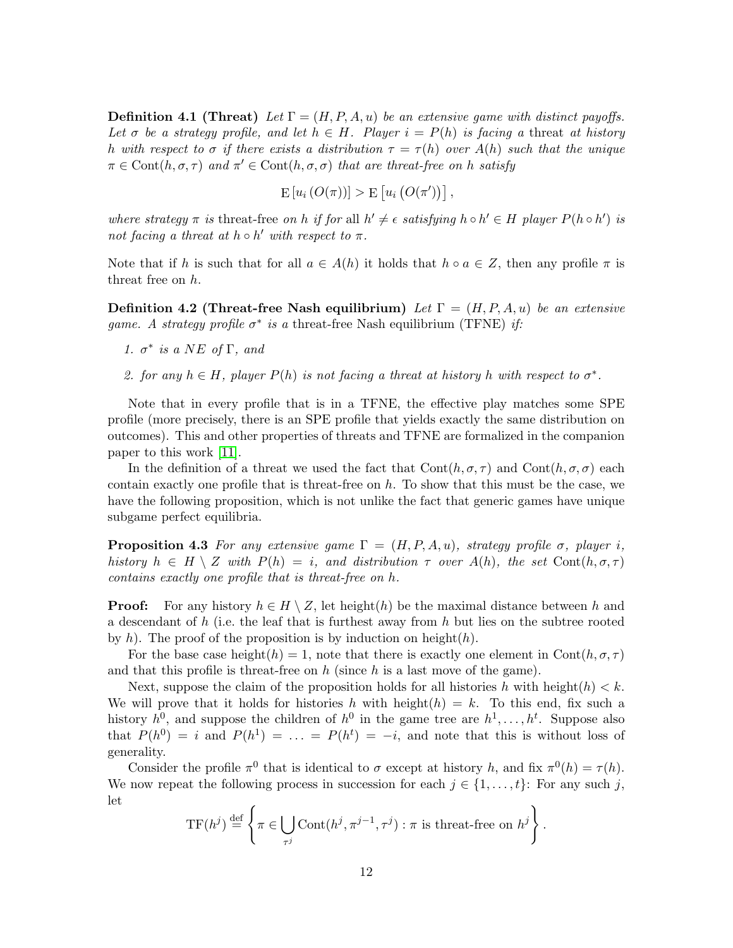**Definition 4.1 (Threat)** Let  $\Gamma = (H, P, A, u)$  be an extensive game with distinct payoffs. Let  $\sigma$  be a strategy profile, and let  $h \in H$ . Player  $i = P(h)$  is facing a threat at history h with respect to  $\sigma$  if there exists a distribution  $\tau = \tau(h)$  over  $A(h)$  such that the unique  $\pi \in \text{Cont}(h,\sigma,\tau)$  and  $\pi' \in \text{Cont}(h,\sigma,\sigma)$  that are threat-free on h satisfy

$$
\mathrm{E}\left[u_i\left(O(\pi)\right)\right] > \mathrm{E}\left[u_i\left(O(\pi')\right)\right],
$$

where strategy  $\pi$  is threat-free on h if for all  $h' \neq \epsilon$  satisfying  $h \circ h' \in H$  player  $P(h \circ h')$  is not facing a threat at  $h \circ h'$  with respect to  $\pi$ .

Note that if h is such that for all  $a \in A(h)$  it holds that  $h \circ a \in Z$ , then any profile  $\pi$  is threat free on h.

Definition 4.2 (Threat-free Nash equilibrium) Let  $\Gamma = (H, P, A, u)$  be an extensive game. A strategy profile  $\sigma^*$  is a threat-free Nash equilibrium (TFNE) if:

- 1.  $\sigma^*$  is a NE of  $\Gamma$ , and
- 2. for any  $h \in H$ , player  $P(h)$  is not facing a threat at history h with respect to  $\sigma^*$ .

Note that in every profile that is in a TFNE, the effective play matches some SPE profile (more precisely, there is an SPE profile that yields exactly the same distribution on outcomes). This and other properties of threats and TFNE are formalized in the companion paper to this work [\[11\]](#page-35-12).

In the definition of a threat we used the fact that  $Cont(h, \sigma, \tau)$  and  $Cont(h, \sigma, \sigma)$  each contain exactly one profile that is threat-free on  $h$ . To show that this must be the case, we have the following proposition, which is not unlike the fact that generic games have unique subgame perfect equilibria.

**Proposition 4.3** For any extensive game  $\Gamma = (H, P, A, u)$ , strategy profile  $\sigma$ , player i, history  $h \in H \setminus Z$  with  $P(h) = i$ , and distribution  $\tau$  over  $A(h)$ , the set Cont $(h, \sigma, \tau)$ contains exactly one profile that is threat-free on h.

**Proof:** For any history  $h \in H \setminus Z$ , let height(h) be the maximal distance between h and a descendant of h (i.e. the leaf that is furthest away from h but lies on the subtree rooted by h). The proof of the proposition is by induction on height(h).

For the base case height(h) = 1, note that there is exactly one element in Cont $(h, \sigma, \tau)$ and that this profile is threat-free on  $h$  (since  $h$  is a last move of the game).

Next, suppose the claim of the proposition holds for all histories h with height(h)  $\lt k$ . We will prove that it holds for histories h with height $(h) = k$ . To this end, fix such a history  $h^0$ , and suppose the children of  $h^0$  in the game tree are  $h^1, \ldots, h^t$ . Suppose also that  $P(h^0) = i$  and  $P(h^1) = \ldots = P(h^t) = -i$ , and note that this is without loss of generality.

Consider the profile  $\pi^0$  that is identical to  $\sigma$  except at history h, and fix  $\pi^0(h) = \tau(h)$ . We now repeat the following process in succession for each  $j \in \{1, \ldots, t\}$ : For any such j, let

$$
\mathrm{TF}(h^j) \stackrel{\mathrm{def}}{=} \left\{ \pi \in \bigcup_{\tau^j} \mathrm{Cont}(h^j, \pi^{j-1}, \tau^j) : \pi \text{ is threat-free on } h^j \right\}.
$$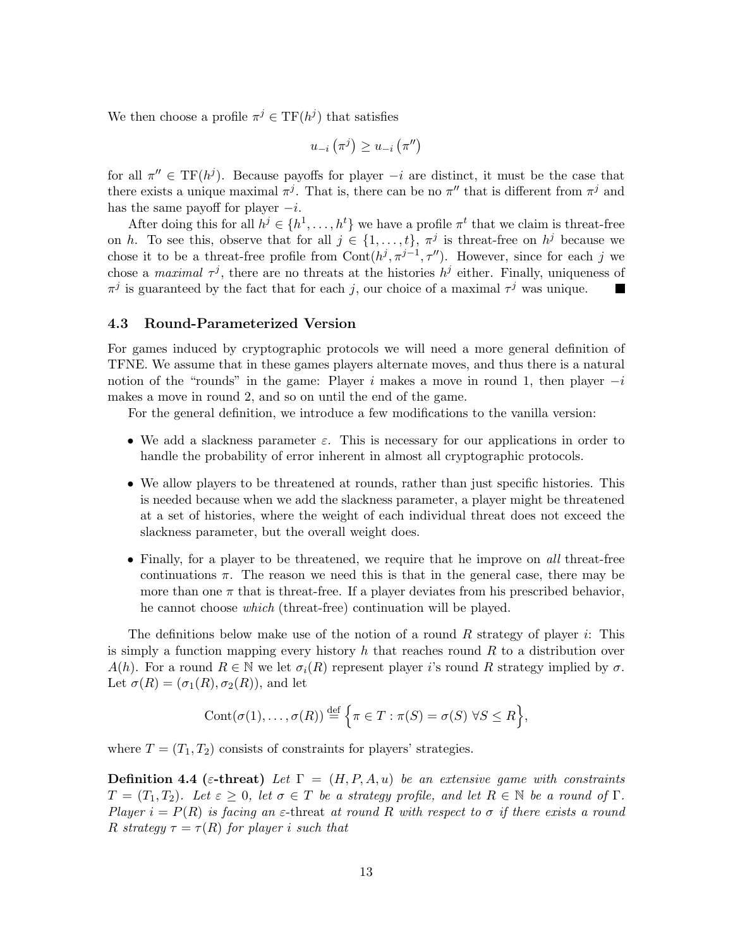We then choose a profile  $\pi^{j} \in \mathrm{TF}(h^{j})$  that satisfies

$$
u_{-i}\left(\pi^j\right) \geq u_{-i}\left(\pi''\right)
$$

for all  $\pi'' \in \text{TF}(h^j)$ . Because payoffs for player  $-i$  are distinct, it must be the case that there exists a unique maximal  $\pi^{j}$ . That is, there can be no  $\pi''$  that is different from  $\pi^{j}$  and has the same payoff for player  $-i$ .

After doing this for all  $h^j \in \{h^1, \ldots, h^t\}$  we have a profile  $\pi^t$  that we claim is threat-free on h. To see this, observe that for all  $j \in \{1, \ldots, t\}$ ,  $\pi^j$  is threat-free on  $h^j$  because we chose it to be a threat-free profile from  $Cont(h^j, \pi^{j-1}, \tau'')$ . However, since for each j we chose a *maximal*  $\tau^{j}$ , there are no threats at the histories  $h^{j}$  either. Finally, uniqueness of  $\pi^{j}$  is guaranteed by the fact that for each j, our choice of a maximal  $\tau^{j}$  was unique. ш

## <span id="page-13-0"></span>4.3 Round-Parameterized Version

For games induced by cryptographic protocols we will need a more general definition of TFNE. We assume that in these games players alternate moves, and thus there is a natural notion of the "rounds" in the game: Player i makes a move in round 1, then player  $-i$ makes a move in round 2, and so on until the end of the game.

For the general definition, we introduce a few modifications to the vanilla version:

- We add a slackness parameter  $\varepsilon$ . This is necessary for our applications in order to handle the probability of error inherent in almost all cryptographic protocols.
- We allow players to be threatened at rounds, rather than just specific histories. This is needed because when we add the slackness parameter, a player might be threatened at a set of histories, where the weight of each individual threat does not exceed the slackness parameter, but the overall weight does.
- Finally, for a player to be threatened, we require that he improve on all threat-free continuations  $\pi$ . The reason we need this is that in the general case, there may be more than one  $\pi$  that is threat-free. If a player deviates from his prescribed behavior, he cannot choose which (threat-free) continuation will be played.

The definitions below make use of the notion of a round  $R$  strategy of player i: This is simply a function mapping every history  $h$  that reaches round  $R$  to a distribution over  $A(h)$ . For a round  $R \in \mathbb{N}$  we let  $\sigma_i(R)$  represent player is round R strategy implied by  $\sigma$ . Let  $\sigma(R) = (\sigma_1(R), \sigma_2(R))$ , and let

$$
Cont(\sigma(1),..., \sigma(R)) \stackrel{\text{def}}{=} \Big\{ \pi \in T : \pi(S) = \sigma(S) \ \forall S \leq R \Big\},\
$$

<span id="page-13-1"></span>where  $T = (T_1, T_2)$  consists of constraints for players' strategies.

**Definition 4.4 (ε-threat)** Let  $\Gamma = (H, P, A, u)$  be an extensive game with constraints  $T = (T_1, T_2)$ . Let  $\varepsilon \geq 0$ , let  $\sigma \in T$  be a strategy profile, and let  $R \in \mathbb{N}$  be a round of  $\Gamma$ . Player  $i = P(R)$  is facing an  $\varepsilon$ -threat at round R with respect to  $\sigma$  if there exists a round R strategy  $\tau = \tau(R)$  for player i such that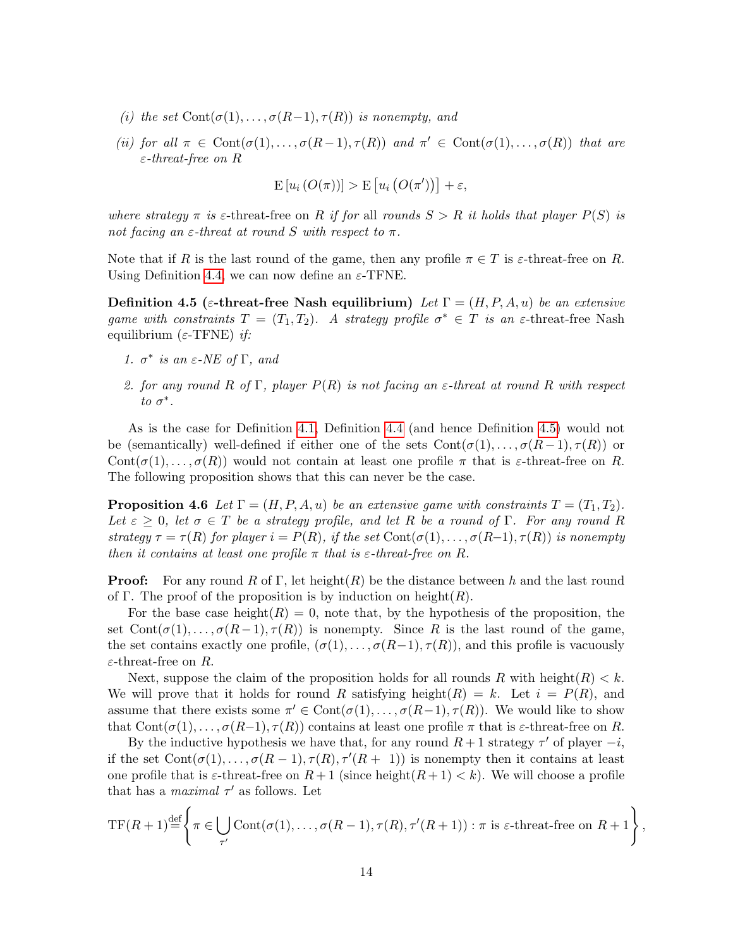- (i) the set Cont $(\sigma(1), \ldots, \sigma(R-1), \tau(R))$  is nonempty, and
- (ii) for all  $\pi \in \text{Cont}(\sigma(1),...,\sigma(R-1),\tau(R))$  and  $\pi' \in \text{Cont}(\sigma(1),...,\sigma(R))$  that are ε-threat-free on R

$$
\mathrm{E}\left[u_i\left(O(\pi)\right)\right] > \mathrm{E}\left[u_i\left(O(\pi')\right)\right] + \varepsilon,
$$

where strategy  $\pi$  is  $\varepsilon$ -threat-free on R if for all rounds  $S > R$  it holds that player  $P(S)$  is not facing an  $\varepsilon$ -threat at round S with respect to  $\pi$ .

Note that if R is the last round of the game, then any profile  $\pi \in T$  is  $\varepsilon$ -threat-free on R. Using Definition [4.4,](#page-13-1) we can now define an  $\varepsilon$ -TFNE.

<span id="page-14-0"></span>Definition 4.5 (ε-threat-free Nash equilibrium) Let  $\Gamma = (H, P, A, u)$  be an extensive game with constraints  $T = (T_1, T_2)$ . A strategy profile  $\sigma^* \in T$  is an  $\varepsilon$ -threat-free Nash equilibrium ( $\varepsilon$ -TFNE) *if*:

- 1.  $\sigma^*$  is an  $\varepsilon$ -NE of  $\Gamma$ , and
- 2. for any round R of  $\Gamma$ , player  $P(R)$  is not facing an  $\varepsilon$ -threat at round R with respect to  $\sigma^*$ .

As is the case for Definition [4.1,](#page-11-2) Definition [4.4](#page-13-1) (and hence Definition [4.5\)](#page-14-0) would not be (semantically) well-defined if either one of the sets  $Cont(\sigma(1), \ldots, \sigma(R-1), \tau(R))$  or Cont $(\sigma(1), \ldots, \sigma(R))$  would not contain at least one profile  $\pi$  that is  $\varepsilon$ -threat-free on R. The following proposition shows that this can never be the case.

<span id="page-14-1"></span>**Proposition 4.6** Let  $\Gamma = (H, P, A, u)$  be an extensive game with constraints  $T = (T_1, T_2)$ . Let  $\varepsilon > 0$ , let  $\sigma \in T$  be a strategy profile, and let R be a round of  $\Gamma$ . For any round R strategy  $\tau = \tau(R)$  for player  $i = P(R)$ , if the set  $Cont(\sigma(1), \ldots, \sigma(R-1), \tau(R))$  is nonempty then it contains at least one profile  $\pi$  that is  $\varepsilon$ -threat-free on R.

**Proof:** For any round R of Γ, let height(R) be the distance between h and the last round of Γ. The proof of the proposition is by induction on height(R).

For the base case height( $R$ ) = 0, note that, by the hypothesis of the proposition, the set  $Cont(\sigma(1), \ldots, \sigma(R-1), \tau(R))$  is nonempty. Since R is the last round of the game, the set contains exactly one profile,  $(\sigma(1), \ldots, \sigma(R-1), \tau(R))$ , and this profile is vacuously  $\varepsilon$ -threat-free on R.

Next, suppose the claim of the proposition holds for all rounds R with height $(R) < k$ . We will prove that it holds for round R satisfying height(R) = k. Let  $i = P(R)$ , and assume that there exists some  $\pi' \in \text{Cont}(\sigma(1), \ldots, \sigma(R-1), \tau(R))$ . We would like to show that  $Cont(\sigma(1), \ldots, \sigma(R-1), \tau(R))$  contains at least one profile  $\pi$  that is  $\varepsilon$ -threat-free on R.

By the inductive hypothesis we have that, for any round  $R+1$  strategy  $\tau'$  of player  $-i$ , if the set  $Cont(\sigma(1), \ldots, \sigma(R-1), \tau(R), \tau'(R+1))$  is nonempty then it contains at least one profile that is  $\varepsilon$ -threat-free on  $R+1$  (since height $(R+1) < k$ ). We will choose a profile that has a *maximal*  $\tau'$  as follows. Let

$$
\mathrm{TF}(R+1) \stackrel{\mathrm{def}}{=} \left\{ \pi \in \bigcup_{\tau'} \mathrm{Cont}(\sigma(1), \ldots, \sigma(R-1), \tau(R), \tau'(R+1)) : \pi \text{ is } \varepsilon\text{-thread-free on } R+1 \right\},\
$$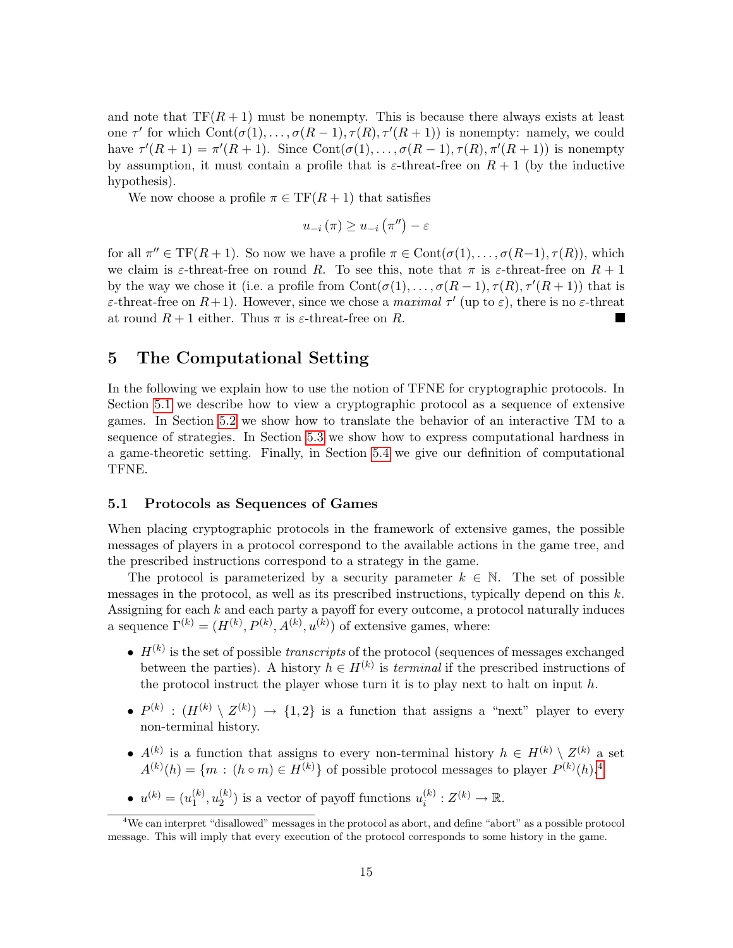and note that  $TF(R + 1)$  must be nonempty. This is because there always exists at least one  $\tau'$  for which  $Cont(\sigma(1), \ldots, \sigma(R-1), \tau(R), \tau'(R+1))$  is nonempty: namely, we could have  $\tau'(R+1) = \pi'(R+1)$ . Since  $Cont(\sigma(1), \ldots, \sigma(R-1), \tau(R), \pi'(R+1))$  is nonempty by assumption, it must contain a profile that is  $\varepsilon$ -threat-free on  $R+1$  (by the inductive hypothesis).

We now choose a profile  $\pi \in \mathrm{TF}(R+1)$  that satisfies

$$
u_{-i}(\pi) \ge u_{-i}(\pi'') - \varepsilon
$$

for all  $\pi'' \in \text{TF}(R+1)$ . So now we have a profile  $\pi \in \text{Cont}(\sigma(1),...,\sigma(R-1),\tau(R))$ , which we claim is  $\varepsilon$ -threat-free on round R. To see this, note that  $\pi$  is  $\varepsilon$ -threat-free on  $R+1$ by the way we chose it (i.e. a profile from  $Cont(\sigma(1), \ldots, \sigma(R-1), \tau(R), \tau'(R+1))$  that is ε-threat-free on  $R+1$ ). However, since we chose a maximal  $\tau'$  (up to  $\varepsilon$ ), there is no ε-threat at round  $R + 1$  either. Thus  $\pi$  is  $\varepsilon$ -threat-free on R.

# <span id="page-15-0"></span>5 The Computational Setting

In the following we explain how to use the notion of TFNE for cryptographic protocols. In Section [5.1](#page-15-1) we describe how to view a cryptographic protocol as a sequence of extensive games. In Section [5.2](#page-16-0) we show how to translate the behavior of an interactive TM to a sequence of strategies. In Section [5.3](#page-19-1) we show how to express computational hardness in a game-theoretic setting. Finally, in Section [5.4](#page-21-1) we give our definition of computational TFNE.

# <span id="page-15-1"></span>5.1 Protocols as Sequences of Games

When placing cryptographic protocols in the framework of extensive games, the possible messages of players in a protocol correspond to the available actions in the game tree, and the prescribed instructions correspond to a strategy in the game.

The protocol is parameterized by a security parameter  $k \in \mathbb{N}$ . The set of possible messages in the protocol, as well as its prescribed instructions, typically depend on this  $k$ . Assigning for each  $k$  and each party a payoff for every outcome, a protocol naturally induces a sequence  $\Gamma^{(k)} = (H^{(k)}, P^{(k)}, A^{(k)}, u^{(k)})$  of extensive games, where:

- $H^{(k)}$  is the set of possible *transcripts* of the protocol (sequences of messages exchanged between the parties). A history  $h \in H^{(k)}$  is *terminal* if the prescribed instructions of the protocol instruct the player whose turn it is to play next to halt on input  $h$ .
- $P^{(k)}$ :  $(H^{(k)} \setminus Z^{(k)}) \rightarrow \{1,2\}$  is a function that assigns a "next" player to every non-terminal history.
- $A^{(k)}$  is a function that assigns to every non-terminal history  $h \in H^{(k)} \setminus Z^{(k)}$  a set  $A^{(k)}(h) = \{m : (h \circ m) \in H^{(k)}\}$  of possible protocol messages to player  $P^{(k)}(h)$ .<sup>[4](#page-15-2)</sup>
- $u^{(k)} = (u_1^{(k)})$  $\binom{k}{1},u_2^{(k)}$  $\binom{k}{2}$ ) is a vector of payoff functions  $u_i^{(k)}$  $i^{(k)}:Z^{(k)}\to\mathbb{R}.$

<span id="page-15-2"></span><sup>4</sup>We can interpret "disallowed" messages in the protocol as abort, and define "abort" as a possible protocol message. This will imply that every execution of the protocol corresponds to some history in the game.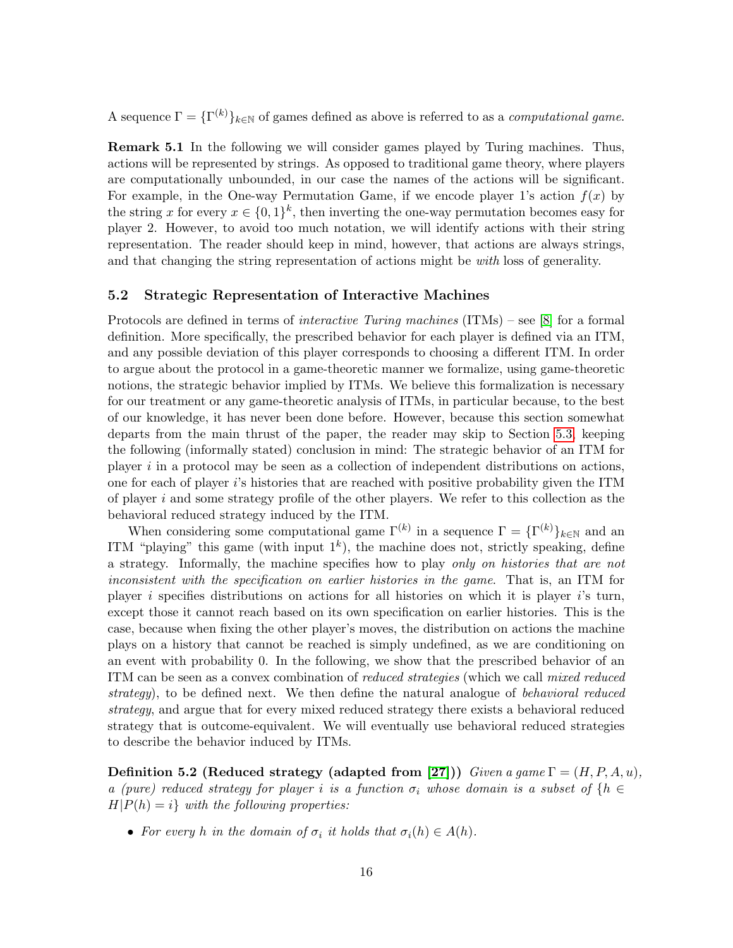A sequence  $\Gamma = {\{\Gamma^{(k)}\}}_{k \in \mathbb{N}}$  of games defined as above is referred to as a *computational game*.

Remark 5.1 In the following we will consider games played by Turing machines. Thus, actions will be represented by strings. As opposed to traditional game theory, where players are computationally unbounded, in our case the names of the actions will be significant. For example, in the One-way Permutation Game, if we encode player 1's action  $f(x)$  by the string x for every  $x \in \{0,1\}^k$ , then inverting the one-way permutation becomes easy for player 2. However, to avoid too much notation, we will identify actions with their string representation. The reader should keep in mind, however, that actions are always strings, and that changing the string representation of actions might be with loss of generality.

# <span id="page-16-0"></span>5.2 Strategic Representation of Interactive Machines

Protocols are defined in terms of *interactive Turing machines* (ITMs) – see [\[8\]](#page-35-13) for a formal definition. More specifically, the prescribed behavior for each player is defined via an ITM, and any possible deviation of this player corresponds to choosing a different ITM. In order to argue about the protocol in a game-theoretic manner we formalize, using game-theoretic notions, the strategic behavior implied by ITMs. We believe this formalization is necessary for our treatment or any game-theoretic analysis of ITMs, in particular because, to the best of our knowledge, it has never been done before. However, because this section somewhat departs from the main thrust of the paper, the reader may skip to Section [5.3,](#page-19-1) keeping the following (informally stated) conclusion in mind: The strategic behavior of an ITM for player i in a protocol may be seen as a collection of independent distributions on actions, one for each of player i's histories that are reached with positive probability given the ITM of player i and some strategy profile of the other players. We refer to this collection as the behavioral reduced strategy induced by the ITM.

When considering some computational game  $\Gamma^{(k)}$  in a sequence  $\Gamma = {\{\Gamma^{(k)}\}}_{k \in \mathbb{N}}$  and an ITM "playing" this game (with input  $1<sup>k</sup>$ ), the machine does not, strictly speaking, define a strategy. Informally, the machine specifies how to play only on histories that are not inconsistent with the specification on earlier histories in the game. That is, an ITM for player i specifies distributions on actions for all histories on which it is player i's turn, except those it cannot reach based on its own specification on earlier histories. This is the case, because when fixing the other player's moves, the distribution on actions the machine plays on a history that cannot be reached is simply undefined, as we are conditioning on an event with probability 0. In the following, we show that the prescribed behavior of an ITM can be seen as a convex combination of *reduced strategies* (which we call *mixed reduced* strategy), to be defined next. We then define the natural analogue of *behavioral reduced* strategy, and argue that for every mixed reduced strategy there exists a behavioral reduced strategy that is outcome-equivalent. We will eventually use behavioral reduced strategies to describe the behavior induced by ITMs.

Definition 5.2 (Reduced strategy (adapted from [\[27\]](#page-36-8))) Given a game  $\Gamma = (H, P, A, u)$ , a (pure) reduced strategy for player i is a function  $\sigma_i$  whose domain is a subset of  $\{h \in$  $H|P(h) = i$  with the following properties:

• For every h in the domain of  $\sigma_i$  it holds that  $\sigma_i(h) \in A(h)$ .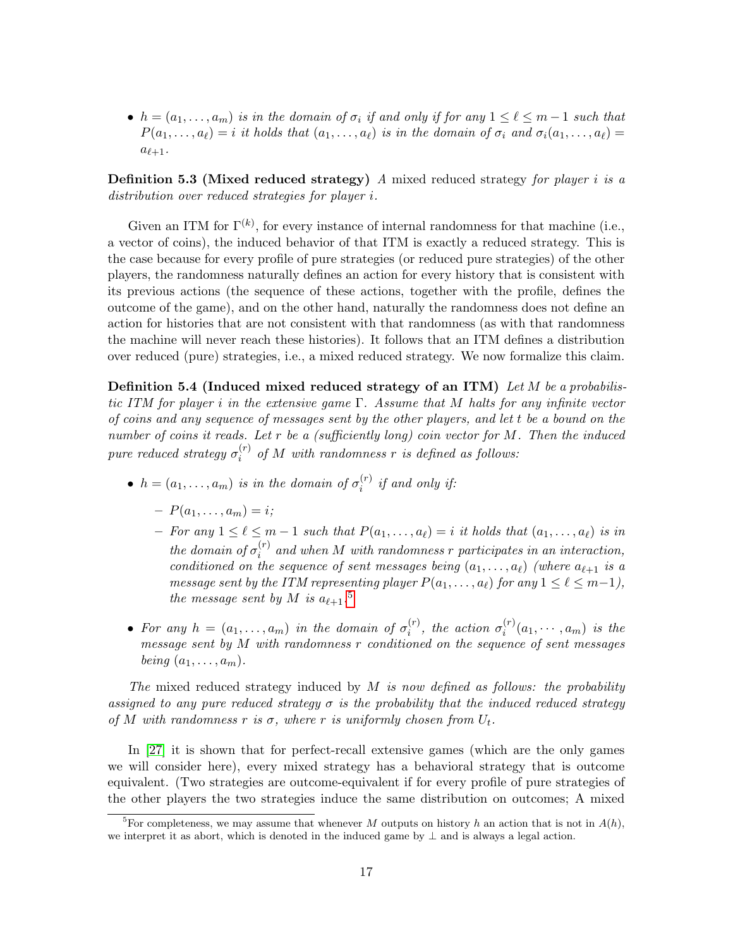•  $h = (a_1, \ldots, a_m)$  is in the domain of  $\sigma_i$  if and only if for any  $1 \leq \ell \leq m-1$  such that  $P(a_1, \ldots, a_\ell) = i$  it holds that  $(a_1, \ldots, a_\ell)$  is in the domain of  $\sigma_i$  and  $\sigma_i(a_1, \ldots, a_\ell) =$  $a_{\ell+1}.$ 

**Definition 5.3 (Mixed reduced strategy)** A mixed reduced strategy for player i is a distribution over reduced strategies for player i.

Given an ITM for  $\Gamma^{(k)}$ , for every instance of internal randomness for that machine (i.e., a vector of coins), the induced behavior of that ITM is exactly a reduced strategy. This is the case because for every profile of pure strategies (or reduced pure strategies) of the other players, the randomness naturally defines an action for every history that is consistent with its previous actions (the sequence of these actions, together with the profile, defines the outcome of the game), and on the other hand, naturally the randomness does not define an action for histories that are not consistent with that randomness (as with that randomness the machine will never reach these histories). It follows that an ITM defines a distribution over reduced (pure) strategies, i.e., a mixed reduced strategy. We now formalize this claim.

Definition 5.4 (Induced mixed reduced strategy of an ITM) Let M be a probabilistic ITM for player i in the extensive game  $\Gamma$ . Assume that M halts for any infinite vector of coins and any sequence of messages sent by the other players, and let t be a bound on the number of coins it reads. Let  $r$  be a (sufficiently long) coin vector for  $M$ . Then the induced pure reduced strategy  $\sigma_i^{(r)}$  $i_i^{(r)}$  of M with randomness r is defined as follows:

- $h = (a_1, \ldots, a_m)$  is in the domain of  $\sigma_i^{(r)}$  $i^{(r)}$  if and only if:
	- $-P(a_1, \ldots, a_m) = i;$
	- For any  $1 \leq \ell \leq m-1$  such that  $P(a_1, \ldots, a_\ell) = i$  it holds that  $(a_1, \ldots, a_\ell)$  is in the domain of  $\sigma_i^{(r)}$  $i_i^{(r)}$  and when M with randomness r participates in an interaction, conditioned on the sequence of sent messages being  $(a_1, \ldots, a_\ell)$  (where  $a_{\ell+1}$  is a message sent by the ITM representing player  $P(a_1, \ldots, a_\ell)$  for any  $1 \leq \ell \leq m-1$ ), the message sent by M is  $a_{\ell+1}.^5$  $a_{\ell+1}.^5$
- For any  $h = (a_1, \ldots, a_m)$  in the domain of  $\sigma_i^{(r)}$  $i^{(r)}$ , the action  $\sigma_i^{(r)}$  $i_i^{(r)}(a_1,\cdots,a_m)$  is the message sent by  $M$  with randomness  $r$  conditioned on the sequence of sent messages being  $(a_1, \ldots, a_m)$ .

The mixed reduced strategy induced by  $M$  is now defined as follows: the probability assigned to any pure reduced strategy  $\sigma$  is the probability that the induced reduced strategy of M with randomness r is  $\sigma$ , where r is uniformly chosen from  $U_t$ .

In [\[27\]](#page-36-8) it is shown that for perfect-recall extensive games (which are the only games we will consider here), every mixed strategy has a behavioral strategy that is outcome equivalent. (Two strategies are outcome-equivalent if for every profile of pure strategies of the other players the two strategies induce the same distribution on outcomes; A mixed

<span id="page-17-0"></span><sup>&</sup>lt;sup>5</sup>For completeness, we may assume that whenever M outputs on history h an action that is not in  $A(h)$ , we interpret it as abort, which is denoted in the induced game by  $\perp$  and is always a legal action.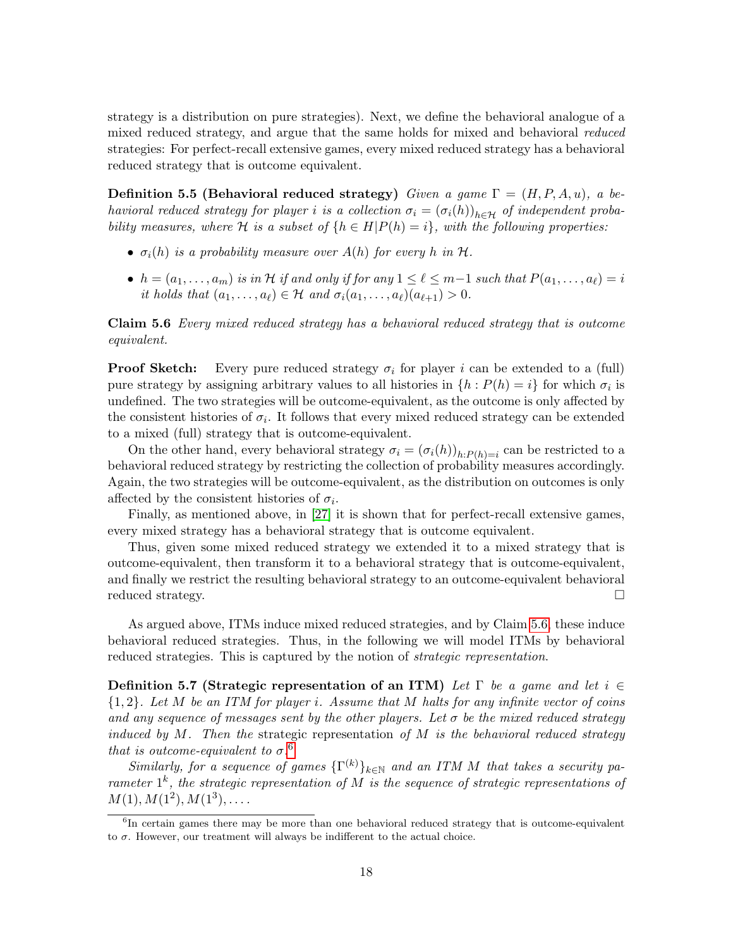strategy is a distribution on pure strategies). Next, we define the behavioral analogue of a mixed reduced strategy, and argue that the same holds for mixed and behavioral *reduced* strategies: For perfect-recall extensive games, every mixed reduced strategy has a behavioral reduced strategy that is outcome equivalent.

Definition 5.5 (Behavioral reduced strategy) Given a game  $\Gamma = (H, P, A, u)$ , a behavioral reduced strategy for player i is a collection  $\sigma_i = (\sigma_i(h))_{h \in \mathcal{H}}$  of independent probability measures, where H is a subset of  $\{h \in H | P(h) = i\}$ , with the following properties:

- $\sigma_i(h)$  is a probability measure over  $A(h)$  for every h in  $\mathcal{H}$ .
- $h = (a_1, \ldots, a_m)$  is in H if and only if for any  $1 \leq \ell \leq m-1$  such that  $P(a_1, \ldots, a_\ell) = i$ it holds that  $(a_1, \ldots, a_\ell) \in \mathcal{H}$  and  $\sigma_i(a_1, \ldots, a_\ell)(a_{\ell+1}) > 0$ .

<span id="page-18-0"></span>Claim 5.6 Every mixed reduced strategy has a behavioral reduced strategy that is outcome equivalent.

**Proof Sketch:** Every pure reduced strategy  $\sigma_i$  for player i can be extended to a (full) pure strategy by assigning arbitrary values to all histories in  $\{h : P(h) = i\}$  for which  $\sigma_i$  is undefined. The two strategies will be outcome-equivalent, as the outcome is only affected by the consistent histories of  $\sigma_i$ . It follows that every mixed reduced strategy can be extended to a mixed (full) strategy that is outcome-equivalent.

On the other hand, every behavioral strategy  $\sigma_i = (\sigma_i(h))_{h:P(h)=i}$  can be restricted to a behavioral reduced strategy by restricting the collection of probability measures accordingly. Again, the two strategies will be outcome-equivalent, as the distribution on outcomes is only affected by the consistent histories of  $\sigma_i$ .

Finally, as mentioned above, in [\[27\]](#page-36-8) it is shown that for perfect-recall extensive games, every mixed strategy has a behavioral strategy that is outcome equivalent.

Thus, given some mixed reduced strategy we extended it to a mixed strategy that is outcome-equivalent, then transform it to a behavioral strategy that is outcome-equivalent, and finally we restrict the resulting behavioral strategy to an outcome-equivalent behavioral reduced strategy.

As argued above, ITMs induce mixed reduced strategies, and by Claim [5.6,](#page-18-0) these induce behavioral reduced strategies. Thus, in the following we will model ITMs by behavioral reduced strategies. This is captured by the notion of *strategic representation*.

Definition 5.7 (Strategic representation of an ITM) Let  $\Gamma$  be a game and let  $i \in$  $\{1,2\}$ . Let M be an ITM for player i. Assume that M halts for any infinite vector of coins and any sequence of messages sent by the other players. Let  $\sigma$  be the mixed reduced strategy induced by  $M$ . Then the strategic representation of  $M$  is the behavioral reduced strategy that is outcome-equivalent to  $\sigma$ .<sup>[6](#page-18-1)</sup>

Similarly, for a sequence of games  $\{\Gamma^{(k)}\}_{k\in\mathbb{N}}$  and an ITM M that takes a security parameter  $1^k$ , the strategic representation of M is the sequence of strategic representations of  $M(1), M(1^2), M(1^3), \ldots$ 

<span id="page-18-1"></span><sup>&</sup>lt;sup>6</sup>In certain games there may be more than one behavioral reduced strategy that is outcome-equivalent to  $\sigma$ . However, our treatment will always be indifferent to the actual choice.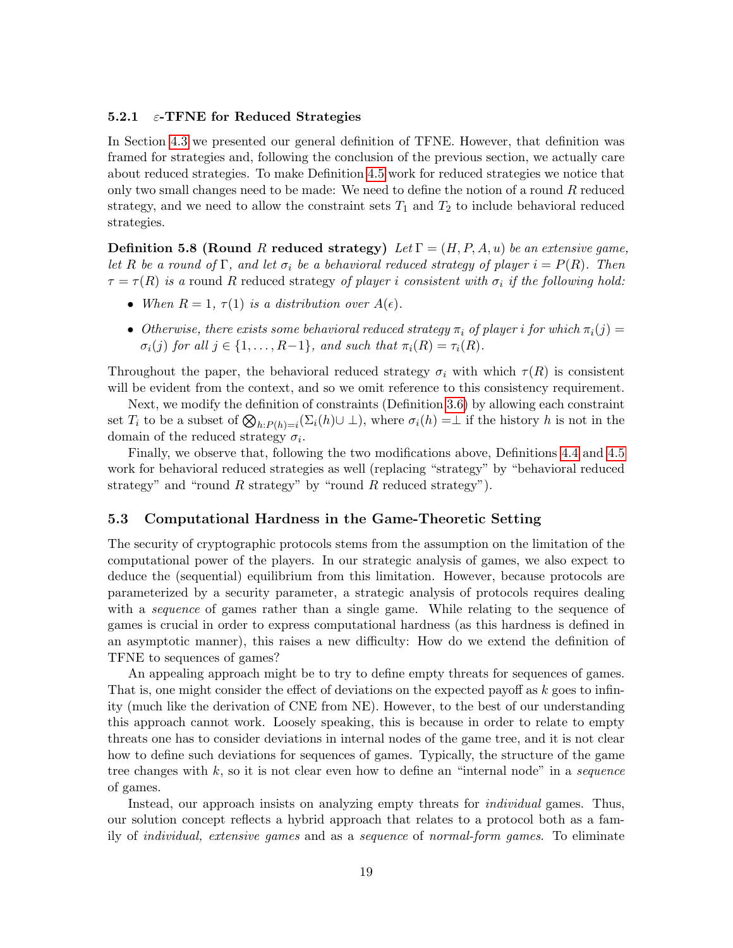### <span id="page-19-0"></span>5.2.1  $\varepsilon$ -TFNE for Reduced Strategies

In Section [4.3](#page-13-0) we presented our general definition of TFNE. However, that definition was framed for strategies and, following the conclusion of the previous section, we actually care about reduced strategies. To make Definition [4.5](#page-14-0) work for reduced strategies we notice that only two small changes need to be made: We need to define the notion of a round  $R$  reduced strategy, and we need to allow the constraint sets  $T_1$  and  $T_2$  to include behavioral reduced strategies.

**Definition 5.8 (Round** R reduced strategy) Let  $\Gamma = (H, P, A, u)$  be an extensive game, let R be a round of Γ, and let  $\sigma_i$  be a behavioral reduced strategy of player  $i = P(R)$ . Then  $\tau = \tau(R)$  is a round R reduced strategy of player i consistent with  $\sigma_i$  if the following hold:

- When  $R = 1, \tau(1)$  is a distribution over  $A(\epsilon)$ .
- Otherwise, there exists some behavioral reduced strategy  $\pi_i$  of player i for which  $\pi_i(j)$  =  $\sigma_i(j)$  for all  $j \in \{1, \ldots, R-1\}$ , and such that  $\pi_i(R) = \tau_i(R)$ .

Throughout the paper, the behavioral reduced strategy  $\sigma_i$  with which  $\tau(R)$  is consistent will be evident from the context, and so we omit reference to this consistency requirement.

Next, we modify the definition of constraints (Definition [3.6\)](#page-9-1) by allowing each constraint set  $T_i$  to be a subset of  $\bigotimes_{h:P(h)=i} (\Sigma_i(h) \cup \bot)$ , where  $\sigma_i(h) = \bot$  if the history h is not in the domain of the reduced strategy  $\sigma_i$ .

Finally, we observe that, following the two modifications above, Definitions [4.4](#page-13-1) and [4.5](#page-14-0) work for behavioral reduced strategies as well (replacing "strategy" by "behavioral reduced strategy" and "round R strategy" by "round R reduced strategy").

### <span id="page-19-1"></span>5.3 Computational Hardness in the Game-Theoretic Setting

The security of cryptographic protocols stems from the assumption on the limitation of the computational power of the players. In our strategic analysis of games, we also expect to deduce the (sequential) equilibrium from this limitation. However, because protocols are parameterized by a security parameter, a strategic analysis of protocols requires dealing with a *sequence* of games rather than a single game. While relating to the sequence of games is crucial in order to express computational hardness (as this hardness is defined in an asymptotic manner), this raises a new difficulty: How do we extend the definition of TFNE to sequences of games?

An appealing approach might be to try to define empty threats for sequences of games. That is, one might consider the effect of deviations on the expected payoff as  $k$  goes to infinity (much like the derivation of CNE from NE). However, to the best of our understanding this approach cannot work. Loosely speaking, this is because in order to relate to empty threats one has to consider deviations in internal nodes of the game tree, and it is not clear how to define such deviations for sequences of games. Typically, the structure of the game tree changes with  $k$ , so it is not clear even how to define an "internal node" in a sequence of games.

Instead, our approach insists on analyzing empty threats for individual games. Thus, our solution concept reflects a hybrid approach that relates to a protocol both as a family of individual, extensive games and as a sequence of normal-form games. To eliminate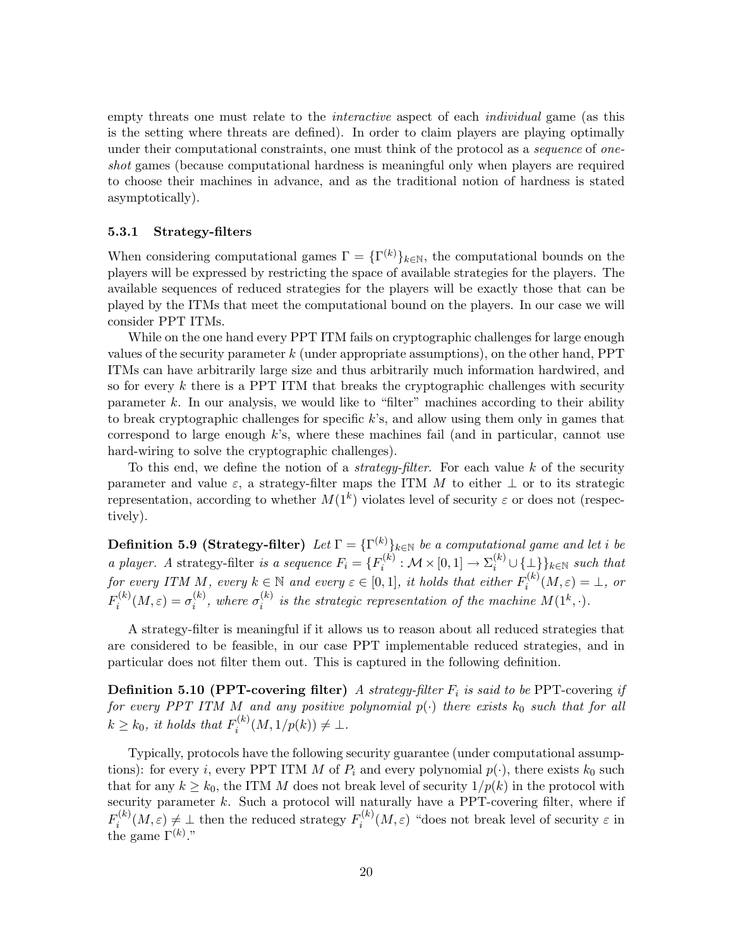empty threats one must relate to the *interactive* aspect of each *individual* game (as this is the setting where threats are defined). In order to claim players are playing optimally under their computational constraints, one must think of the protocol as a *sequence* of oneshot games (because computational hardness is meaningful only when players are required to choose their machines in advance, and as the traditional notion of hardness is stated asymptotically).

#### <span id="page-20-0"></span>5.3.1 Strategy-filters

When considering computational games  $\Gamma = {\{\Gamma^{(k)}\}}_{k \in \mathbb{N}},$  the computational bounds on the players will be expressed by restricting the space of available strategies for the players. The available sequences of reduced strategies for the players will be exactly those that can be played by the ITMs that meet the computational bound on the players. In our case we will consider PPT ITMs.

While on the one hand every PPT ITM fails on cryptographic challenges for large enough values of the security parameter  $k$  (under appropriate assumptions), on the other hand,  $PPT$ ITMs can have arbitrarily large size and thus arbitrarily much information hardwired, and so for every  $k$  there is a PPT ITM that breaks the cryptographic challenges with security parameter k. In our analysis, we would like to "filter" machines according to their ability to break cryptographic challenges for specific  $k$ 's, and allow using them only in games that correspond to large enough  $k$ 's, where these machines fail (and in particular, cannot use hard-wiring to solve the cryptographic challenges).

To this end, we define the notion of a *strategy-filter*. For each value  $k$  of the security parameter and value  $\varepsilon$ , a strategy-filter maps the ITM M to either  $\perp$  or to its strategic representation, according to whether  $M(1^k)$  violates level of security  $\varepsilon$  or does not (respectively).

**Definition 5.9 (Strategy-filter)** Let  $\Gamma = {\{\Gamma^{(k)}\}}_{k \in \mathbb{N}}$  be a computational game and let i be a player. A strategy-filter is a sequence  $F_i = \{F_i^{(k)}\}$  $\mathcal{L}_i^{(k)} : \mathcal{M} \times [0,1] \to \Sigma_i^{(k)} \cup \{\perp\} \}_{k \in \mathbb{N}}$  such that for every ITM M, every  $k \in \mathbb{N}$  and every  $\varepsilon \in [0,1]$ , it holds that either  $F_i^{(k)}$  $i^{(\kappa)}(M,\varepsilon)=\perp, or$  $F_i^{(k)}$  $\sigma_i^{(k)}(M,\varepsilon) = \sigma_i^{(k)}$  $\binom{k}{i}$ , where  $\sigma_i^{(k)}$  $i^{(k)}$  is the strategic representation of the machine  $M(1^k, \cdot)$ .

A strategy-filter is meaningful if it allows us to reason about all reduced strategies that are considered to be feasible, in our case PPT implementable reduced strategies, and in particular does not filter them out. This is captured in the following definition.

**Definition 5.10 (PPT-covering filter)** A strategy-filter  $F_i$  is said to be PPT-covering if for every PPT ITM M and any positive polynomial  $p(\cdot)$  there exists  $k_0$  such that for all  $k \geq k_0$ , it holds that  $F_i^{(k)}$  $j_i^{(k)}(M,1/p(k)) \neq \perp.$ 

Typically, protocols have the following security guarantee (under computational assumptions): for every i, every PPT ITM M of  $P_i$  and every polynomial  $p(\cdot)$ , there exists  $k_0$  such that for any  $k \geq k_0$ , the ITM M does not break level of security  $1/p(k)$  in the protocol with security parameter  $k$ . Such a protocol will naturally have a PPT-covering filter, where if  $F_i^{(k)}$  $I_i^{(k)}(M,\varepsilon) \neq \perp$  then the reduced strategy  $F_i^{(k)}$  $i^{(k)}(M,\varepsilon)$  "does not break level of security  $\varepsilon$  in the game  $\Gamma^{(k)}$ ."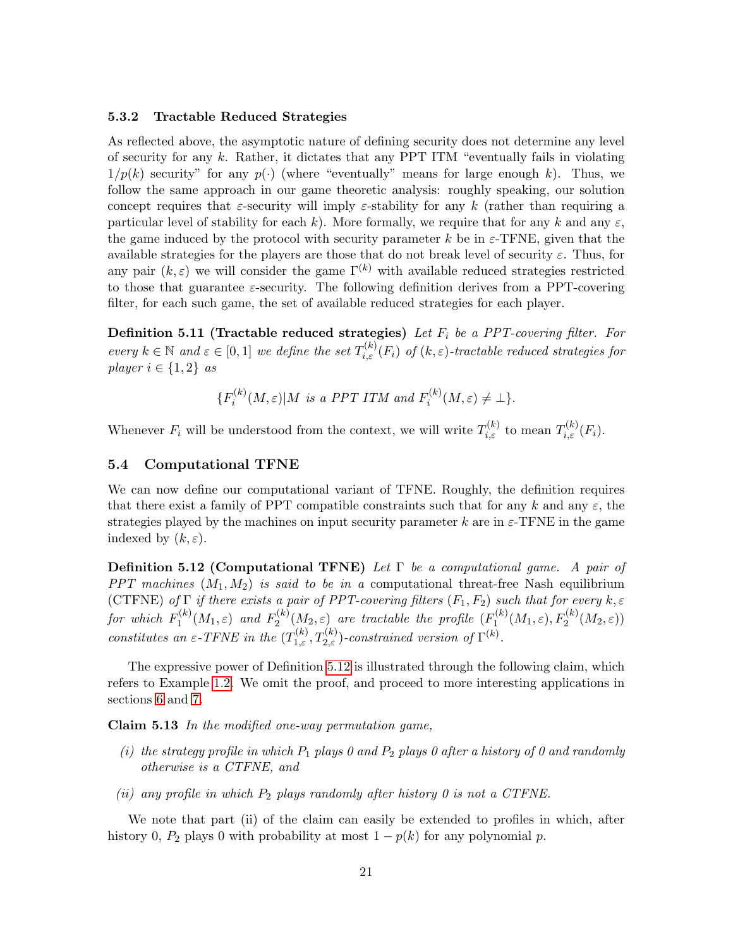### <span id="page-21-0"></span>5.3.2 Tractable Reduced Strategies

As reflected above, the asymptotic nature of defining security does not determine any level of security for any  $k$ . Rather, it dictates that any PPT ITM "eventually fails in violating  $1/p(k)$  security" for any  $p(\cdot)$  (where "eventually" means for large enough k). Thus, we follow the same approach in our game theoretic analysis: roughly speaking, our solution concept requires that  $\varepsilon$ -security will imply  $\varepsilon$ -stability for any k (rather than requiring a particular level of stability for each k). More formally, we require that for any k and any  $\varepsilon$ , the game induced by the protocol with security parameter k be in  $\varepsilon$ -TFNE, given that the available strategies for the players are those that do not break level of security  $\varepsilon$ . Thus, for any pair  $(k, \varepsilon)$  we will consider the game  $\Gamma^{(k)}$  with available reduced strategies restricted to those that guarantee  $\varepsilon$ -security. The following definition derives from a PPT-covering filter, for each such game, the set of available reduced strategies for each player.

Definition 5.11 (Tractable reduced strategies) Let  $F_i$  be a PPT-covering filter. For every  $k \in \mathbb{N}$  and  $\varepsilon \in [0,1]$  we define the set  $T_{i,\varepsilon}^{(k)}(F_i)$  of  $(k,\varepsilon)$ -tractable reduced strategies for player  $i \in \{1,2\}$  as

$$
\{F_i^{(k)}(M,\varepsilon)|M \text{ is a PPT ITM and } F_i^{(k)}(M,\varepsilon) \neq \bot\}.
$$

Whenever  $F_i$  will be understood from the context, we will write  $T_{i,\varepsilon}^{(k)}$  to mean  $T_{i,\varepsilon}^{(k)}(F_i)$ .

#### <span id="page-21-1"></span>5.4 Computational TFNE

We can now define our computational variant of TFNE. Roughly, the definition requires that there exist a family of PPT compatible constraints such that for any k and any  $\varepsilon$ , the strategies played by the machines on input security parameter k are in  $\varepsilon$ -TFNE in the game indexed by  $(k, \varepsilon)$ .

<span id="page-21-3"></span>**Definition 5.12 (Computational TFNE)** Let  $\Gamma$  be a computational game. A pair of PPT machines  $(M_1, M_2)$  is said to be in a computational threat-free Nash equilibrium (CTFNE) of  $\Gamma$  if there exists a pair of PPT-covering filters  $(F_1, F_2)$  such that for every  $k, \varepsilon$ for which  $F_1^{(k)}$  $f_1^{(k)}(M_1,\varepsilon)$  and  $F_2^{(k)}$  $\chi^{(k)}_2(M_2,\varepsilon)$  are tractable the profile  $(F_1^{(k)})$  $I_1^{(k)}(M_1,\varepsilon),F_2^{(k)}(M_2,\varepsilon))$ constitutes an  $\varepsilon$ -TFNE in the  $(T_{1,\varepsilon}^{(k)}, T_{2,\varepsilon}^{(k)})$ -constrained version of  $\Gamma^{(k)}$ .

<span id="page-21-2"></span>The expressive power of Definition [5.12](#page-21-3) is illustrated through the following claim, which refers to Example [1.2.](#page-3-1) We omit the proof, and proceed to more interesting applications in sections [6](#page-22-0) and [7.](#page-24-0)

Claim 5.13 In the modified one-way permutation game,

- (i) the strategy profile in which  $P_1$  plays 0 and  $P_2$  plays 0 after a history of 0 and randomly otherwise is a CTFNE, and
- (ii) any profile in which  $P_2$  plays randomly after history 0 is not a CTFNE.

We note that part (ii) of the claim can easily be extended to profiles in which, after history 0,  $P_2$  plays 0 with probability at most  $1 - p(k)$  for any polynomial p.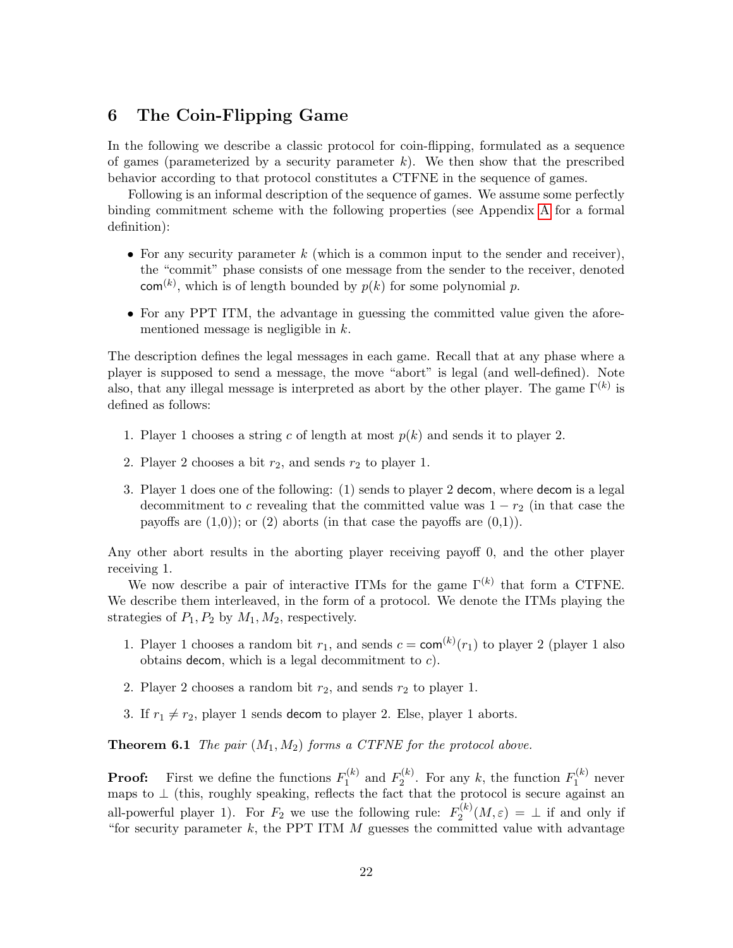# <span id="page-22-0"></span>6 The Coin-Flipping Game

In the following we describe a classic protocol for coin-flipping, formulated as a sequence of games (parameterized by a security parameter  $k$ ). We then show that the prescribed behavior according to that protocol constitutes a CTFNE in the sequence of games.

Following is an informal description of the sequence of games. We assume some perfectly binding commitment scheme with the following properties (see Appendix [A](#page-36-0) for a formal definition):

- For any security parameter  $k$  (which is a common input to the sender and receiver), the "commit" phase consists of one message from the sender to the receiver, denoted  $com<sup>(k)</sup>$ , which is of length bounded by  $p(k)$  for some polynomial p.
- For any PPT ITM, the advantage in guessing the committed value given the aforementioned message is negligible in  $k$ .

The description defines the legal messages in each game. Recall that at any phase where a player is supposed to send a message, the move "abort" is legal (and well-defined). Note also, that any illegal message is interpreted as abort by the other player. The game  $\Gamma^{(k)}$  is defined as follows:

- 1. Player 1 chooses a string c of length at most  $p(k)$  and sends it to player 2.
- 2. Player 2 chooses a bit  $r_2$ , and sends  $r_2$  to player 1.
- 3. Player 1 does one of the following: (1) sends to player 2 decom, where decom is a legal decommitment to c revealing that the committed value was  $1 - r_2$  (in that case the payoffs are  $(1,0)$ ; or  $(2)$  aborts (in that case the payoffs are  $(0,1)$ ).

Any other abort results in the aborting player receiving payoff 0, and the other player receiving 1.

We now describe a pair of interactive ITMs for the game  $\Gamma^{(k)}$  that form a CTFNE. We describe them interleaved, in the form of a protocol. We denote the ITMs playing the strategies of  $P_1, P_2$  by  $M_1, M_2$ , respectively.

- 1. Player 1 chooses a random bit  $r_1$ , and sends  $c = \text{com}^{(k)}(r_1)$  to player 2 (player 1 also obtains decom, which is a legal decommitment to  $c$ ).
- 2. Player 2 chooses a random bit  $r_2$ , and sends  $r_2$  to player 1.
- 3. If  $r_1 \neq r_2$ , player 1 sends decom to player 2. Else, player 1 aborts.

<span id="page-22-1"></span>**Theorem 6.1** The pair  $(M_1, M_2)$  forms a CTFNE for the protocol above.

**Proof:** First we define the functions  $F_1^{(k)}$  $I_1^{(k)}$  and  $F_2^{(k)}$  $r_2^{(k)}$ . For any k, the function  $F_1^{(k)}$  $j_1^{(\kappa)}$  never maps to  $\perp$  (this, roughly speaking, reflects the fact that the protocol is secure against an all-powerful player 1). For  $F_2$  we use the following rule:  $F_2^{(k)}$  $\mathcal{L}_2^{(\kappa)}(M,\varepsilon) = \perp$  if and only if "for security parameter  $k$ , the PPT ITM  $M$  guesses the committed value with advantage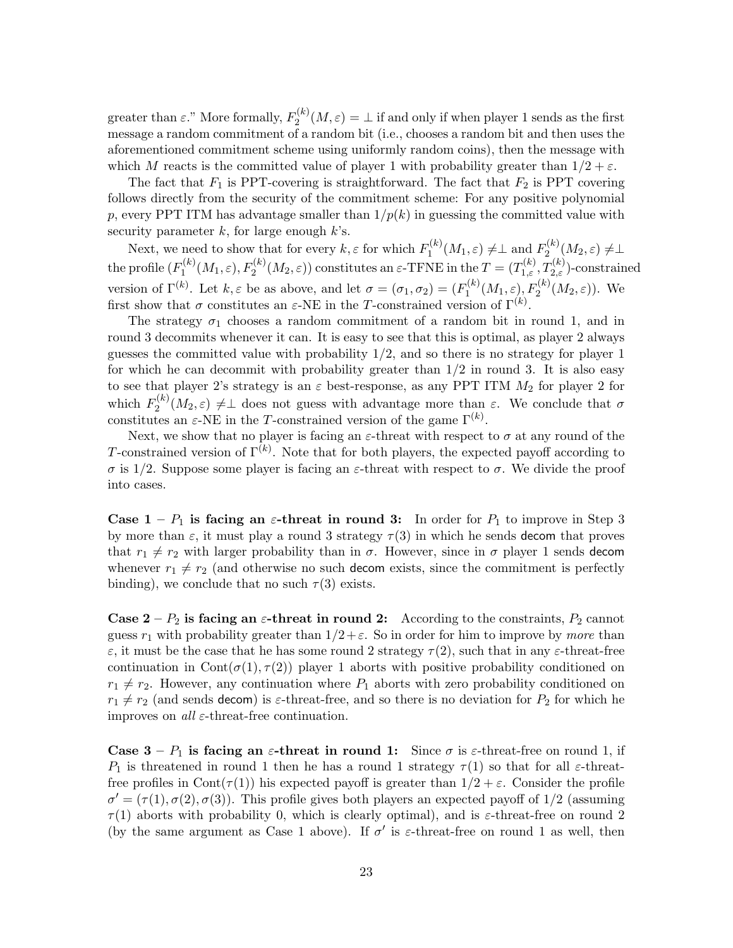greater than  $\varepsilon$ ." More formally,  $F_2^{(k)}$  $\mathcal{L}_2^{(k)}(M,\varepsilon) = \perp$  if and only if when player 1 sends as the first message a random commitment of a random bit (i.e., chooses a random bit and then uses the aforementioned commitment scheme using uniformly random coins), then the message with which M reacts is the committed value of player 1 with probability greater than  $1/2 + \varepsilon$ .

The fact that  $F_1$  is PPT-covering is straightforward. The fact that  $F_2$  is PPT covering follows directly from the security of the commitment scheme: For any positive polynomial p, every PPT ITM has advantage smaller than  $1/p(k)$  in guessing the committed value with security parameter  $k$ , for large enough  $k$ 's.

Next, we need to show that for every  $k, \varepsilon$  for which  $F_1^{(k)}$  $I_1^{(k)}(M_1,\varepsilon) \neq \perp \text{ and } F_2^{(k)}$  $\chi^{(\kappa)}_2(M_2,\varepsilon)\neq \perp$ the profile  $(F_1^{(k)}$  $\mathcal{L}_1^{(k)}(M_1,\varepsilon), F_2^{(k)}(M_2,\varepsilon)) \text{ constitutes an }\varepsilon\text{-TFNE in the }T=(T_{1,\varepsilon}^{(k)},T_{2,\varepsilon}^{(k)})\text{-constrained},$ version of  $\Gamma^{(k)}$ . Let  $k, \varepsilon$  be as above, and let  $\sigma = (\sigma_1, \sigma_2) = (F_1^{(k)}$  $I_1^{(k)}(M_1,\varepsilon), F_2^{(k)}(M_2,\varepsilon)$ ). We first show that  $\sigma$  constitutes an  $\varepsilon$ -NE in the T-constrained version of  $\Gamma^{(k)}$ .

The strategy  $\sigma_1$  chooses a random commitment of a random bit in round 1, and in round 3 decommits whenever it can. It is easy to see that this is optimal, as player 2 always guesses the committed value with probability  $1/2$ , and so there is no strategy for player 1 for which he can decommit with probability greater than  $1/2$  in round 3. It is also easy to see that player 2's strategy is an  $\varepsilon$  best-response, as any PPT ITM  $M_2$  for player 2 for which  $F_2^{(k)}$  $\chi^{(k)}(M_2,\varepsilon) \neq \perp$  does not guess with advantage more than  $\varepsilon$ . We conclude that  $\sigma$ constitutes an  $\varepsilon$ -NE in the T-constrained version of the game  $\Gamma^{(k)}$ .

Next, we show that no player is facing an  $\varepsilon$ -threat with respect to  $\sigma$  at any round of the T-constrained version of  $\Gamma^{(k)}$ . Note that for both players, the expected payoff according to σ is 1/2. Suppose some player is facing an ε-threat with respect to σ. We divide the proof into cases.

Case  $1 - P_1$  is facing an  $\varepsilon$ -threat in round 3: In order for  $P_1$  to improve in Step 3 by more than  $\varepsilon$ , it must play a round 3 strategy  $\tau(3)$  in which he sends decom that proves that  $r_1 \neq r_2$  with larger probability than in  $\sigma$ . However, since in  $\sigma$  player 1 sends decom whenever  $r_1 \neq r_2$  (and otherwise no such decom exists, since the commitment is perfectly binding), we conclude that no such  $\tau(3)$  exists.

Case  $2 - P_2$  is facing an  $\varepsilon$ -threat in round 2: According to the constraints,  $P_2$  cannot guess  $r_1$  with probability greater than  $1/2+\varepsilon$ . So in order for him to improve by more than  $\varepsilon$ , it must be the case that he has some round 2 strategy  $\tau(2)$ , such that in any  $\varepsilon$ -threat-free continuation in Cont( $\sigma(1), \tau(2)$ ) player 1 aborts with positive probability conditioned on  $r_1 \neq r_2$ . However, any continuation where  $P_1$  aborts with zero probability conditioned on  $r_1 \neq r_2$  (and sends decom) is  $\varepsilon$ -threat-free, and so there is no deviation for  $P_2$  for which he improves on all  $\varepsilon$ -threat-free continuation.

Case  $3 - P_1$  is facing an  $\varepsilon$ -threat in round 1: Since  $\sigma$  is  $\varepsilon$ -threat-free on round 1, if  $P_1$  is threatened in round 1 then he has a round 1 strategy  $\tau(1)$  so that for all  $\varepsilon$ -threatfree profiles in Cont( $\tau(1)$ ) his expected payoff is greater than  $1/2 + \varepsilon$ . Consider the profile  $\sigma' = (\tau(1), \sigma(2), \sigma(3))$ . This profile gives both players an expected payoff of 1/2 (assuming  $\tau(1)$  aborts with probability 0, which is clearly optimal), and is  $\varepsilon$ -threat-free on round 2 (by the same argument as Case 1 above). If  $\sigma'$  is  $\varepsilon$ -threat-free on round 1 as well, then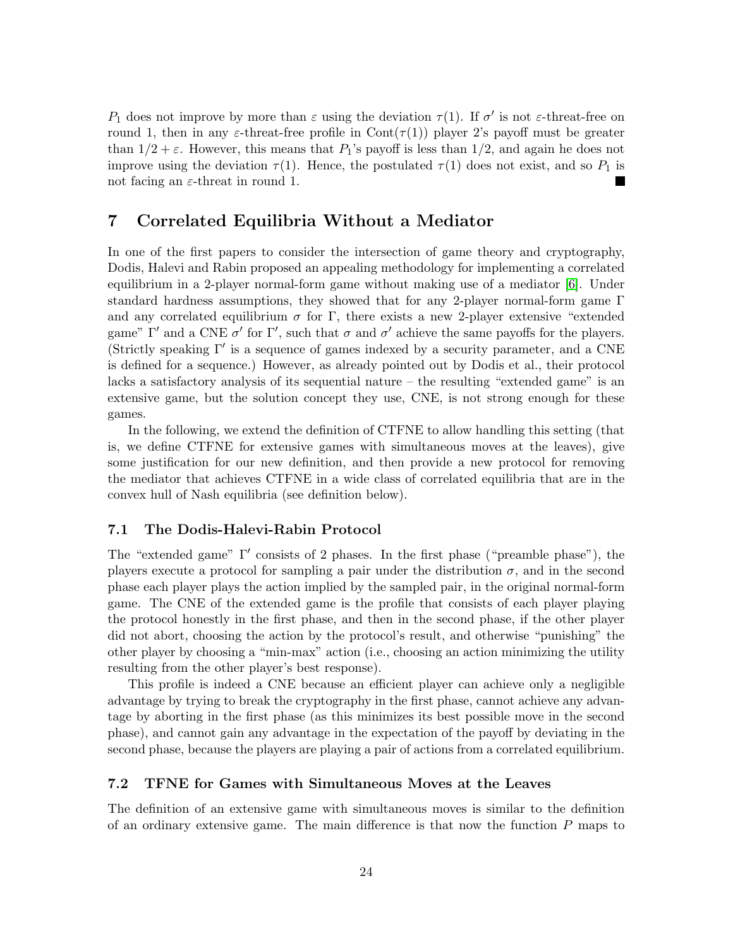$P_1$  does not improve by more than  $\varepsilon$  using the deviation  $\tau(1)$ . If  $\sigma'$  is not  $\varepsilon$ -threat-free on round 1, then in any  $\varepsilon$ -threat-free profile in Cont $(\tau(1))$  player 2's payoff must be greater than  $1/2 + \varepsilon$ . However, this means that  $P_1$ 's payoff is less than  $1/2$ , and again he does not improve using the deviation  $\tau(1)$ . Hence, the postulated  $\tau(1)$  does not exist, and so  $P_1$  is not facing an  $\varepsilon$ -threat in round 1.

# <span id="page-24-0"></span>7 Correlated Equilibria Without a Mediator

In one of the first papers to consider the intersection of game theory and cryptography, Dodis, Halevi and Rabin proposed an appealing methodology for implementing a correlated equilibrium in a 2-player normal-form game without making use of a mediator [\[6\]](#page-35-3). Under standard hardness assumptions, they showed that for any 2-player normal-form game Γ and any correlated equilibrium  $\sigma$  for  $\Gamma$ , there exists a new 2-player extensive "extended game"  $\Gamma'$  and a CNE  $\sigma'$  for  $\Gamma'$ , such that  $\sigma$  and  $\sigma'$  achieve the same payoffs for the players. (Strictly speaking  $\Gamma'$  is a sequence of games indexed by a security parameter, and a CNE is defined for a sequence.) However, as already pointed out by Dodis et al., their protocol lacks a satisfactory analysis of its sequential nature – the resulting "extended game" is an extensive game, but the solution concept they use, CNE, is not strong enough for these games.

In the following, we extend the definition of CTFNE to allow handling this setting (that is, we define CTFNE for extensive games with simultaneous moves at the leaves), give some justification for our new definition, and then provide a new protocol for removing the mediator that achieves CTFNE in a wide class of correlated equilibria that are in the convex hull of Nash equilibria (see definition below).

# <span id="page-24-1"></span>7.1 The Dodis-Halevi-Rabin Protocol

The "extended game"  $\Gamma'$  consists of 2 phases. In the first phase ("preamble phase"), the players execute a protocol for sampling a pair under the distribution  $\sigma$ , and in the second phase each player plays the action implied by the sampled pair, in the original normal-form game. The CNE of the extended game is the profile that consists of each player playing the protocol honestly in the first phase, and then in the second phase, if the other player did not abort, choosing the action by the protocol's result, and otherwise "punishing" the other player by choosing a "min-max" action (i.e., choosing an action minimizing the utility resulting from the other player's best response).

This profile is indeed a CNE because an efficient player can achieve only a negligible advantage by trying to break the cryptography in the first phase, cannot achieve any advantage by aborting in the first phase (as this minimizes its best possible move in the second phase), and cannot gain any advantage in the expectation of the payoff by deviating in the second phase, because the players are playing a pair of actions from a correlated equilibrium.

# <span id="page-24-2"></span>7.2 TFNE for Games with Simultaneous Moves at the Leaves

The definition of an extensive game with simultaneous moves is similar to the definition of an ordinary extensive game. The main difference is that now the function  $P$  maps to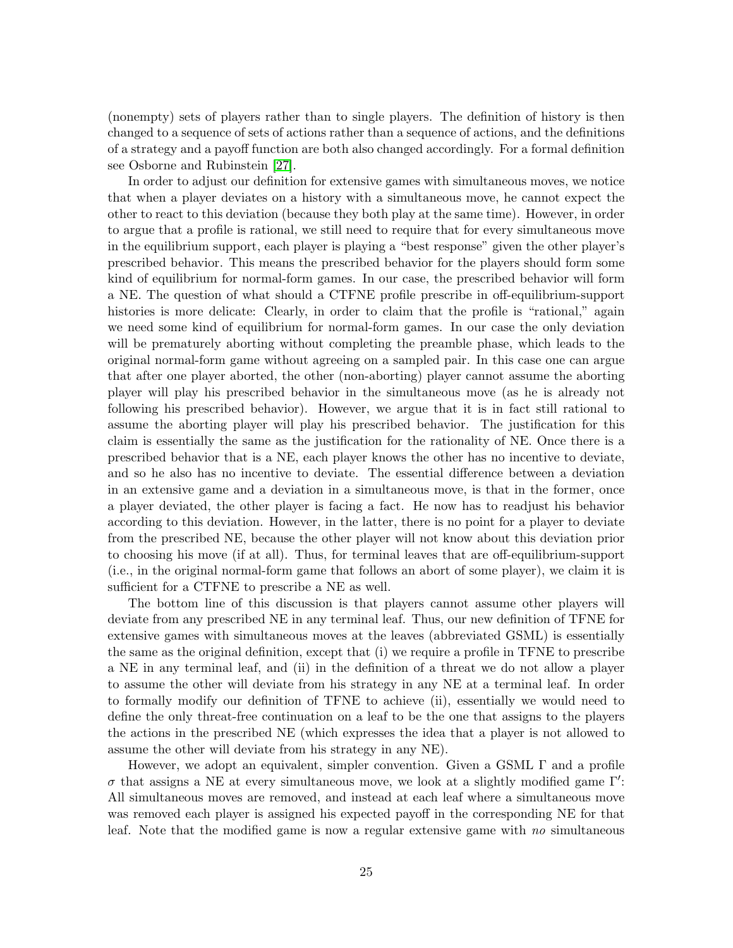(nonempty) sets of players rather than to single players. The definition of history is then changed to a sequence of sets of actions rather than a sequence of actions, and the definitions of a strategy and a payoff function are both also changed accordingly. For a formal definition see Osborne and Rubinstein [\[27\]](#page-36-8).

In order to adjust our definition for extensive games with simultaneous moves, we notice that when a player deviates on a history with a simultaneous move, he cannot expect the other to react to this deviation (because they both play at the same time). However, in order to argue that a profile is rational, we still need to require that for every simultaneous move in the equilibrium support, each player is playing a "best response" given the other player's prescribed behavior. This means the prescribed behavior for the players should form some kind of equilibrium for normal-form games. In our case, the prescribed behavior will form a NE. The question of what should a CTFNE profile prescribe in off-equilibrium-support histories is more delicate: Clearly, in order to claim that the profile is "rational," again we need some kind of equilibrium for normal-form games. In our case the only deviation will be prematurely aborting without completing the preamble phase, which leads to the original normal-form game without agreeing on a sampled pair. In this case one can argue that after one player aborted, the other (non-aborting) player cannot assume the aborting player will play his prescribed behavior in the simultaneous move (as he is already not following his prescribed behavior). However, we argue that it is in fact still rational to assume the aborting player will play his prescribed behavior. The justification for this claim is essentially the same as the justification for the rationality of NE. Once there is a prescribed behavior that is a NE, each player knows the other has no incentive to deviate, and so he also has no incentive to deviate. The essential difference between a deviation in an extensive game and a deviation in a simultaneous move, is that in the former, once a player deviated, the other player is facing a fact. He now has to readjust his behavior according to this deviation. However, in the latter, there is no point for a player to deviate from the prescribed NE, because the other player will not know about this deviation prior to choosing his move (if at all). Thus, for terminal leaves that are off-equilibrium-support (i.e., in the original normal-form game that follows an abort of some player), we claim it is sufficient for a CTFNE to prescribe a NE as well.

The bottom line of this discussion is that players cannot assume other players will deviate from any prescribed NE in any terminal leaf. Thus, our new definition of TFNE for extensive games with simultaneous moves at the leaves (abbreviated GSML) is essentially the same as the original definition, except that (i) we require a profile in TFNE to prescribe a NE in any terminal leaf, and (ii) in the definition of a threat we do not allow a player to assume the other will deviate from his strategy in any NE at a terminal leaf. In order to formally modify our definition of TFNE to achieve (ii), essentially we would need to define the only threat-free continuation on a leaf to be the one that assigns to the players the actions in the prescribed NE (which expresses the idea that a player is not allowed to assume the other will deviate from his strategy in any NE).

However, we adopt an equivalent, simpler convention. Given a GSML Γ and a profile  $\sigma$  that assigns a NE at every simultaneous move, we look at a slightly modified game  $\Gamma'$ : All simultaneous moves are removed, and instead at each leaf where a simultaneous move was removed each player is assigned his expected payoff in the corresponding NE for that leaf. Note that the modified game is now a regular extensive game with no simultaneous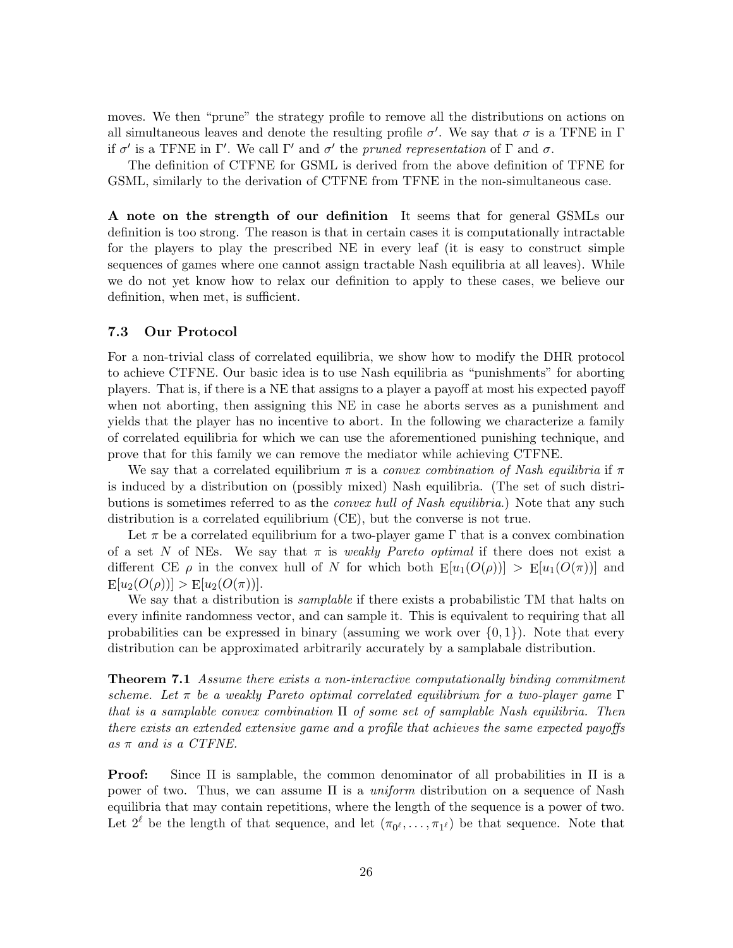moves. We then "prune" the strategy profile to remove all the distributions on actions on all simultaneous leaves and denote the resulting profile  $\sigma'$ . We say that  $\sigma$  is a TFNE in  $\Gamma$ if  $\sigma'$  is a TFNE in  $\Gamma'$ . We call  $\Gamma'$  and  $\sigma'$  the pruned representation of  $\Gamma$  and  $\sigma$ .

The definition of CTFNE for GSML is derived from the above definition of TFNE for GSML, similarly to the derivation of CTFNE from TFNE in the non-simultaneous case.

A note on the strength of our definition It seems that for general GSMLs our definition is too strong. The reason is that in certain cases it is computationally intractable for the players to play the prescribed NE in every leaf (it is easy to construct simple sequences of games where one cannot assign tractable Nash equilibria at all leaves). While we do not yet know how to relax our definition to apply to these cases, we believe our definition, when met, is sufficient.

# <span id="page-26-0"></span>7.3 Our Protocol

For a non-trivial class of correlated equilibria, we show how to modify the DHR protocol to achieve CTFNE. Our basic idea is to use Nash equilibria as "punishments" for aborting players. That is, if there is a NE that assigns to a player a payoff at most his expected payoff when not aborting, then assigning this NE in case he aborts serves as a punishment and yields that the player has no incentive to abort. In the following we characterize a family of correlated equilibria for which we can use the aforementioned punishing technique, and prove that for this family we can remove the mediator while achieving CTFNE.

We say that a correlated equilibrium  $\pi$  is a *convex combination of Nash equilibria* if  $\pi$ is induced by a distribution on (possibly mixed) Nash equilibria. (The set of such distributions is sometimes referred to as the *convex hull of Nash equilibria*.) Note that any such distribution is a correlated equilibrium (CE), but the converse is not true.

Let  $\pi$  be a correlated equilibrium for a two-player game  $\Gamma$  that is a convex combination of a set N of NEs. We say that  $\pi$  is weakly Pareto optimal if there does not exist a different CE  $\rho$  in the convex hull of N for which both  $E[u_1(O(\rho))] > E[u_1(O(\pi))]$  and  $E[u_2(O(\rho))] > E[u_2(O(\pi))].$ 

We say that a distribution is *samplable* if there exists a probabilistic TM that halts on every infinite randomness vector, and can sample it. This is equivalent to requiring that all probabilities can be expressed in binary (assuming we work over  $\{0,1\}$ ). Note that every distribution can be approximated arbitrarily accurately by a samplabale distribution.

Theorem 7.1 Assume there exists a non-interactive computationally binding commitment scheme. Let  $\pi$  be a weakly Pareto optimal correlated equilibrium for a two-player game Γ that is a samplable convex combination  $\Pi$  of some set of samplable Nash equilibria. Then there exists an extended extensive game and a profile that achieves the same expected payoffs as  $\pi$  and is a CTFNE.

**Proof:** Since  $\Pi$  is samplable, the common denominator of all probabilities in  $\Pi$  is a power of two. Thus, we can assume  $\Pi$  is a *uniform* distribution on a sequence of Nash equilibria that may contain repetitions, where the length of the sequence is a power of two. Let  $2^{\ell}$  be the length of that sequence, and let  $(\pi_{0^{\ell}}, \ldots, \pi_{1^{\ell}})$  be that sequence. Note that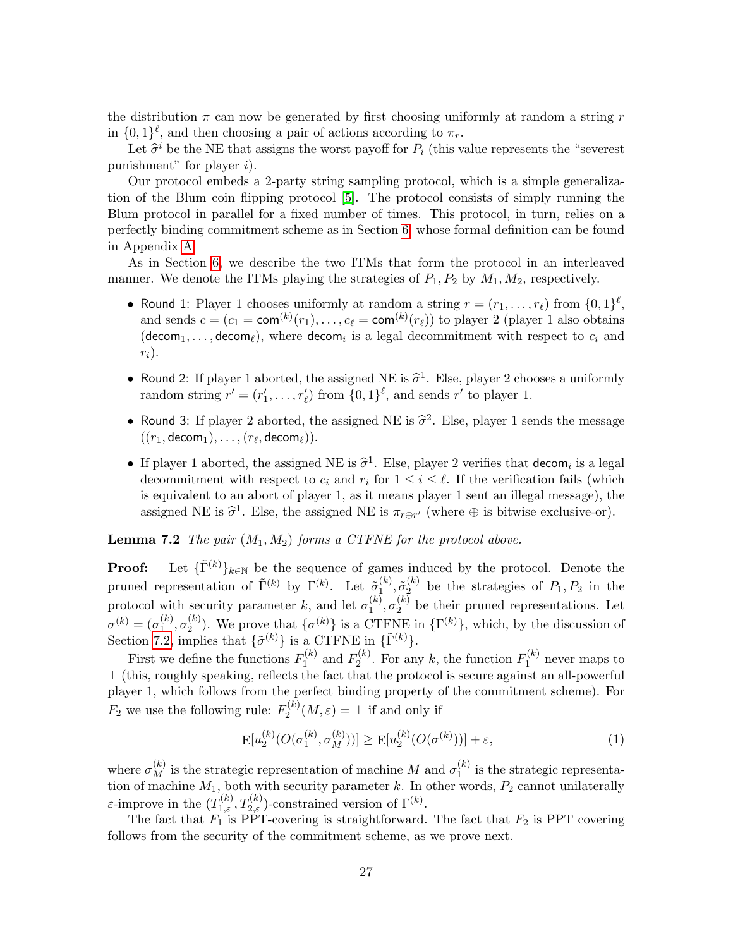the distribution  $\pi$  can now be generated by first choosing uniformly at random a string r in  $\{0,1\}^{\ell}$ , and then choosing a pair of actions according to  $\pi_r$ .

Let  $\hat{\sigma}^i$  be the NE that assigns the worst payoff for  $P_i$  (this value represents the "severest" for player  $i$ ) punishment" for player  $i$ ).

Our protocol embeds a 2-party string sampling protocol, which is a simple generalization of the Blum coin flipping protocol [\[5\]](#page-35-4). The protocol consists of simply running the Blum protocol in parallel for a fixed number of times. This protocol, in turn, relies on a perfectly binding commitment scheme as in Section [6,](#page-22-0) whose formal definition can be found in Appendix [A.](#page-36-0)

As in Section [6,](#page-22-0) we describe the two ITMs that form the protocol in an interleaved manner. We denote the ITMs playing the strategies of  $P_1, P_2$  by  $M_1, M_2$ , respectively.

- Round 1: Player 1 chooses uniformly at random a string  $r = (r_1, \ldots, r_\ell)$  from  $\{0, 1\}^\ell$ , and sends  $c = (c_1 = \text{com}^{(k)}(r_1), \dots, c_\ell = \text{com}^{(k)}(r_\ell))$  to player 2 (player 1 also obtains (decom<sub>1</sub>,..., decom<sub> $\ell$ </sub>), where decom<sub>i</sub> is a legal decommitment with respect to  $c_i$  and  $r_i$ ).
- Round 2: If player 1 aborted, the assigned NE is  $\hat{\sigma}^1$ . Else, player 2 chooses a uniformly random string  $r' = (r'_1, \ldots, r'_\ell)$  from  $\{0, 1\}^\ell$ , and sends  $r'$  to player 1.
- Round 3: If player 2 aborted, the assigned NE is  $\hat{\sigma}^2$ . Else, player 1 sends the message  $((\sigma, \text{decom}))$  $((r_1, \text{decom}_1), \ldots, (r_\ell, \text{decom}_\ell)).$
- If player 1 aborted, the assigned NE is  $\hat{\sigma}^1$ . Else, player 2 verifies that decom<sub>i</sub> is a legal decommitment with respect to a and r for  $1 \leq i \leq \ell$ . If the verifiestion fails (which decommitment with respect to  $c_i$  and  $r_i$  for  $1 \leq i \leq \ell$ . If the verification fails (which is equivalent to an abort of player 1, as it means player 1 sent an illegal message), the assigned NE is  $\hat{\sigma}^1$ . Else, the assigned NE is  $\pi_{r \oplus r'}$  (where  $\oplus$  is bitwise exclusive-or).

**Lemma 7.2** The pair  $(M_1, M_2)$  forms a CTFNE for the protocol above.

**Proof:** Let  ${\{\tilde{\Gamma}^{(k)}\}_{k\in\mathbb{N}}}$  be the sequence of games induced by the protocol. Denote the pruned representation of  $\tilde{\Gamma}^{(k)}$  by  $\Gamma^{(k)}$ . Let  $\tilde{\sigma}_1^{(k)}$  $\widetilde{\sigma}^{(k)}_2, \widetilde{\sigma}^{(k)}_2$  $2^{(k)}$  be the strategies of  $P_1, P_2$  in the protocol with security parameter k, and let  $\sigma_1^{(k)}$  $_1^{(k)},\sigma_2^{(k)}$  $2^{k}$  be their pruned representations. Let  $\sigma^{(k)} = (\sigma_1^{(k)}$  $\mathcal{O}^{(k)}_1,\sigma^{(k)}_2$ <sup>(k)</sup>). We prove that  $\{\sigma^{(k)}\}$  is a CTFNE in  $\{\Gamma^{(k)}\}$ , which, by the discussion of Section [7.2,](#page-24-2) implies that  $\{\tilde{\sigma}^{(k)}\}$  is a CTFNE in  $\{\tilde{\Gamma}^{(k)}\}.$ 

First we define the functions  $F_1^{(k)}$  $F_1^{(k)}$  and  $F_2^{(k)}$  $r_2^{(k)}$ . For any k, the function  $F_1^{(k)}$  $j_1^{(k)}$  never maps to  $\perp$  (this, roughly speaking, reflects the fact that the protocol is secure against an all-powerful player 1, which follows from the perfect binding property of the commitment scheme). For  $F_2$  we use the following rule:  $F_2^{(k)}$  $\mathcal{L}_2^{(\kappa)}(M,\varepsilon) = \perp$  if and only if

<span id="page-27-0"></span>
$$
E[u_2^{(k)}(O(\sigma_1^{(k)}, \sigma_M^{(k)}))] \ge E[u_2^{(k)}(O(\sigma^{(k)}))] + \varepsilon,
$$
\n(1)

where  $\sigma_M^{(k)}$  is the strategic representation of machine M and  $\sigma_1^{(k)}$  $i^{(k)}$  is the strategic representation of machine  $M_1$ , both with security parameter k. In other words,  $P_2$  cannot unilaterally  $\varepsilon$ -improve in the  $(T_{1,\varepsilon}^{(k)},T_{2,\varepsilon}^{(k)})$ -constrained version of  $\Gamma^{(k)}$ .

The fact that  $F_1$  is PPT-covering is straightforward. The fact that  $F_2$  is PPT covering follows from the security of the commitment scheme, as we prove next.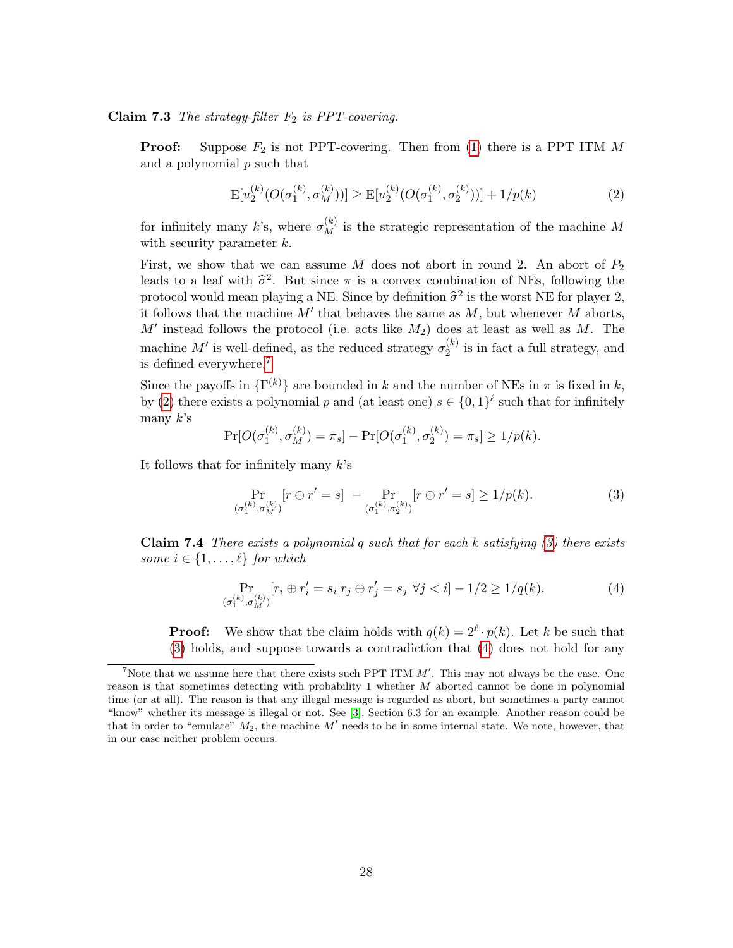# Claim 7.3 The strategy-filter  $F_2$  is PPT-covering.

**Proof:** Suppose  $F_2$  is not PPT-covering. Then from [\(1\)](#page-27-0) there is a PPT ITM M and a polynomial p such that

<span id="page-28-1"></span>
$$
E[u_2^{(k)}(O(\sigma_1^{(k)}, \sigma_M^{(k)}))] \ge E[u_2^{(k)}(O(\sigma_1^{(k)}, \sigma_2^{(k)}))] + 1/p(k)
$$
\n(2)

for infinitely many k's, where  $\sigma_M^{(k)}$  is the strategic representation of the machine M with security parameter  $k$ .

First, we show that we can assume M does not abort in round 2. An abort of  $P_2$ leads to a leaf with  $\hat{\sigma}^2$ . But since  $\pi$  is a convex combination of NEs, following the protocol would mean playing a NE. Since by definition  $\hat{\sigma}^2$  is the worst NE for player 2. protocol would mean playing a NE. Since by definition  $\hat{\sigma}^2$  is the worst NE for player 2,<br>it follows that the maghine M' that behaves the same as M, but whenever M shorts it follows that the machine  $M'$  that behaves the same as  $M$ , but whenever  $M$  aborts,  $M'$  instead follows the protocol (i.e. acts like  $M_2$ ) does at least as well as M. The machine M' is well-defined, as the reduced strategy  $\sigma_2^{(k)}$  $i^{(k)}_2$  is in fact a full strategy, and is defined everywhere.[7](#page-28-0)

Since the payoffs in  $\{\Gamma^{(k)}\}$  are bounded in k and the number of NEs in  $\pi$  is fixed in k, by [\(2\)](#page-28-1) there exists a polynomial p and (at least one)  $s \in \{0,1\}^{\ell}$  such that for infinitely many  $k$ 's

$$
\Pr[O(\sigma_1^{(k)}, \sigma_M^{(k)}) = \pi_s] - \Pr[O(\sigma_1^{(k)}, \sigma_2^{(k)}) = \pi_s] \ge 1/p(k).
$$

It follows that for infinitely many  $k$ 's

<span id="page-28-2"></span>
$$
\Pr_{\substack{(\sigma_1^{(k)}, \sigma_M^{(k)})}} [r \oplus r' = s] \quad - \Pr_{\substack{(\sigma_1^{(k)}, \sigma_2^{(k)})}} [r \oplus r' = s] \ge 1/p(k). \tag{3}
$$

**Claim 7.4** There exists a polynomial q such that for each k satisfying  $(3)$  there exists some  $i \in \{1, \ldots, \ell\}$  for which

<span id="page-28-3"></span>
$$
\Pr_{\substack{( \sigma_1^{(k)}, \sigma_M^{(k)} )}} [r_i \oplus r_i' = s_i | r_j \oplus r_j' = s_j \ \forall j < i] - 1/2 \ge 1/q(k). \tag{4}
$$

**Proof:** We show that the claim holds with  $q(k) = 2^{\ell} \cdot p(k)$ . Let k be such that [\(3\)](#page-28-2) holds, and suppose towards a contradiction that [\(4\)](#page-28-3) does not hold for any

<span id="page-28-0"></span><sup>&</sup>lt;sup>7</sup>Note that we assume here that there exists such PPT ITM  $M'$ . This may not always be the case. One reason is that sometimes detecting with probability 1 whether M aborted cannot be done in polynomial time (or at all). The reason is that any illegal message is regarded as abort, but sometimes a party cannot "know" whether its message is illegal or not. See [\[3\]](#page-35-14), Section 6.3 for an example. Another reason could be that in order to "emulate"  $M_2$ , the machine  $M'$  needs to be in some internal state. We note, however, that in our case neither problem occurs.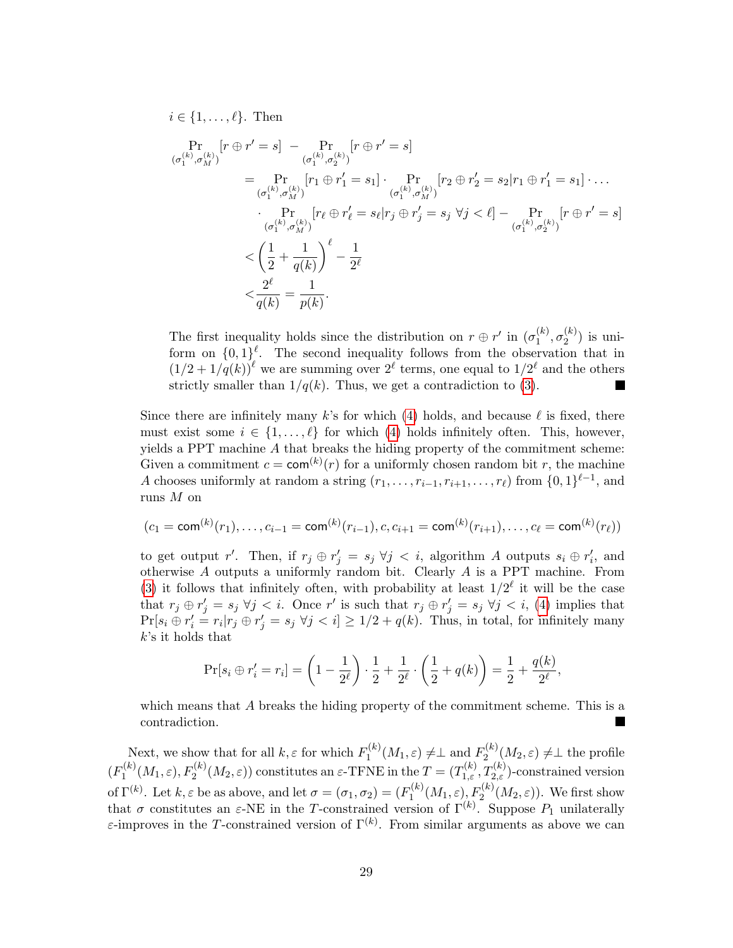$i \in \{1, \ldots, \ell\}$ . Then

$$
\Pr_{(\sigma_1^{(k)},\sigma_M^{(k)})}[r \oplus r' = s] - \Pr_{(\sigma_1^{(k)},\sigma_2^{(k)})}[r \oplus r' = s]
$$
\n
$$
= \Pr_{(\sigma_1^{(k)},\sigma_M^{(k)})}[r_1 \oplus r'_1 = s_1] \cdot \Pr_{(\sigma_1^{(k)},\sigma_M^{(k)})}[r_2 \oplus r'_2 = s_2|r_1 \oplus r'_1 = s_1] \cdot \dots
$$
\n
$$
\Pr_{(\sigma_1^{(k)},\sigma_M^{(k)})}[r_\ell \oplus r'_\ell = s_\ell|r_j \oplus r'_j = s_j \,\,\forall j < \ell] - \Pr_{(\sigma_1^{(k)},\sigma_2^{(k)})}[r \oplus r' = s]
$$
\n
$$
\times \left(\frac{1}{2} + \frac{1}{q(k)}\right)^\ell - \frac{1}{2^\ell}
$$
\n
$$
\times \frac{2^\ell}{q(k)} = \frac{1}{p(k)}.
$$

The first inequality holds since the distribution on  $r \oplus r'$  in  $(\sigma_1^{(k)})$  $\binom{k}{1}, \sigma_2^{(k)}$  $2^{(\kappa)}$ ) is uniform on  $\{0,1\}^{\ell}$ . The second inequality follows from the observation that in  $(1/2+1/q(k))^{\ell}$  we are summing over  $2^{\ell}$  terms, one equal to  $1/2^{\ell}$  and the others strictly smaller than  $1/q(k)$ . Thus, we get a contradiction to [\(3\)](#page-28-2).

Since there are infinitely many k's for which [\(4\)](#page-28-3) holds, and because  $\ell$  is fixed, there must exist some  $i \in \{1, ..., \ell\}$  for which [\(4\)](#page-28-3) holds infinitely often. This, however, yields a PPT machine A that breaks the hiding property of the commitment scheme: Given a commitment  $c = \text{com}^{(k)}(r)$  for a uniformly chosen random bit r, the machine A chooses uniformly at random a string  $(r_1, \ldots, r_{i-1}, r_{i+1}, \ldots, r_\ell)$  from  $\{0, 1\}^{\ell-1}$ , and runs  $M$  on

$$
(c_1 = \mathsf{com}^{(k)}(r_1), \dots, c_{i-1} = \mathsf{com}^{(k)}(r_{i-1}), c, c_{i+1} = \mathsf{com}^{(k)}(r_{i+1}), \dots, c_\ell = \mathsf{com}^{(k)}(r_\ell))
$$

to get output r'. Then, if  $r_j \oplus r'_j = s_j \ \forall j \leq i$ , algorithm A outputs  $s_i \oplus r'_i$ , and otherwise  $A$  outputs a uniformly random bit. Clearly  $A$  is a PPT machine. From [\(3\)](#page-28-2) it follows that infinitely often, with probability at least  $1/2^{\ell}$  it will be the case that  $r_j \oplus r'_j = s_j \ \forall j \leq i$ . Once r' is such that  $r_j \oplus r'_j = s_j \ \forall j \leq i$ , [\(4\)](#page-28-3) implies that  $Pr[s_i \oplus r'_i = r_i | r_j \oplus r'_j = s_j \ \forall j \leq i] \geq 1/2 + q(k)$ . Thus, in total, for infinitely many  $k$ 's it holds that

$$
\Pr[s_i \oplus r'_i = r_i] = \left(1 - \frac{1}{2^{\ell}}\right) \cdot \frac{1}{2} + \frac{1}{2^{\ell}} \cdot \left(\frac{1}{2} + q(k)\right) = \frac{1}{2} + \frac{q(k)}{2^{\ell}},
$$

which means that  $A$  breaks the hiding property of the commitment scheme. This is a contradiction.

Next, we show that for all  $k, \varepsilon$  for which  $F_1^{(k)}$  $T_1^{(k)}(M_1, \varepsilon) \neq \perp \text{ and } F_2^{(k)}$  $\chi_2^{(\kappa)}(M_2,\varepsilon) \neq \perp$  the profile  $(F_1^{(k)}$  $\mathcal{L}_1^{(k)}(M_1,\varepsilon), F_2^{(k)}(M_2,\varepsilon)) \text{ constitutes an }\varepsilon\text{-TFNE in the }T=(T_{1,\varepsilon}^{(k)},T_{2,\varepsilon}^{(k)})\text{-constrained version}.$ of  $\Gamma^{(k)}$ . Let  $k, \varepsilon$  be as above, and let  $\sigma = (\sigma_1, \sigma_2) = (F_1^{(k)}$  $I_1^{(k)}(M_1,\varepsilon), F_2^{(k)}(M_2,\varepsilon)$ ). We first show that  $\sigma$  constitutes an  $\varepsilon$ -NE in the T-constrained version of  $\Gamma^{(k)}$ . Suppose  $P_1$  unilaterally  $\varepsilon$ -improves in the T-constrained version of  $\Gamma^{(k)}$ . From similar arguments as above we can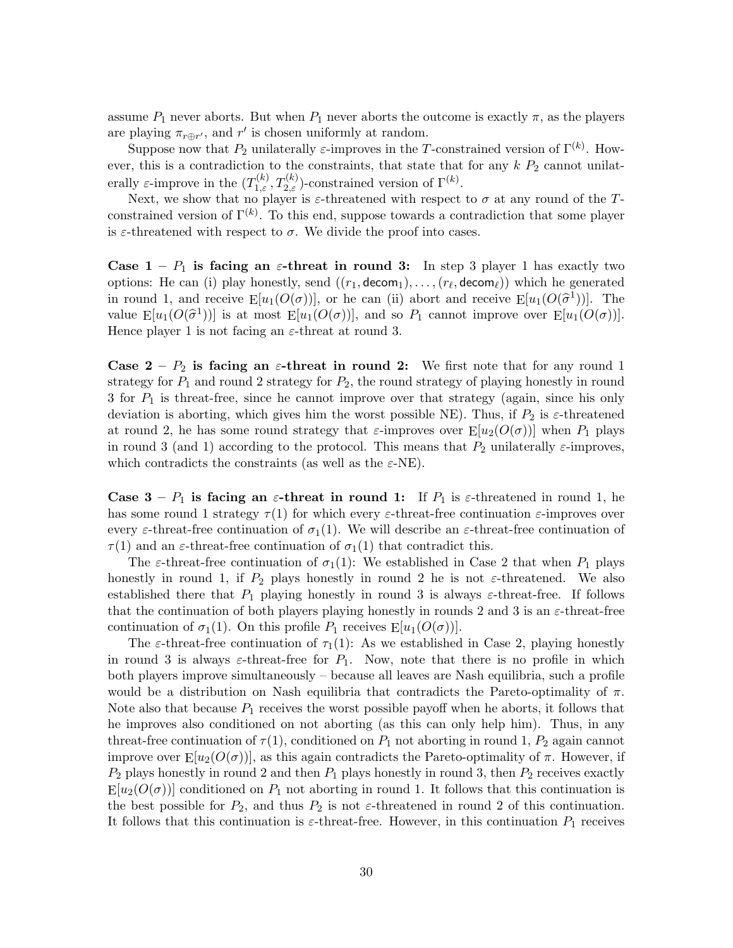assume  $P_1$  never aborts. But when  $P_1$  never aborts the outcome is exactly  $\pi$ , as the players are playing  $\pi_{r \oplus r'}$ , and r' is chosen uniformly at random.

Suppose now that  $P_2$  unilaterally  $\varepsilon$ -improves in the T-constrained version of  $\Gamma^{(k)}$ . However, this is a contradiction to the constraints, that state that for any  $k$   $P_2$  cannot unilaterally  $\varepsilon$ -improve in the  $(T_{1,\varepsilon}^{(k)}, T_{2,\varepsilon}^{(k)})$ -constrained version of  $\Gamma^{(k)}$ .

Next, we show that no player is  $\varepsilon$ -threatened with respect to  $\sigma$  at any round of the Tconstrained version of  $\Gamma^{(k)}$ . To this end, suppose towards a contradiction that some player is  $\varepsilon$ -threatened with respect to  $\sigma$ . We divide the proof into cases.

Case  $1 - P_1$  is facing an *ε*-threat in round 3: In step 3 player 1 has exactly two options: He can (i) play honestly, send  $((r_1, \text{decom}_1), \ldots, (r_\ell, \text{decom}_\ell))$  which he generated in round 1, and receive  $E[u_1(O(\sigma))]$ , or he can (ii) abort and receive  $E[u_1(O(\hat{\sigma}^1))]$ . The value  $E[u_1(O(\tilde{\sigma}^1))]$  is at most  $E[u_1(O(\sigma))]$ , and so  $P_1$  cannot improve over  $E[u_1(O(\sigma))]$ .<br>Hence player 1 is not facing an  $\epsilon$  throat at round 3 Hence player 1 is not facing an  $\varepsilon$ -threat at round 3.

Case  $2 - P_2$  is facing an *ε*-threat in round 2: We first note that for any round 1 strategy for  $P_1$  and round 2 strategy for  $P_2$ , the round strategy of playing honestly in round 3 for  $P_1$  is threat-free, since he cannot improve over that strategy (again, since his only deviation is aborting, which gives him the worst possible NE). Thus, if  $P_2$  is  $\varepsilon$ -threatened at round 2, he has some round strategy that  $\varepsilon$ -improves over  $E[u_2(O(\sigma))]$  when  $P_1$  plays in round 3 (and 1) according to the protocol. This means that  $P_2$  unilaterally  $\varepsilon$ -improves, which contradicts the constraints (as well as the  $\varepsilon$ -NE).

Case  $3 - P_1$  is facing an  $\varepsilon$ -threat in round 1: If  $P_1$  is  $\varepsilon$ -threatened in round 1, he has some round 1 strategy  $\tau(1)$  for which every  $\varepsilon$ -threat-free continuation  $\varepsilon$ -improves over every  $\varepsilon$ -threat-free continuation of  $\sigma_1(1)$ . We will describe an  $\varepsilon$ -threat-free continuation of  $\tau(1)$  and an  $\varepsilon$ -threat-free continuation of  $\sigma_1(1)$  that contradict this.

The  $\varepsilon$ -threat-free continuation of  $\sigma_1(1)$ : We established in Case 2 that when  $P_1$  plays honestly in round 1, if  $P_2$  plays honestly in round 2 he is not  $\varepsilon$ -threatened. We also established there that  $P_1$  playing honestly in round 3 is always  $\varepsilon$ -threat-free. If follows that the continuation of both players playing honestly in rounds 2 and 3 is an  $\varepsilon$ -threat-free continuation of  $\sigma_1(1)$ . On this profile  $P_1$  receives  $E[u_1(O(\sigma))]$ .

The  $\varepsilon$ -threat-free continuation of  $\tau_1(1)$ : As we established in Case 2, playing honestly in round 3 is always  $\varepsilon$ -threat-free for  $P_1$ . Now, note that there is no profile in which both players improve simultaneously – because all leaves are Nash equilibria, such a profile would be a distribution on Nash equilibria that contradicts the Pareto-optimality of  $\pi$ . Note also that because  $P_1$  receives the worst possible payoff when he aborts, it follows that he improves also conditioned on not aborting (as this can only help him). Thus, in any threat-free continuation of  $\tau(1)$ , conditioned on  $P_1$  not aborting in round 1,  $P_2$  again cannot improve over  $E[u_2(O(\sigma))]$ , as this again contradicts the Pareto-optimality of  $\pi$ . However, if  $P_2$  plays honestly in round 2 and then  $P_1$  plays honestly in round 3, then  $P_2$  receives exactly  $E[u_2(O(\sigma))]$  conditioned on  $P_1$  not aborting in round 1. It follows that this continuation is the best possible for  $P_2$ , and thus  $P_2$  is not  $\varepsilon$ -threatened in round 2 of this continuation. It follows that this continuation is  $\varepsilon$ -threat-free. However, in this continuation  $P_1$  receives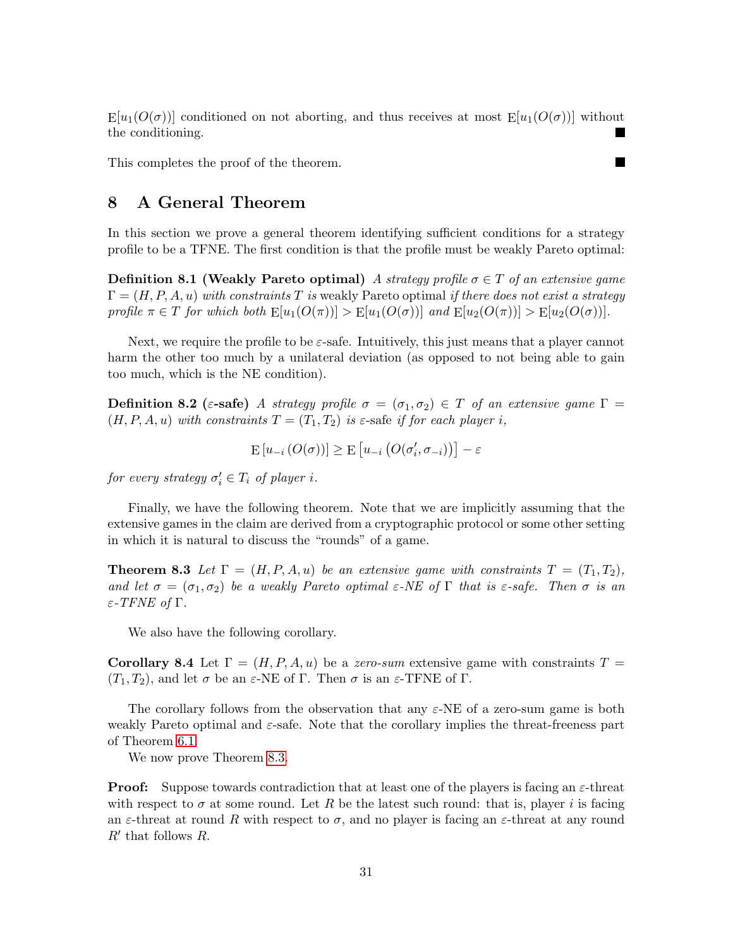$E[u_1(O(\sigma))]$  conditioned on not aborting, and thus receives at most  $E[u_1(O(\sigma))]$  without the conditioning.

 $\blacksquare$ 

This completes the proof of the theorem.

# <span id="page-31-0"></span>8 A General Theorem

In this section we prove a general theorem identifying sufficient conditions for a strategy profile to be a TFNE. The first condition is that the profile must be weakly Pareto optimal:

**Definition 8.1 (Weakly Pareto optimal)** A strategy profile  $\sigma \in T$  of an extensive game  $\Gamma = (H, P, A, u)$  with constraints T is weakly Pareto optimal if there does not exist a strategy profile  $\pi \in T$  for which both  $E[u_1(O(\pi))] > E[u_1(O(\sigma))]$  and  $E[u_2(O(\pi))] > E[u_2(O(\sigma))]$ .

Next, we require the profile to be  $\varepsilon$ -safe. Intuitively, this just means that a player cannot harm the other too much by a unilateral deviation (as opposed to not being able to gain too much, which is the NE condition).

Definition 8.2 (ε-safe) A strategy profile  $\sigma = (\sigma_1, \sigma_2) \in T$  of an extensive game  $\Gamma =$  $(H, P, A, u)$  with constraints  $T = (T_1, T_2)$  is  $\varepsilon$ -safe if for each player i,

$$
\mathop{\mathrm{E}}\left[u_{-i}\left(O(\sigma)\right)\right] \geq \mathop{\mathrm{E}}\left[u_{-i}\left(O(\sigma'_i,\sigma_{-i})\right)\right] - \varepsilon
$$

for every strategy  $\sigma'_i \in T_i$  of player i.

Finally, we have the following theorem. Note that we are implicitly assuming that the extensive games in the claim are derived from a cryptographic protocol or some other setting in which it is natural to discuss the "rounds" of a game.

<span id="page-31-1"></span>**Theorem 8.3** Let  $\Gamma = (H, P, A, u)$  be an extensive game with constraints  $T = (T_1, T_2)$ , and let  $\sigma = (\sigma_1, \sigma_2)$  be a weakly Pareto optimal  $\varepsilon$ -NE of  $\Gamma$  that is  $\varepsilon$ -safe. Then  $\sigma$  is an  $\varepsilon$ -TFNE of  $\Gamma$ .

We also have the following corollary.

Corollary 8.4 Let  $\Gamma = (H, P, A, u)$  be a zero-sum extensive game with constraints  $T =$  $(T_1, T_2)$ , and let  $\sigma$  be an  $\varepsilon$ -NE of Γ. Then  $\sigma$  is an  $\varepsilon$ -TFNE of Γ.

The corollary follows from the observation that any  $\varepsilon$ -NE of a zero-sum game is both weakly Pareto optimal and  $\varepsilon$ -safe. Note that the corollary implies the threat-freeness part of Theorem [6.1.](#page-22-1)

We now prove Theorem [8.3.](#page-31-1)

**Proof:** Suppose towards contradiction that at least one of the players is facing an  $\varepsilon$ -threat with respect to  $\sigma$  at some round. Let R be the latest such round: that is, player i is facing an  $\varepsilon$ -threat at round R with respect to  $\sigma$ , and no player is facing an  $\varepsilon$ -threat at any round  $R'$  that follows  $R$ .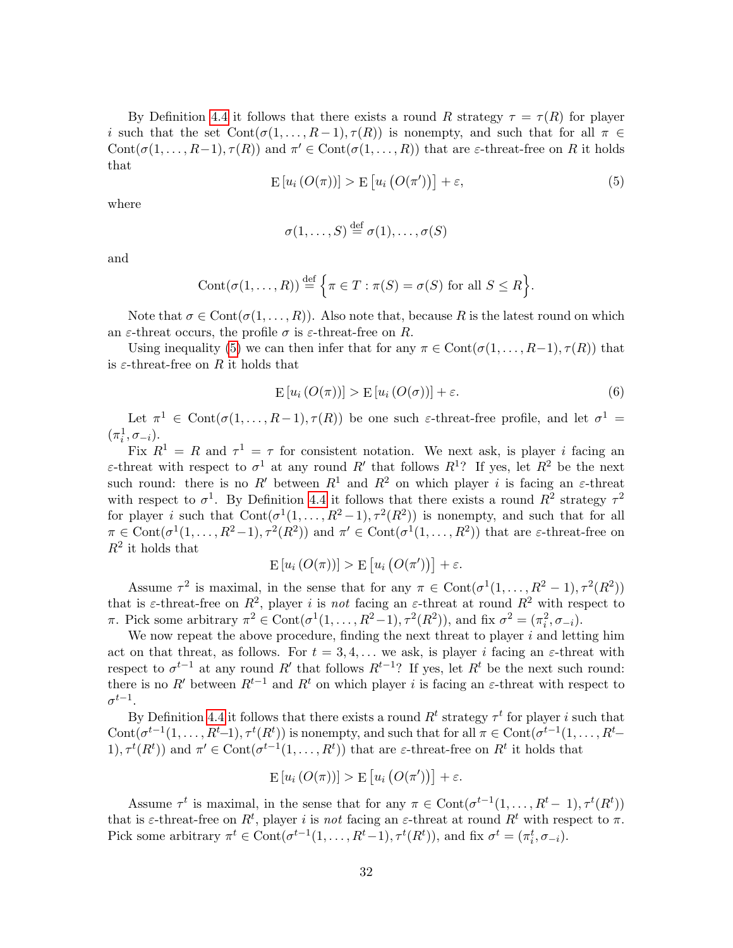By Definition [4.4](#page-13-1) it follows that there exists a round R strategy  $\tau = \tau(R)$  for player i such that the set  $Cont(\sigma(1,\ldots,R-1),\tau(R))$  is nonempty, and such that for all  $\pi \in$ Cont $(\sigma(1,\ldots,R-1),\tau(R))$  and  $\pi' \in \text{Cont}(\sigma(1,\ldots,R))$  that are  $\varepsilon$ -threat-free on R it holds that

<span id="page-32-0"></span>
$$
E[u_i(O(\pi))] > E[u_i(O(\pi'))] + \varepsilon,
$$
\n(5)

where

$$
\sigma(1,\ldots,S) \stackrel{\text{def}}{=} \sigma(1),\ldots,\sigma(S)
$$

and

$$
Cont(\sigma(1,\ldots,R)) \stackrel{\text{def}}{=} \left\{ \pi \in T : \pi(S) = \sigma(S) \text{ for all } S \le R \right\}
$$

Note that  $\sigma \in \text{Cont}(\sigma(1,\ldots,R))$ . Also note that, because R is the latest round on which an  $\varepsilon$ -threat occurs, the profile  $\sigma$  is  $\varepsilon$ -threat-free on R.

Using inequality [\(5\)](#page-32-0) we can then infer that for any  $\pi \in \text{Cont}(\sigma(1,\ldots,R-1),\tau(R))$  that is  $\varepsilon$ -threat-free on R it holds that

<span id="page-32-1"></span>
$$
\mathbb{E}\left[u_i\left(O(\pi)\right)\right] > \mathbb{E}\left[u_i\left(O(\sigma)\right)\right] + \varepsilon. \tag{6}
$$

.

Let  $\pi^1 \in \text{Cont}(\sigma(1,\ldots,R-1),\tau(R))$  be one such  $\varepsilon$ -threat-free profile, and let  $\sigma^1 =$  $(\pi_i^1, \sigma_{-i}).$ 

Fix  $R^1 = R$  and  $\tau^1 = \tau$  for consistent notation. We next ask, is player i facing an  $\varepsilon$ -threat with respect to  $\sigma^1$  at any round R' that follows  $R^1$ ? If yes, let  $R^2$  be the next such round: there is no R' between  $R^1$  and  $R^2$  on which player i is facing an  $\varepsilon$ -threat with respect to  $\sigma^1$ . By Definition [4.4](#page-13-1) it follows that there exists a round  $R^2$  strategy  $\tau^2$ for player i such that  $Cont(\sigma^1(1,\ldots,R^2-1),\tau^2(R^2))$  is nonempty, and such that for all  $\pi \in \text{Cont}(\sigma^1(1,\ldots,R^2-1),\tau^2(R^2))$  and  $\pi' \in \text{Cont}(\sigma^1(1,\ldots,R^2))$  that are  $\varepsilon$ -threat-free on  $R^2$  it holds that

$$
\mathrm{E}\left[u_i\left(O(\pi)\right)\right] > \mathrm{E}\left[u_i\left(O(\pi')\right)\right] + \varepsilon.
$$

Assume  $\tau^2$  is maximal, in the sense that for any  $\pi \in \text{Cont}(\sigma^1(1,\ldots,R^2-1),\tau^2(R^2))$ that is  $\varepsilon$ -threat-free on  $R^2$ , player i is not facing an  $\varepsilon$ -threat at round  $R^2$  with respect to π. Pick some arbitrary  $\pi^2 \in \text{Cont}(\sigma^1(1,\ldots,R^2-1),\tau^2(R^2))$ , and fix  $\sigma^2 = (\pi_i^2, \sigma_{-i})$ .

We now repeat the above procedure, finding the next threat to player  $i$  and letting him act on that threat, as follows. For  $t = 3, 4, \ldots$  we ask, is player i facing an  $\varepsilon$ -threat with respect to  $\sigma^{t-1}$  at any round R' that follows  $R^{t-1}$ ? If yes, let  $R^t$  be the next such round: there is no R' between  $R^{t-1}$  and  $R^t$  on which player i is facing an  $\varepsilon$ -threat with respect to  $\sigma^{t-1}.$ 

By Definition [4.4](#page-13-1) it follows that there exists a round  $R^t$  strategy  $\tau^t$  for player i such that Cont $(\sigma^{t-1}(1,\ldots,R^{t}-1),\tau^{t}(R^{t}))$  is nonempty, and such that for all  $\pi \in \text{Cont}(\sigma^{t-1}(1,\ldots,R^{t}-1))$ 1),  $\tau^t(R^t)$  and  $\pi' \in \text{Cont}(\sigma^{t-1}(1,\ldots,R^t))$  that are  $\varepsilon$ -threat-free on  $R^t$  it holds that

$$
\mathrm{E}\left[u_{i}\left(O(\pi)\right)\right] > \mathrm{E}\left[u_{i}\left(O(\pi')\right)\right] + \varepsilon.
$$

Assume  $\tau^t$  is maximal, in the sense that for any  $\pi \in \text{Cont}(\sigma^{t-1}(1,\ldots,R^t-1),\tau^t(R^t))$ that is  $\varepsilon$ -threat-free on  $R^t$ , player i is not facing an  $\varepsilon$ -threat at round  $R^t$  with respect to  $\pi$ . Pick some arbitrary  $\pi^t \in \text{Cont}(\sigma^{t-1}(1,\ldots,R^t-1),\tau^t(R^t)),$  and fix  $\sigma^t = (\pi_i^t, \sigma_{-i}).$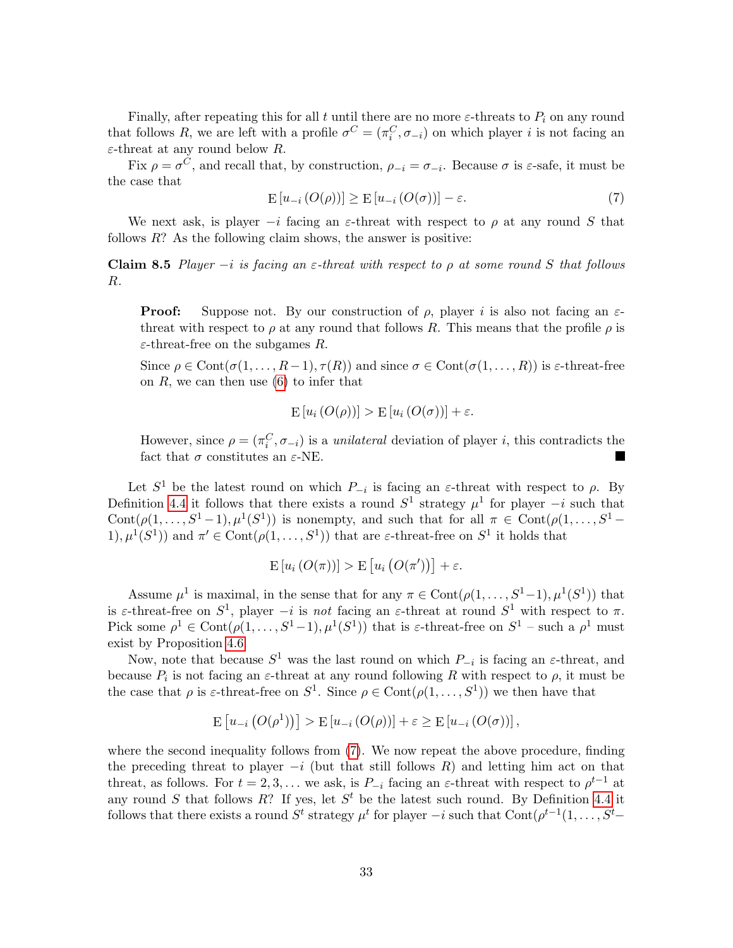Finally, after repeating this for all t until there are no more  $\varepsilon$ -threats to  $P_i$  on any round that follows R, we are left with a profile  $\sigma^C = (\pi_i^C, \sigma_{-i})$  on which player i is not facing an  $\varepsilon$ -threat at any round below R.

Fix  $\rho = \sigma^C$ , and recall that, by construction,  $\rho_{-i} = \sigma_{-i}$ . Because  $\sigma$  is  $\varepsilon$ -safe, it must be the case that

<span id="page-33-0"></span>
$$
\mathbb{E}\left[u_{-i}\left(O(\rho)\right)\right] \geq \mathbb{E}\left[u_{-i}\left(O(\sigma)\right)\right] - \varepsilon. \tag{7}
$$

We next ask, is player  $-i$  facing an  $\varepsilon$ -threat with respect to  $\rho$  at any round S that follows  $R$ ? As the following claim shows, the answer is positive:

**Claim 8.5** Player  $-i$  is facing an  $\varepsilon$ -threat with respect to  $\rho$  at some round S that follows R.

**Proof:** Suppose not. By our construction of  $\rho$ , player i is also not facing an  $\varepsilon$ threat with respect to  $\rho$  at any round that follows R. This means that the profile  $\rho$  is  $\varepsilon$ -threat-free on the subgames R.

Since  $\rho \in \text{Cont}(\sigma(1,\ldots,R-1),\tau(R))$  and since  $\sigma \in \text{Cont}(\sigma(1,\ldots,R))$  is  $\varepsilon$ -threat-free on  $R$ , we can then use  $(6)$  to infer that

$$
\mathop{\mathrm{E}}\left[u_i\left(O(\rho)\right)\right] > \mathop{\mathrm{E}}\left[u_i\left(O(\sigma)\right)\right] + \varepsilon.
$$

However, since  $\rho = (\pi_i^C, \sigma_{-i})$  is a *unilateral* deviation of player *i*, this contradicts the fact that  $\sigma$  constitutes an  $\varepsilon$ -NE. **The State** 

Let  $S^1$  be the latest round on which  $P_{-i}$  is facing an  $\varepsilon$ -threat with respect to  $\rho$ . By Definition [4.4](#page-13-1) it follows that there exists a round  $S^1$  strategy  $\mu^1$  for player  $-i$  such that Cont $(\rho(1,\ldots,S^1-1),\mu^1(S^1))$  is nonempty, and such that for all  $\pi \in \text{Cont}(\rho(1,\ldots,S^1-1))$ 1),  $\mu^1(S^1)$  and  $\pi' \in \text{Cont}(\rho(1,\ldots,S^1))$  that are  $\varepsilon$ -threat-free on  $S^1$  it holds that

$$
\mathrm{E}\left[u_i\left(O(\pi)\right)\right] > \mathrm{E}\left[u_i\left(O(\pi')\right)\right] + \varepsilon.
$$

Assume  $\mu^1$  is maximal, in the sense that for any  $\pi \in \text{Cont}(\rho(1,\ldots, S^1-1), \mu^1(S^1))$  that is  $\varepsilon$ -threat-free on  $S^1$ , player  $-i$  is not facing an  $\varepsilon$ -threat at round  $S^1$  with respect to  $\pi$ . Pick some  $\rho^1 \in \text{Cont}(\rho(1,\ldots,S^1-1),\mu^1(S^1))$  that is  $\varepsilon$ -threat-free on  $S^1$  – such a  $\rho^1$  must exist by Proposition [4.6.](#page-14-1)

Now, note that because  $S^1$  was the last round on which  $P_{-i}$  is facing an  $\varepsilon$ -threat, and because  $P_i$  is not facing an  $\varepsilon$ -threat at any round following R with respect to  $\rho$ , it must be the case that  $\rho$  is  $\varepsilon$ -threat-free on  $S^1$ . Since  $\rho \in \text{Cont}(\rho(1,\ldots,S^1))$  we then have that

$$
\mathrm{E}\left[u_{-i}\left(O(\rho^1)\right)\right] > \mathrm{E}\left[u_{-i}\left(O(\rho)\right)\right] + \varepsilon \geq \mathrm{E}\left[u_{-i}\left(O(\sigma)\right)\right],
$$

where the second inequality follows from  $(7)$ . We now repeat the above procedure, finding the preceding threat to player  $-i$  (but that still follows R) and letting him act on that threat, as follows. For  $t = 2, 3, ...$  we ask, is  $P_{-i}$  facing an  $\varepsilon$ -threat with respect to  $\rho^{t-1}$  at any round S that follows R? If yes, let  $S<sup>t</sup>$  be the latest such round. By Definition [4.4](#page-13-1) it follows that there exists a round  $S^t$  strategy  $\mu^t$  for player  $-i$  such that  $Cont(\rho^{t-1}(1,\ldots, S^{t-1}))$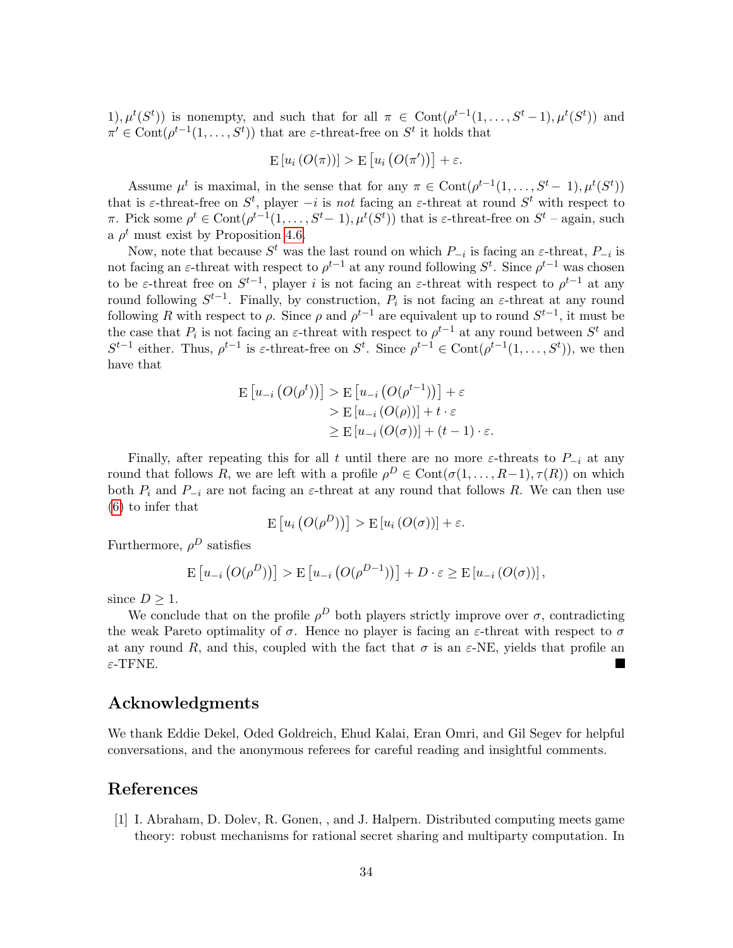1),  $\mu^t(S^t)$  is nonempty, and such that for all  $\pi \in \text{Cont}(\rho^{t-1}(1,\ldots, S^t-1), \mu^t(S^t))$  and  $\pi' \in \text{Cont}(\rho^{t-1}(1,\ldots, S^t))$  that are  $\varepsilon$ -threat-free on  $S^t$  it holds that

$$
\mathrm{E}\left[u_i\left(O(\pi)\right)\right] > \mathrm{E}\left[u_i\left(O(\pi')\right)\right] + \varepsilon.
$$

Assume  $\mu^t$  is maximal, in the sense that for any  $\pi \in \text{Cont}(\rho^{t-1}(1,\ldots, S^t-1), \mu^t(S^t))$ that is  $\varepsilon$ -threat-free on  $S^t$ , player  $-i$  is not facing an  $\varepsilon$ -threat at round  $S^t$  with respect to π. Pick some  $\rho^t \in \text{Cont}(\rho^{t-1}(1,\ldots, S^t-1), \mu^t(S^t))$  that is *ε*-threat-free on  $S^t$  – again, such a  $\rho^t$  must exist by Proposition [4.6.](#page-14-1)

Now, note that because  $S<sup>t</sup>$  was the last round on which  $P_{-i}$  is facing an  $\varepsilon$ -threat,  $P_{-i}$  is not facing an  $\varepsilon$ -threat with respect to  $\rho^{t-1}$  at any round following  $S^t$ . Since  $\rho^{t-1}$  was chosen to be  $\varepsilon$ -threat free on  $S^{t-1}$ , player i is not facing an  $\varepsilon$ -threat with respect to  $\rho^{t-1}$  at any round following  $S^{t-1}$ . Finally, by construction,  $P_i$  is not facing an  $\varepsilon$ -threat at any round following R with respect to  $\rho$ . Since  $\rho$  and  $\rho^{t-1}$  are equivalent up to round  $S^{t-1}$ , it must be the case that  $P_i$  is not facing an  $\varepsilon$ -threat with respect to  $\rho^{t-1}$  at any round between  $S^t$  and  $S^{t-1}$  either. Thus,  $\rho^{t-1}$  is  $\varepsilon$ -threat-free on  $S^t$ . Since  $\rho^{t-1} \in \text{Cont}(\rho^{t-1}(1,\ldots, S^t)),$  we then have that

$$
\begin{aligned} \mathcal{E}\left[u_{-i}\left(O(\rho^t)\right)\right] &> \mathcal{E}\left[u_{-i}\left(O(\rho^{t-1})\right)\right] + \varepsilon \\ &> \mathcal{E}\left[u_{-i}\left(O(\rho)\right)\right] + t \cdot \varepsilon \\ &\geq \mathcal{E}\left[u_{-i}\left(O(\sigma)\right)\right] + (t-1) \cdot \varepsilon. \end{aligned}
$$

Finally, after repeating this for all t until there are no more  $\varepsilon$ -threats to  $P_{-i}$  at any round that follows R, we are left with a profile  $\rho^D \in \text{Cont}(\sigma(1,\ldots,R-1),\tau(R))$  on which both  $P_i$  and  $P_{-i}$  are not facing an  $\varepsilon$ -threat at any round that follows R. We can then use [\(6\)](#page-32-1) to infer that

$$
\mathrm{E}\left[u_i\left(O(\rho^D)\right)\right] > \mathrm{E}\left[u_i\left(O(\sigma)\right)\right] + \varepsilon.
$$

Furthermore,  $\rho^D$  satisfies

$$
\mathbb{E}\left[u_{-i}\left(O(\rho^D)\right)\right] > \mathbb{E}\left[u_{-i}\left(O(\rho^{D-1})\right)\right] + D \cdot \varepsilon \geq \mathbb{E}\left[u_{-i}\left(O(\sigma)\right)\right],
$$

since  $D \geq 1$ .

We conclude that on the profile  $\rho^D$  both players strictly improve over  $\sigma$ , contradicting the weak Pareto optimality of  $\sigma$ . Hence no player is facing an  $\varepsilon$ -threat with respect to  $\sigma$ at any round R, and this, coupled with the fact that  $\sigma$  is an  $\varepsilon$ -NE, yields that profile an ε-TFNE.

# Acknowledgments

<span id="page-34-0"></span>We thank Eddie Dekel, Oded Goldreich, Ehud Kalai, Eran Omri, and Gil Segev for helpful conversations, and the anonymous referees for careful reading and insightful comments.

# References

<span id="page-34-1"></span>[1] I. Abraham, D. Dolev, R. Gonen, , and J. Halpern. Distributed computing meets game theory: robust mechanisms for rational secret sharing and multiparty computation. In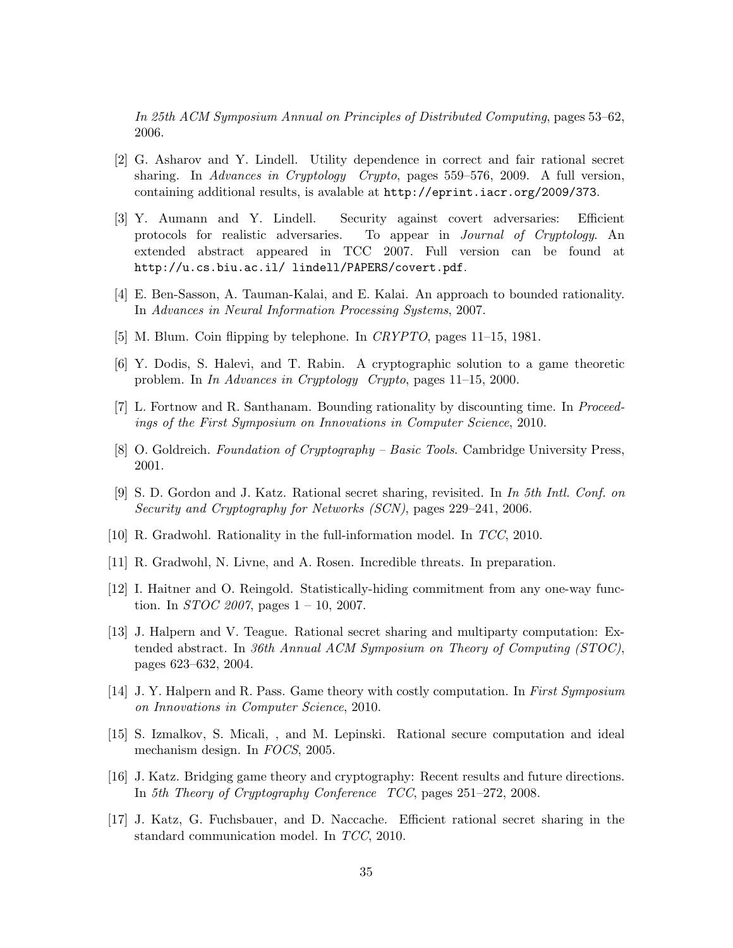In 25th ACM Symposium Annual on Principles of Distributed Computing, pages 53–62, 2006.

- <span id="page-35-9"></span>[2] G. Asharov and Y. Lindell. Utility dependence in correct and fair rational secret sharing. In Advances in Cryptology Crypto, pages 559–576, 2009. A full version, containing additional results, is avalable at http://eprint.iacr.org/2009/373.
- <span id="page-35-14"></span>[3] Y. Aumann and Y. Lindell. Security against covert adversaries: Efficient protocols for realistic adversaries. To appear in Journal of Cryptology. An extended abstract appeared in TCC 2007. Full version can be found at http://u.cs.biu.ac.il/ lindell/PAPERS/covert.pdf.
- <span id="page-35-0"></span>[4] E. Ben-Sasson, A. Tauman-Kalai, and E. Kalai. An approach to bounded rationality. In Advances in Neural Information Processing Systems, 2007.
- <span id="page-35-4"></span>[5] M. Blum. Coin flipping by telephone. In *CRYPTO*, pages 11–15, 1981.
- <span id="page-35-3"></span>[6] Y. Dodis, S. Halevi, and T. Rabin. A cryptographic solution to a game theoretic problem. In In Advances in Cryptology Crypto, pages 11–15, 2000.
- <span id="page-35-1"></span>[7] L. Fortnow and R. Santhanam. Bounding rationality by discounting time. In Proceedings of the First Symposium on Innovations in Computer Science, 2010.
- <span id="page-35-13"></span>[8] O. Goldreich. Foundation of Cryptography – Basic Tools. Cambridge University Press, 2001.
- <span id="page-35-7"></span>[9] S. D. Gordon and J. Katz. Rational secret sharing, revisited. In In 5th Intl. Conf. on Security and Cryptography for Networks (SCN), pages 229–241, 2006.
- <span id="page-35-10"></span>[10] R. Gradwohl. Rationality in the full-information model. In TCC, 2010.
- <span id="page-35-12"></span>[11] R. Gradwohl, N. Livne, and A. Rosen. Incredible threats. In preparation.
- <span id="page-35-15"></span>[12] I. Haitner and O. Reingold. Statistically-hiding commitment from any one-way function. In *STOC 2007*, pages  $1 - 10$ , 2007.
- <span id="page-35-5"></span>[13] J. Halpern and V. Teague. Rational secret sharing and multiparty computation: Extended abstract. In 36th Annual ACM Symposium on Theory of Computing (STOC), pages 623–632, 2004.
- <span id="page-35-11"></span>[14] J. Y. Halpern and R. Pass. Game theory with costly computation. In First Symposium on Innovations in Computer Science, 2010.
- <span id="page-35-6"></span>[15] S. Izmalkov, S. Micali, , and M. Lepinski. Rational secure computation and ideal mechanism design. In FOCS, 2005.
- <span id="page-35-2"></span>[16] J. Katz. Bridging game theory and cryptography: Recent results and future directions. In 5th Theory of Cryptography Conference TCC, pages 251–272, 2008.
- <span id="page-35-8"></span>[17] J. Katz, G. Fuchsbauer, and D. Naccache. Efficient rational secret sharing in the standard communication model. In TCC, 2010.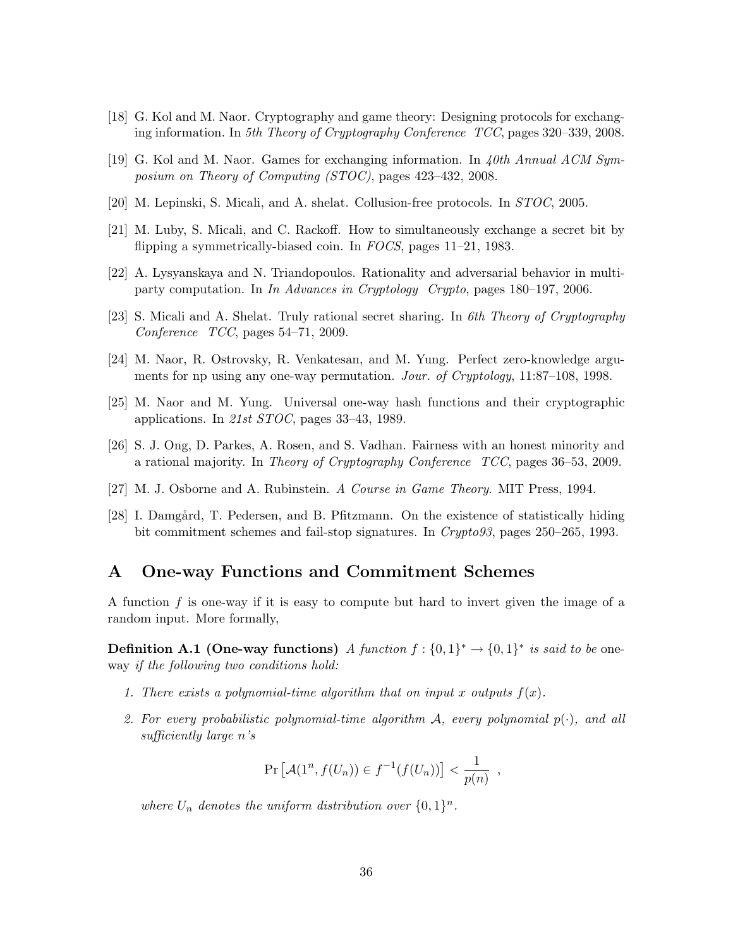- <span id="page-36-5"></span>[18] G. Kol and M. Naor. Cryptography and game theory: Designing protocols for exchanging information. In 5th Theory of Cryptography Conference TCC, pages 320–339, 2008.
- <span id="page-36-1"></span>[19] G. Kol and M. Naor. Games for exchanging information. In 40th Annual ACM Symposium on Theory of Computing (STOC), pages 423–432, 2008.
- <span id="page-36-3"></span>[20] M. Lepinski, S. Micali, and A. shelat. Collusion-free protocols. In STOC, 2005.
- <span id="page-36-7"></span>[21] M. Luby, S. Micali, and C. Rackoff. How to simultaneously exchange a secret bit by flipping a symmetrically-biased coin. In FOCS, pages 11–21, 1983.
- <span id="page-36-4"></span>[22] A. Lysyanskaya and N. Triandopoulos. Rationality and adversarial behavior in multiparty computation. In In Advances in Cryptology Crypto, pages 180–197, 2006.
- <span id="page-36-6"></span>[23] S. Micali and A. Shelat. Truly rational secret sharing. In 6th Theory of Cryptography Conference TCC, pages 54–71, 2009.
- <span id="page-36-9"></span>[24] M. Naor, R. Ostrovsky, R. Venkatesan, and M. Yung. Perfect zero-knowledge arguments for np using any one-way permutation. Jour. of Cryptology, 11:87–108, 1998.
- <span id="page-36-10"></span>[25] M. Naor and M. Yung. Universal one-way hash functions and their cryptographic applications. In 21st STOC, pages 33–43, 1989.
- <span id="page-36-2"></span>[26] S. J. Ong, D. Parkes, A. Rosen, and S. Vadhan. Fairness with an honest minority and a rational majority. In Theory of Cryptography Conference TCC, pages 36–53, 2009.
- <span id="page-36-8"></span>[27] M. J. Osborne and A. Rubinstein. A Course in Game Theory. MIT Press, 1994.
- <span id="page-36-11"></span>[28] I. Damgård, T. Pedersen, and B. Pfitzmann. On the existence of statistically hiding bit commitment schemes and fail-stop signatures. In Crypto93, pages 250–265, 1993.

# <span id="page-36-0"></span>A One-way Functions and Commitment Schemes

A function  $f$  is one-way if it is easy to compute but hard to invert given the image of a random input. More formally,

**Definition A.1 (One-way functions)** A function  $f: \{0,1\}^* \to \{0,1\}^*$  is said to be oneway if the following two conditions hold:

- 1. There exists a polynomial-time algorithm that on input x outputs  $f(x)$ .
- 2. For every probabilistic polynomial-time algorithm  $\mathcal{A}$ , every polynomial  $p(\cdot)$ , and all sufficiently large n's

$$
\Pr\left[\mathcal{A}(1^n, f(U_n)) \in f^{-1}(f(U_n))\right] < \frac{1}{p(n)},
$$

where  $U_n$  denotes the uniform distribution over  $\{0,1\}^n$ .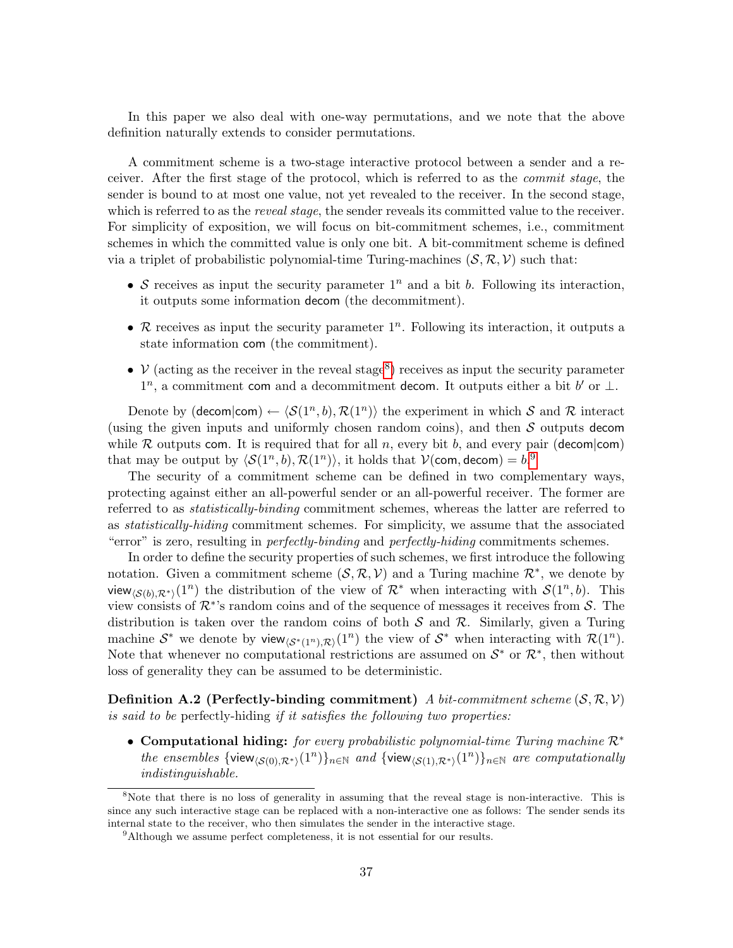In this paper we also deal with one-way permutations, and we note that the above definition naturally extends to consider permutations.

A commitment scheme is a two-stage interactive protocol between a sender and a receiver. After the first stage of the protocol, which is referred to as the commit stage, the sender is bound to at most one value, not yet revealed to the receiver. In the second stage, which is referred to as the *reveal stage*, the sender reveals its committed value to the receiver. For simplicity of exposition, we will focus on bit-commitment schemes, i.e., commitment schemes in which the committed value is only one bit. A bit-commitment scheme is defined via a triplet of probabilistic polynomial-time Turing-machines  $(S, \mathcal{R}, \mathcal{V})$  such that:

- S receives as input the security parameter  $1^n$  and a bit b. Following its interaction, it outputs some information decom (the decommitment).
- $R$  receives as input the security parameter  $1^n$ . Following its interaction, it outputs a state information com (the commitment).
- $V$  (acting as the receiver in the reveal stage<sup>[8](#page-37-0)</sup>) receives as input the security parameter  $1^n$ , a commitment com and a decommitment decom. It outputs either a bit b' or  $\perp$ .

Denote by  $(\text{decom}| \text{com}) \leftarrow \langle \mathcal{S}(1^n, b), \mathcal{R}(1^n) \rangle$  the experiment in which S and R interact (using the given inputs and uniformly chosen random coins), and then  $S$  outputs decom while R outputs com. It is required that for all n, every bit b, and every pair (decomorpoon) that may be output by  $\langle \mathcal{S}(1^n, b), \mathcal{R}(1^n) \rangle$ , it holds that  $\mathcal{V}(\textsf{com}, \textsf{decom}) = b$ .

The security of a commitment scheme can be defined in two complementary ways, protecting against either an all-powerful sender or an all-powerful receiver. The former are referred to as statistically-binding commitment schemes, whereas the latter are referred to as statistically-hiding commitment schemes. For simplicity, we assume that the associated "error" is zero, resulting in *perfectly-binding* and *perfectly-hiding* commitments schemes.

In order to define the security properties of such schemes, we first introduce the following notation. Given a commitment scheme  $(S, \mathcal{R}, \mathcal{V})$  and a Turing machine  $\mathcal{R}^*$ , we denote by view<sub> $\langle S(b), \mathcal{R}^*\rangle$ </sub> $(1^n)$  the distribution of the view of  $\mathcal{R}^*$  when interacting with  $S(1^n, b)$ . This view consists of  $\mathcal{R}^*$ 's random coins and of the sequence of messages it receives from S. The distribution is taken over the random coins of both  $S$  and  $R$ . Similarly, given a Turing machine  $S^*$  we denote by view $\langle S^*(1^n), \mathcal{R} \rangle$  ( $1^n$ ) the view of  $S^*$  when interacting with  $\mathcal{R}(1^n)$ . Note that whenever no computational restrictions are assumed on  $S^*$  or  $\mathcal{R}^*$ , then without loss of generality they can be assumed to be deterministic.

**Definition A.2 (Perfectly-binding commitment)** A bit-commitment scheme  $(S, \mathcal{R}, \mathcal{V})$ is said to be perfectly-hiding if it satisfies the following two properties:

• Computational hiding: for every probabilistic polynomial-time Turing machine  $\mathcal{R}^*$ the ensembles  $\{\mathsf{view}_{\langle \mathcal{S}(0), \mathcal{R}^* \rangle}(1^n)\}_{n \in \mathbb{N}}$  and  $\{\mathsf{view}_{\langle \mathcal{S}(1), \mathcal{R}^* \rangle}(1^n)\}_{n \in \mathbb{N}}$  are computationally indistinguishable.

<span id="page-37-0"></span><sup>&</sup>lt;sup>8</sup>Note that there is no loss of generality in assuming that the reveal stage is non-interactive. This is since any such interactive stage can be replaced with a non-interactive one as follows: The sender sends its internal state to the receiver, who then simulates the sender in the interactive stage.

<span id="page-37-1"></span><sup>&</sup>lt;sup>9</sup>Although we assume perfect completeness, it is not essential for our results.